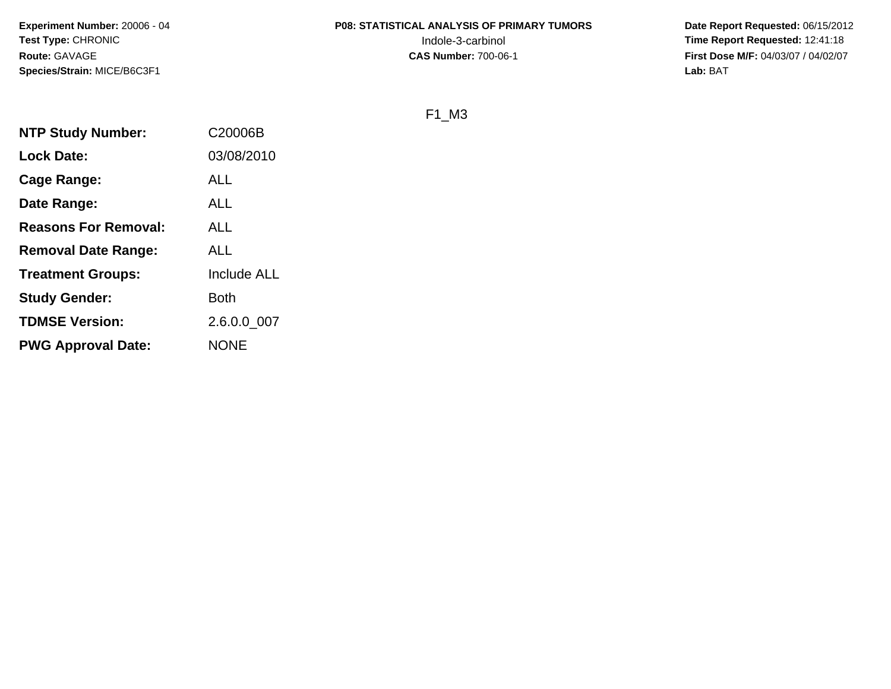# **P08: STATISTICAL ANALYSIS OF PRIMARY TUMORS**

 **Date Report Requested:** 06/15/2012 Indole-3-carbinol **Time Report Requested:** 12:41:18 **First Dose M/F:** 04/03/07 / 04/02/07<br>**Lab:** BAT **Lab:** BAT

#### F1\_M3

| <b>NTP Study Number:</b>    | C20006B            |
|-----------------------------|--------------------|
| <b>Lock Date:</b>           | 03/08/2010         |
| Cage Range:                 | ALL                |
| Date Range:                 | ALL                |
| <b>Reasons For Removal:</b> | ALL                |
| <b>Removal Date Range:</b>  | ALL                |
| <b>Treatment Groups:</b>    | <b>Include ALL</b> |
| <b>Study Gender:</b>        | Both               |
| <b>TDMSE Version:</b>       | 2.6.0.0 007        |
| <b>PWG Approval Date:</b>   | <b>NONE</b>        |
|                             |                    |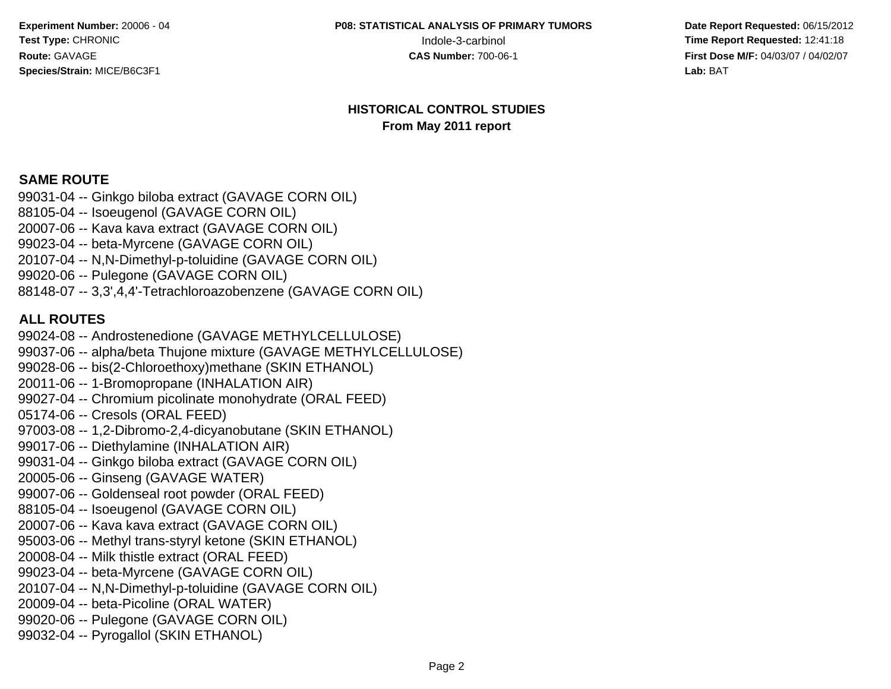**P08: STATISTICAL ANALYSIS OF PRIMARY TUMORS**

 **Date Report Requested:** 06/15/2012 Indole-3-carbinol **Time Report Requested:** 12:41:18 **First Dose M/F:** 04/03/07 / 04/02/07<br>**Lab:** BAT **Lab:** BAT

#### **HISTORICAL CONTROL STUDIESFrom May 2011 report**

#### **SAME ROUTE**

 99031-04 -- Ginkgo biloba extract (GAVAGE CORN OIL)88105-04 -- Isoeugenol (GAVAGE CORN OIL) 20007-06 -- Kava kava extract (GAVAGE CORN OIL)99023-04 -- beta-Myrcene (GAVAGE CORN OIL) 20107-04 -- N,N-Dimethyl-p-toluidine (GAVAGE CORN OIL)99020-06 -- Pulegone (GAVAGE CORN OIL)88148-07 -- 3,3',4,4'-Tetrachloroazobenzene (GAVAGE CORN OIL)

#### **ALL ROUTES**

 99024-08 -- Androstenedione (GAVAGE METHYLCELLULOSE) 99037-06 -- alpha/beta Thujone mixture (GAVAGE METHYLCELLULOSE)99028-06 -- bis(2-Chloroethoxy)methane (SKIN ETHANOL)20011-06 -- 1-Bromopropane (INHALATION AIR) 99027-04 -- Chromium picolinate monohydrate (ORAL FEED)05174-06 -- Cresols (ORAL FEED) 97003-08 -- 1,2-Dibromo-2,4-dicyanobutane (SKIN ETHANOL)99017-06 -- Diethylamine (INHALATION AIR) 99031-04 -- Ginkgo biloba extract (GAVAGE CORN OIL)20005-06 -- Ginseng (GAVAGE WATER) 99007-06 -- Goldenseal root powder (ORAL FEED)88105-04 -- Isoeugenol (GAVAGE CORN OIL) 20007-06 -- Kava kava extract (GAVAGE CORN OIL) 95003-06 -- Methyl trans-styryl ketone (SKIN ETHANOL)20008-04 -- Milk thistle extract (ORAL FEED) 99023-04 -- beta-Myrcene (GAVAGE CORN OIL) 20107-04 -- N,N-Dimethyl-p-toluidine (GAVAGE CORN OIL)20009-04 -- beta-Picoline (ORAL WATER) 99020-06 -- Pulegone (GAVAGE CORN OIL)99032-04 -- Pyrogallol (SKIN ETHANOL)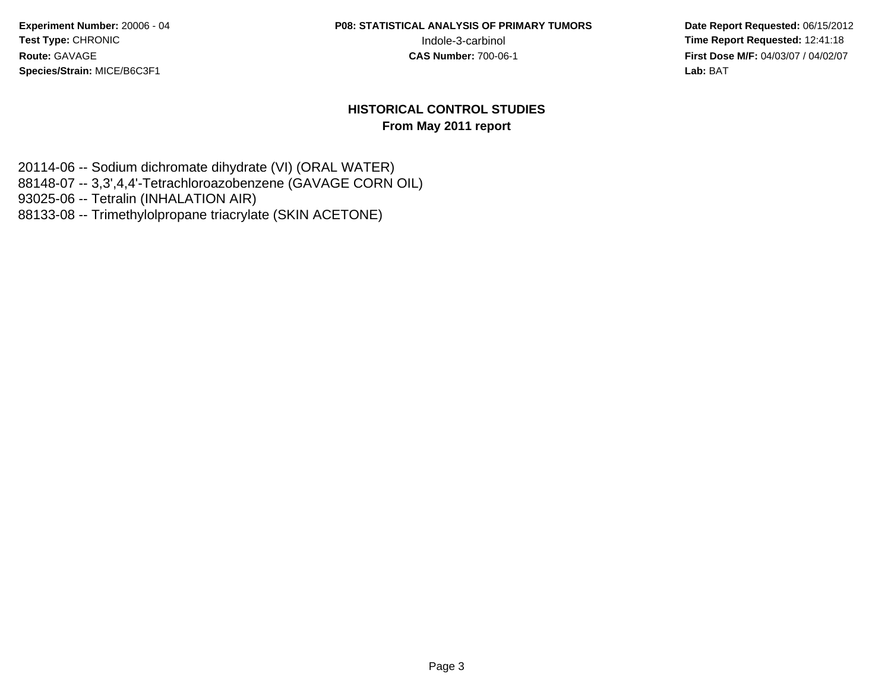**P08: STATISTICAL ANALYSIS OF PRIMARY TUMORS**

 **Date Report Requested:** 06/15/2012 Indole-3-carbinol **Time Report Requested:** 12:41:18 **First Dose M/F:** 04/03/07 / 04/02/07 Lab: BAT **Lab:** BAT

#### **HISTORICAL CONTROL STUDIESFrom May 2011 report**

20114-06 -- Sodium dichromate dihydrate (VI) (ORAL WATER) 88148-07 -- 3,3',4,4'-Tetrachloroazobenzene (GAVAGE CORN OIL)93025-06 -- Tetralin (INHALATION AIR)88133-08 -- Trimethylolpropane triacrylate (SKIN ACETONE)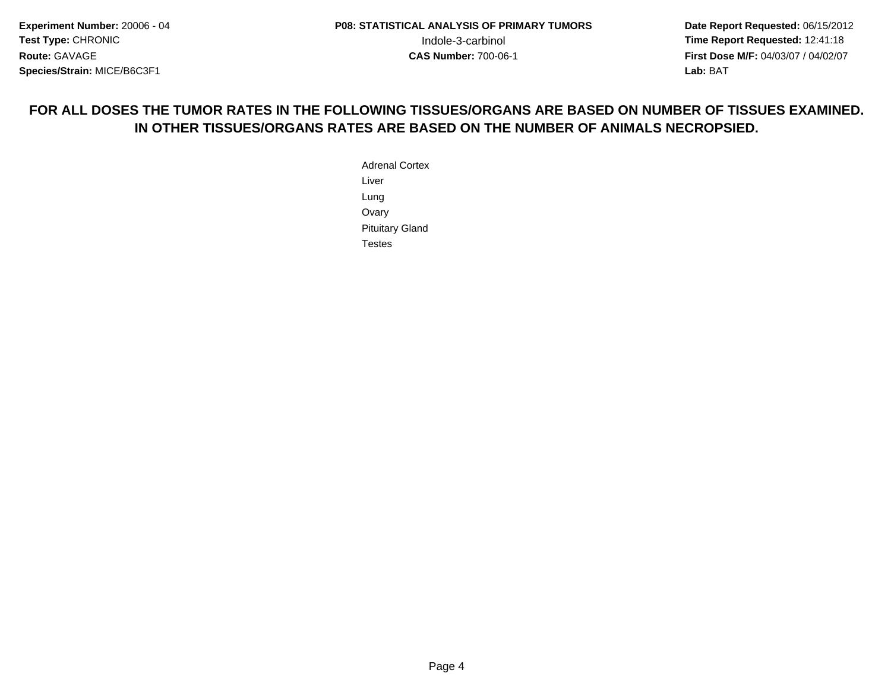**Date Report Requested:** 06/15/2012 **First Dose M/F:** 04/03/07 / 04/02/07<br>**Lab:** BAT **Lab:** BAT

# **FOR ALL DOSES THE TUMOR RATES IN THE FOLLOWING TISSUES/ORGANS ARE BASED ON NUMBER OF TISSUES EXAMINED.IN OTHER TISSUES/ORGANS RATES ARE BASED ON THE NUMBER OF ANIMALS NECROPSIED.**

Adrenal CortexLiverLung Ovary Pituitary GlandTestes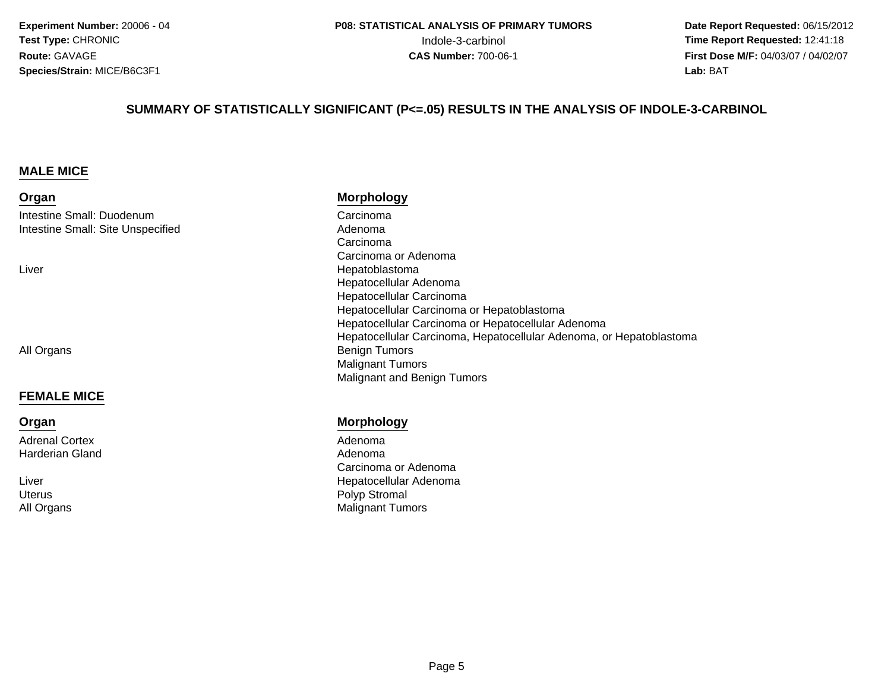**Date Report Requested:** 06/15/2012 Indole-3-carbinol **Time Report Requested:** 12:41:18 **First Dose M/F:** 04/03/07 / 04/02/07<br>**Lab:** BAT **Lab:** BAT

#### **SUMMARY OF STATISTICALLY SIGNIFICANT (P<=.05) RESULTS IN THE ANALYSIS OF INDOLE-3-CARBINOL**

#### **MALE MICE**

#### **Organ**

Intestine Small: DuodenumIntestine Small: Site Unspecified

Liver

All Organs

#### **FEMALE MICE**

#### **Organ**

Adrenal CortexHarderian Gland

Liver**Uterus** All Organs

#### **Morphology**

 Carcinoma Adenoma Carcinoma Carcinoma or Adenoma Hepatoblastoma Hepatocellular Adenoma Hepatocellular Carcinoma Hepatocellular Carcinoma or Hepatoblastoma Hepatocellular Carcinoma or Hepatocellular Adenoma Hepatocellular Carcinoma, Hepatocellular Adenoma, or Hepatoblastoma Benign Tumors Malignant TumorsMalignant and Benign Tumors

#### **Morphology**

 AdenomaAdenoma d Adenoma<br>Adenoma Carcinoma or Adenoma Hepatocellular Adenoma Polyp Stromal Malignant Tumors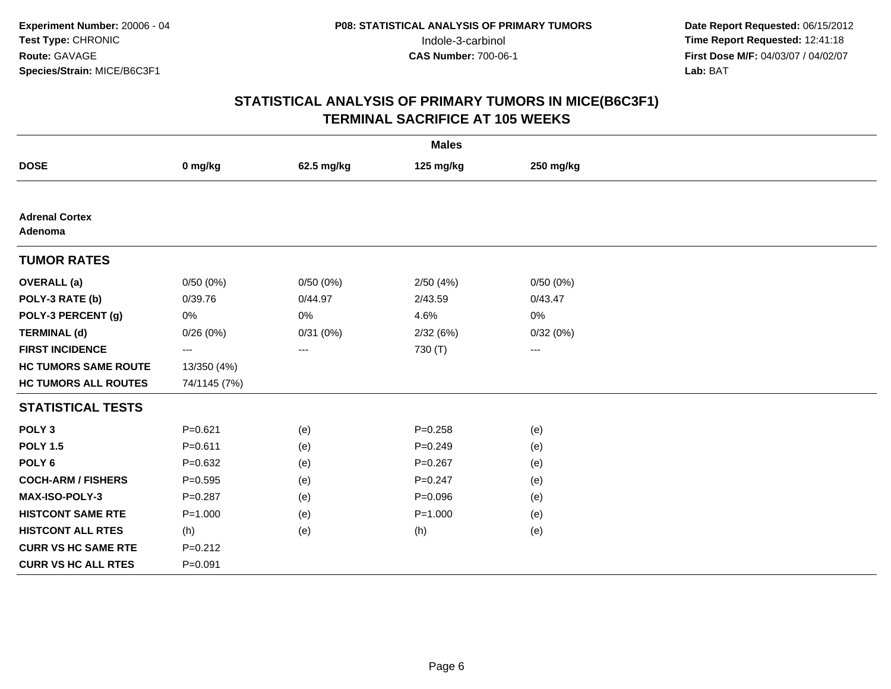| <b>Males</b>                     |              |            |             |                   |  |
|----------------------------------|--------------|------------|-------------|-------------------|--|
| <b>DOSE</b>                      | 0 mg/kg      | 62.5 mg/kg | 125 mg/kg   | 250 mg/kg         |  |
|                                  |              |            |             |                   |  |
| <b>Adrenal Cortex</b><br>Adenoma |              |            |             |                   |  |
| <b>TUMOR RATES</b>               |              |            |             |                   |  |
| <b>OVERALL</b> (a)               | 0/50(0%)     | 0/50(0%)   | 2/50(4%)    | 0/50(0%)          |  |
| POLY-3 RATE (b)                  | 0/39.76      | 0/44.97    | 2/43.59     | 0/43.47           |  |
| POLY-3 PERCENT (g)               | 0%           | 0%         | 4.6%        | 0%                |  |
| <b>TERMINAL (d)</b>              | 0/26(0%)     | 0/31(0%)   | 2/32(6%)    | 0/32(0%)          |  |
| <b>FIRST INCIDENCE</b>           | ---          | ---        | 730 (T)     | $\qquad \qquad -$ |  |
| <b>HC TUMORS SAME ROUTE</b>      | 13/350 (4%)  |            |             |                   |  |
| <b>HC TUMORS ALL ROUTES</b>      | 74/1145 (7%) |            |             |                   |  |
| <b>STATISTICAL TESTS</b>         |              |            |             |                   |  |
| POLY <sub>3</sub>                | $P = 0.621$  | (e)        | $P = 0.258$ | (e)               |  |
| <b>POLY 1.5</b>                  | $P = 0.611$  | (e)        | $P = 0.249$ | (e)               |  |
| POLY <sub>6</sub>                | $P = 0.632$  | (e)        | $P = 0.267$ | (e)               |  |
| <b>COCH-ARM / FISHERS</b>        | $P = 0.595$  | (e)        | $P = 0.247$ | (e)               |  |
| <b>MAX-ISO-POLY-3</b>            | $P = 0.287$  | (e)        | $P = 0.096$ | (e)               |  |
| <b>HISTCONT SAME RTE</b>         | $P = 1.000$  | (e)        | $P = 1.000$ | (e)               |  |
| <b>HISTCONT ALL RTES</b>         | (h)          | (e)        | (h)         | (e)               |  |
| <b>CURR VS HC SAME RTE</b>       | $P = 0.212$  |            |             |                   |  |
| <b>CURR VS HC ALL RTES</b>       | $P = 0.091$  |            |             |                   |  |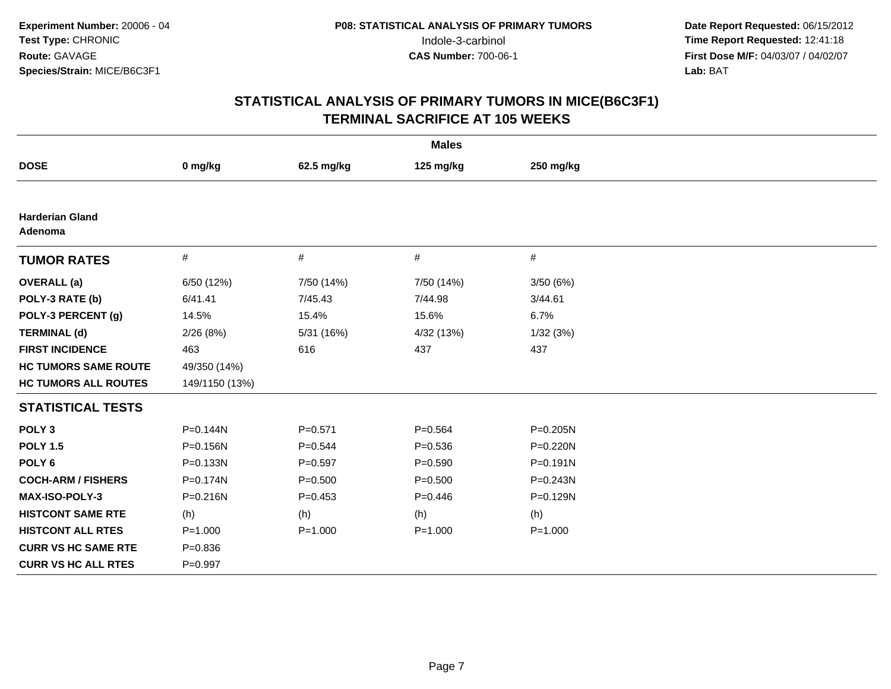| <b>Males</b>                      |                |             |             |             |  |
|-----------------------------------|----------------|-------------|-------------|-------------|--|
| <b>DOSE</b>                       | 0 mg/kg        | 62.5 mg/kg  | 125 mg/kg   | 250 mg/kg   |  |
|                                   |                |             |             |             |  |
| <b>Harderian Gland</b><br>Adenoma |                |             |             |             |  |
| <b>TUMOR RATES</b>                | $\#$           | #           | #           | #           |  |
| <b>OVERALL</b> (a)                | 6/50 (12%)     | 7/50 (14%)  | 7/50 (14%)  | 3/50(6%)    |  |
| POLY-3 RATE (b)                   | 6/41.41        | 7/45.43     | 7/44.98     | 3/44.61     |  |
| POLY-3 PERCENT (g)                | 14.5%          | 15.4%       | 15.6%       | 6.7%        |  |
| <b>TERMINAL (d)</b>               | 2/26(8%)       | 5/31 (16%)  | 4/32 (13%)  | 1/32(3%)    |  |
| <b>FIRST INCIDENCE</b>            | 463            | 616         | 437         | 437         |  |
| <b>HC TUMORS SAME ROUTE</b>       | 49/350 (14%)   |             |             |             |  |
| <b>HC TUMORS ALL ROUTES</b>       | 149/1150 (13%) |             |             |             |  |
| <b>STATISTICAL TESTS</b>          |                |             |             |             |  |
| POLY <sub>3</sub>                 | P=0.144N       | $P = 0.571$ | $P = 0.564$ | P=0.205N    |  |
| <b>POLY 1.5</b>                   | P=0.156N       | $P = 0.544$ | $P = 0.536$ | P=0.220N    |  |
| POLY <sub>6</sub>                 | P=0.133N       | $P=0.597$   | $P = 0.590$ | P=0.191N    |  |
| <b>COCH-ARM / FISHERS</b>         | P=0.174N       | $P = 0.500$ | $P = 0.500$ | P=0.243N    |  |
| <b>MAX-ISO-POLY-3</b>             | P=0.216N       | $P=0.453$   | $P=0.446$   | P=0.129N    |  |
| <b>HISTCONT SAME RTE</b>          | (h)            | (h)         | (h)         | (h)         |  |
| <b>HISTCONT ALL RTES</b>          | $P = 1.000$    | $P = 1.000$ | $P = 1.000$ | $P = 1.000$ |  |
| <b>CURR VS HC SAME RTE</b>        | $P = 0.836$    |             |             |             |  |
| <b>CURR VS HC ALL RTES</b>        | $P=0.997$      |             |             |             |  |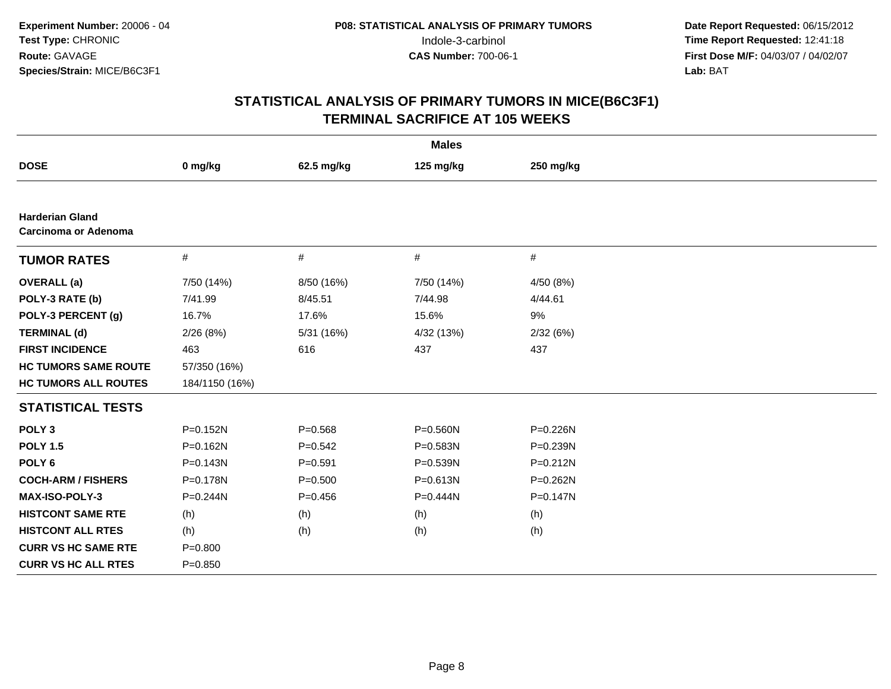|                                                |                |             | <b>Males</b> |              |
|------------------------------------------------|----------------|-------------|--------------|--------------|
| <b>DOSE</b>                                    | 0 mg/kg        | 62.5 mg/kg  | 125 mg/kg    | 250 mg/kg    |
|                                                |                |             |              |              |
| <b>Harderian Gland</b><br>Carcinoma or Adenoma |                |             |              |              |
| <b>TUMOR RATES</b>                             | $\#$           | #           | #            | #            |
| <b>OVERALL</b> (a)                             | 7/50 (14%)     | 8/50 (16%)  | 7/50 (14%)   | 4/50 (8%)    |
| POLY-3 RATE (b)                                | 7/41.99        | 8/45.51     | 7/44.98      | 4/44.61      |
| POLY-3 PERCENT (g)                             | 16.7%          | 17.6%       | 15.6%        | 9%           |
| <b>TERMINAL (d)</b>                            | 2/26(8%)       | 5/31 (16%)  | 4/32 (13%)   | 2/32(6%)     |
| <b>FIRST INCIDENCE</b>                         | 463            | 616         | 437          | 437          |
| <b>HC TUMORS SAME ROUTE</b>                    | 57/350 (16%)   |             |              |              |
| <b>HC TUMORS ALL ROUTES</b>                    | 184/1150 (16%) |             |              |              |
| <b>STATISTICAL TESTS</b>                       |                |             |              |              |
| POLY <sub>3</sub>                              | P=0.152N       | $P = 0.568$ | $P = 0.560N$ | P=0.226N     |
| <b>POLY 1.5</b>                                | $P = 0.162N$   | $P = 0.542$ | $P = 0.583N$ | P=0.239N     |
| POLY <sub>6</sub>                              | P=0.143N       | $P = 0.591$ | $P = 0.539N$ | $P = 0.212N$ |
| <b>COCH-ARM / FISHERS</b>                      | P=0.178N       | $P = 0.500$ | $P = 0.613N$ | P=0.262N     |
| <b>MAX-ISO-POLY-3</b>                          | P=0.244N       | $P = 0.456$ | P=0.444N     | P=0.147N     |
| <b>HISTCONT SAME RTE</b>                       | (h)            | (h)         | (h)          | (h)          |
| <b>HISTCONT ALL RTES</b>                       | (h)            | (h)         | (h)          | (h)          |
| <b>CURR VS HC SAME RTE</b>                     | $P = 0.800$    |             |              |              |
| <b>CURR VS HC ALL RTES</b>                     | $P=0.850$      |             |              |              |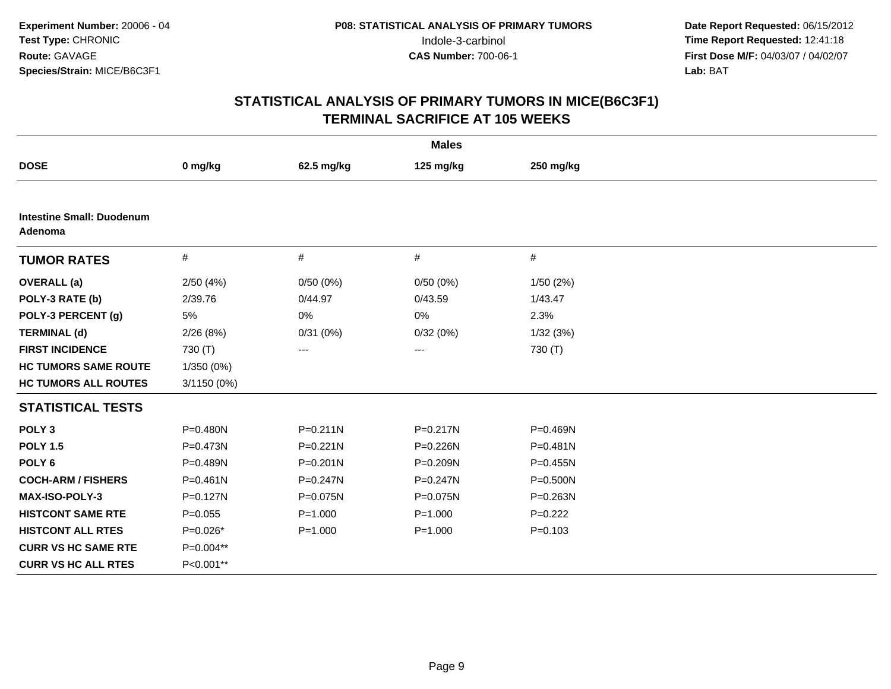| <b>Males</b>                                |              |              |                   |              |  |
|---------------------------------------------|--------------|--------------|-------------------|--------------|--|
| <b>DOSE</b>                                 | 0 mg/kg      | 62.5 mg/kg   | 125 mg/kg         | 250 mg/kg    |  |
|                                             |              |              |                   |              |  |
| <b>Intestine Small: Duodenum</b><br>Adenoma |              |              |                   |              |  |
| <b>TUMOR RATES</b>                          | #            | $\#$         | $\#$              | $\#$         |  |
| <b>OVERALL</b> (a)                          | 2/50(4%)     | 0/50(0%)     | 0/50(0%)          | 1/50(2%)     |  |
| POLY-3 RATE (b)                             | 2/39.76      | 0/44.97      | 0/43.59           | 1/43.47      |  |
| POLY-3 PERCENT (g)                          | 5%           | 0%           | 0%                | 2.3%         |  |
| <b>TERMINAL (d)</b>                         | 2/26(8%)     | 0/31(0%)     | 0/32(0%)          | 1/32(3%)     |  |
| <b>FIRST INCIDENCE</b>                      | 730 (T)      | ---          | $\qquad \qquad -$ | 730 (T)      |  |
| <b>HC TUMORS SAME ROUTE</b>                 | 1/350 (0%)   |              |                   |              |  |
| <b>HC TUMORS ALL ROUTES</b>                 | 3/1150 (0%)  |              |                   |              |  |
| <b>STATISTICAL TESTS</b>                    |              |              |                   |              |  |
| POLY <sub>3</sub>                           | $P = 0.480N$ | $P = 0.211N$ | $P = 0.217N$      | $P = 0.469N$ |  |
| <b>POLY 1.5</b>                             | P=0.473N     | $P = 0.221N$ | P=0.226N          | $P = 0.481N$ |  |
| POLY <sub>6</sub>                           | P=0.489N     | $P = 0.201N$ | P=0.209N          | $P = 0.455N$ |  |
| <b>COCH-ARM / FISHERS</b>                   | $P = 0.461N$ | $P = 0.247N$ | $P = 0.247N$      | $P = 0.500N$ |  |
| MAX-ISO-POLY-3                              | $P = 0.127N$ | P=0.075N     | P=0.075N          | P=0.263N     |  |
| <b>HISTCONT SAME RTE</b>                    | $P=0.055$    | $P = 1.000$  | $P = 1.000$       | $P=0.222$    |  |
| <b>HISTCONT ALL RTES</b>                    | $P=0.026*$   | $P = 1.000$  | $P = 1.000$       | $P = 0.103$  |  |
| <b>CURR VS HC SAME RTE</b>                  | P=0.004**    |              |                   |              |  |
| <b>CURR VS HC ALL RTES</b>                  | P<0.001**    |              |                   |              |  |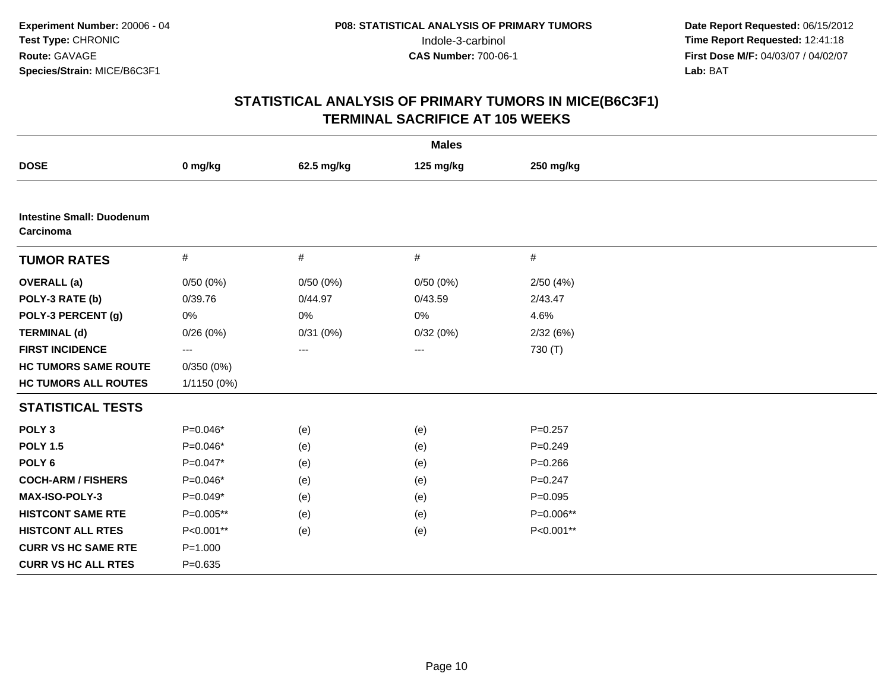| <b>Males</b>                                  |                   |            |           |             |  |
|-----------------------------------------------|-------------------|------------|-----------|-------------|--|
| <b>DOSE</b>                                   | 0 mg/kg           | 62.5 mg/kg | 125 mg/kg | 250 mg/kg   |  |
|                                               |                   |            |           |             |  |
| <b>Intestine Small: Duodenum</b><br>Carcinoma |                   |            |           |             |  |
| <b>TUMOR RATES</b>                            | $\#$              | $\#$       | $\#$      | $\#$        |  |
| <b>OVERALL</b> (a)                            | 0/50(0%)          | 0/50(0%)   | 0/50(0%)  | 2/50(4%)    |  |
| POLY-3 RATE (b)                               | 0/39.76           | 0/44.97    | 0/43.59   | 2/43.47     |  |
| POLY-3 PERCENT (g)                            | 0%                | 0%         | 0%        | 4.6%        |  |
| <b>TERMINAL (d)</b>                           | 0/26(0%)          | 0/31(0%)   | 0/32(0%)  | 2/32 (6%)   |  |
| <b>FIRST INCIDENCE</b>                        | $\qquad \qquad -$ | ---        | ---       | 730 (T)     |  |
| <b>HC TUMORS SAME ROUTE</b>                   | 0/350(0%)         |            |           |             |  |
| <b>HC TUMORS ALL ROUTES</b>                   | 1/1150 (0%)       |            |           |             |  |
| <b>STATISTICAL TESTS</b>                      |                   |            |           |             |  |
| POLY <sub>3</sub>                             | $P=0.046*$        | (e)        | (e)       | $P = 0.257$ |  |
| <b>POLY 1.5</b>                               | P=0.046*          | (e)        | (e)       | $P = 0.249$ |  |
| POLY <sub>6</sub>                             | $P=0.047*$        | (e)        | (e)       | $P = 0.266$ |  |
| <b>COCH-ARM / FISHERS</b>                     | $P=0.046*$        | (e)        | (e)       | $P = 0.247$ |  |
| MAX-ISO-POLY-3                                | P=0.049*          | (e)        | (e)       | $P = 0.095$ |  |
| <b>HISTCONT SAME RTE</b>                      | P=0.005**         | (e)        | (e)       | P=0.006**   |  |
| <b>HISTCONT ALL RTES</b>                      | P<0.001**         | (e)        | (e)       | P<0.001**   |  |
| <b>CURR VS HC SAME RTE</b>                    | $P = 1.000$       |            |           |             |  |
| <b>CURR VS HC ALL RTES</b>                    | $P = 0.635$       |            |           |             |  |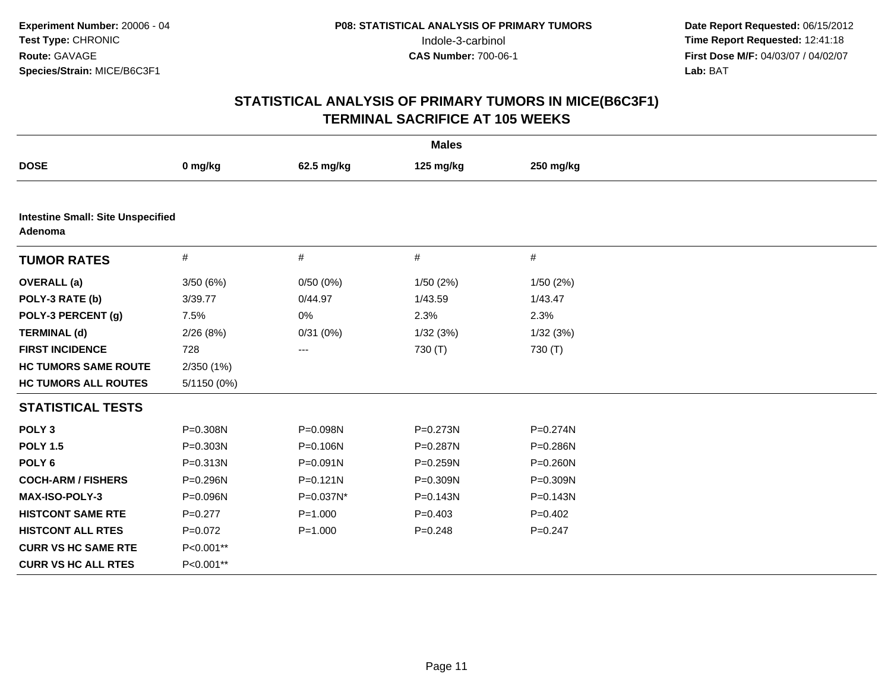| <b>Males</b>                                        |             |                   |              |              |  |
|-----------------------------------------------------|-------------|-------------------|--------------|--------------|--|
| <b>DOSE</b>                                         | 0 mg/kg     | 62.5 mg/kg        | 125 mg/kg    | 250 mg/kg    |  |
|                                                     |             |                   |              |              |  |
| <b>Intestine Small: Site Unspecified</b><br>Adenoma |             |                   |              |              |  |
| <b>TUMOR RATES</b>                                  | $\#$        | #                 | $\#$         | $\#$         |  |
| <b>OVERALL</b> (a)                                  | 3/50(6%)    | 0/50(0%)          | 1/50(2%)     | 1/50(2%)     |  |
| POLY-3 RATE (b)                                     | 3/39.77     | 0/44.97           | 1/43.59      | 1/43.47      |  |
| POLY-3 PERCENT (g)                                  | 7.5%        | 0%                | 2.3%         | 2.3%         |  |
| <b>TERMINAL (d)</b>                                 | 2/26(8%)    | 0/31(0%)          | 1/32(3%)     | 1/32(3%)     |  |
| <b>FIRST INCIDENCE</b>                              | 728         | $\qquad \qquad -$ | 730 (T)      | 730 (T)      |  |
| <b>HC TUMORS SAME ROUTE</b>                         | 2/350 (1%)  |                   |              |              |  |
| <b>HC TUMORS ALL ROUTES</b>                         | 5/1150 (0%) |                   |              |              |  |
| <b>STATISTICAL TESTS</b>                            |             |                   |              |              |  |
| POLY <sub>3</sub>                                   | P=0.308N    | P=0.098N          | P=0.273N     | P=0.274N     |  |
| <b>POLY 1.5</b>                                     | P=0.303N    | P=0.106N          | P=0.287N     | $P = 0.286N$ |  |
| POLY <sub>6</sub>                                   | P=0.313N    | $P = 0.091N$      | P=0.259N     | P=0.260N     |  |
| <b>COCH-ARM / FISHERS</b>                           | P=0.296N    | $P = 0.121N$      | P=0.309N     | P=0.309N     |  |
| MAX-ISO-POLY-3                                      | P=0.096N    | P=0.037N*         | $P = 0.143N$ | P=0.143N     |  |
| <b>HISTCONT SAME RTE</b>                            | $P=0.277$   | $P = 1.000$       | $P=0.403$    | $P=0.402$    |  |
| <b>HISTCONT ALL RTES</b>                            | $P=0.072$   | $P = 1.000$       | $P = 0.248$  | $P = 0.247$  |  |
| <b>CURR VS HC SAME RTE</b>                          | P<0.001**   |                   |              |              |  |
| <b>CURR VS HC ALL RTES</b>                          | P<0.001**   |                   |              |              |  |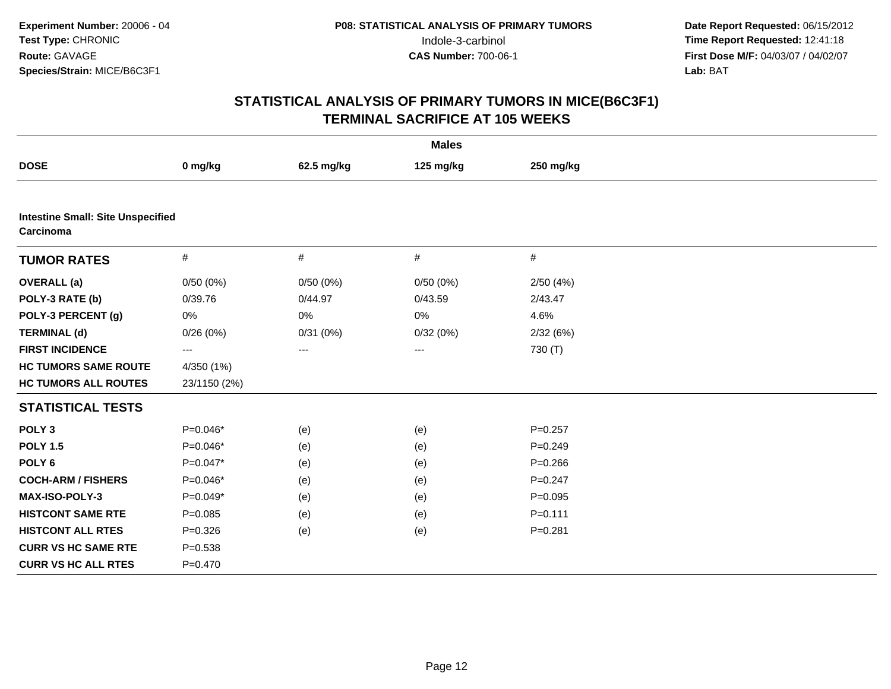| <b>Males</b>                                          |                   |            |                   |             |  |
|-------------------------------------------------------|-------------------|------------|-------------------|-------------|--|
| <b>DOSE</b>                                           | 0 mg/kg           | 62.5 mg/kg | 125 mg/kg         | 250 mg/kg   |  |
|                                                       |                   |            |                   |             |  |
| <b>Intestine Small: Site Unspecified</b><br>Carcinoma |                   |            |                   |             |  |
| <b>TUMOR RATES</b>                                    | $\#$              | #          | $\#$              | $\#$        |  |
| <b>OVERALL</b> (a)                                    | 0/50(0%)          | 0/50(0%)   | 0/50(0%)          | 2/50(4%)    |  |
| POLY-3 RATE (b)                                       | 0/39.76           | 0/44.97    | 0/43.59           | 2/43.47     |  |
| POLY-3 PERCENT (g)                                    | $0\%$             | 0%         | 0%                | 4.6%        |  |
| <b>TERMINAL (d)</b>                                   | 0/26(0%)          | 0/31(0%)   | 0/32(0%)          | 2/32(6%)    |  |
| <b>FIRST INCIDENCE</b>                                | $\qquad \qquad -$ | $---$      | $\qquad \qquad -$ | 730 (T)     |  |
| <b>HC TUMORS SAME ROUTE</b>                           | 4/350 (1%)        |            |                   |             |  |
| <b>HC TUMORS ALL ROUTES</b>                           | 23/1150 (2%)      |            |                   |             |  |
| <b>STATISTICAL TESTS</b>                              |                   |            |                   |             |  |
| POLY <sub>3</sub>                                     | $P=0.046*$        | (e)        | (e)               | $P = 0.257$ |  |
| <b>POLY 1.5</b>                                       | P=0.046*          | (e)        | (e)               | $P = 0.249$ |  |
| POLY <sub>6</sub>                                     | $P=0.047*$        | (e)        | (e)               | $P = 0.266$ |  |
| <b>COCH-ARM / FISHERS</b>                             | P=0.046*          | (e)        | (e)               | $P = 0.247$ |  |
| MAX-ISO-POLY-3                                        | $P=0.049*$        | (e)        | (e)               | $P=0.095$   |  |
| <b>HISTCONT SAME RTE</b>                              | $P = 0.085$       | (e)        | (e)               | $P = 0.111$ |  |
| <b>HISTCONT ALL RTES</b>                              | $P = 0.326$       | (e)        | (e)               | $P = 0.281$ |  |
| <b>CURR VS HC SAME RTE</b>                            | $P = 0.538$       |            |                   |             |  |
| <b>CURR VS HC ALL RTES</b>                            | $P = 0.470$       |            |                   |             |  |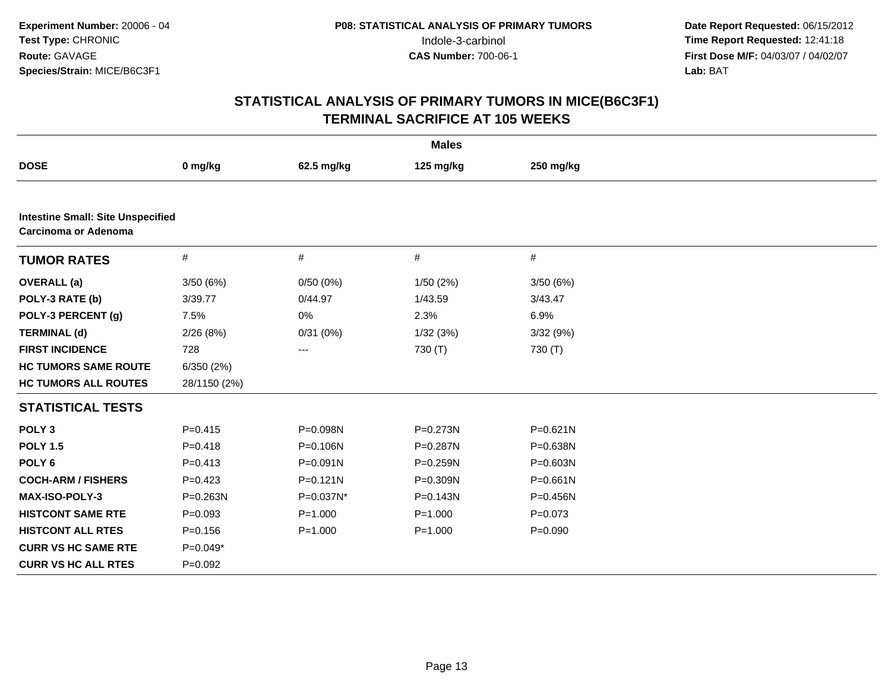| <b>Males</b>                                                     |              |              |              |              |  |
|------------------------------------------------------------------|--------------|--------------|--------------|--------------|--|
| <b>DOSE</b>                                                      | 0 mg/kg      | 62.5 mg/kg   | 125 mg/kg    | 250 mg/kg    |  |
|                                                                  |              |              |              |              |  |
| <b>Intestine Small: Site Unspecified</b><br>Carcinoma or Adenoma |              |              |              |              |  |
| <b>TUMOR RATES</b>                                               | $\#$         | $\#$         | $\#$         | $\#$         |  |
| <b>OVERALL</b> (a)                                               | 3/50(6%)     | 0/50(0%)     | 1/50(2%)     | 3/50(6%)     |  |
| POLY-3 RATE (b)                                                  | 3/39.77      | 0/44.97      | 1/43.59      | 3/43.47      |  |
| POLY-3 PERCENT (g)                                               | 7.5%         | 0%           | 2.3%         | 6.9%         |  |
| <b>TERMINAL (d)</b>                                              | 2/26(8%)     | 0/31(0%)     | 1/32(3%)     | 3/32 (9%)    |  |
| <b>FIRST INCIDENCE</b>                                           | 728          | $---$        | 730 (T)      | 730 (T)      |  |
| <b>HC TUMORS SAME ROUTE</b>                                      | 6/350(2%)    |              |              |              |  |
| <b>HC TUMORS ALL ROUTES</b>                                      | 28/1150 (2%) |              |              |              |  |
| <b>STATISTICAL TESTS</b>                                         |              |              |              |              |  |
| POLY <sub>3</sub>                                                | $P=0.415$    | P=0.098N     | $P = 0.273N$ | $P = 0.621N$ |  |
| <b>POLY 1.5</b>                                                  | $P = 0.418$  | P=0.106N     | P=0.287N     | $P = 0.638N$ |  |
| POLY <sub>6</sub>                                                | $P = 0.413$  | $P = 0.091N$ | P=0.259N     | $P = 0.603N$ |  |
| <b>COCH-ARM / FISHERS</b>                                        | $P=0.423$    | $P = 0.121N$ | P=0.309N     | $P = 0.661N$ |  |
| <b>MAX-ISO-POLY-3</b>                                            | $P = 0.263N$ | P=0.037N*    | $P = 0.143N$ | $P = 0.456N$ |  |
| <b>HISTCONT SAME RTE</b>                                         | $P=0.093$    | $P = 1.000$  | $P = 1.000$  | $P=0.073$    |  |
| <b>HISTCONT ALL RTES</b>                                         | $P = 0.156$  | $P = 1.000$  | $P = 1.000$  | $P = 0.090$  |  |
| <b>CURR VS HC SAME RTE</b>                                       | $P=0.049*$   |              |              |              |  |
| <b>CURR VS HC ALL RTES</b>                                       | $P = 0.092$  |              |              |              |  |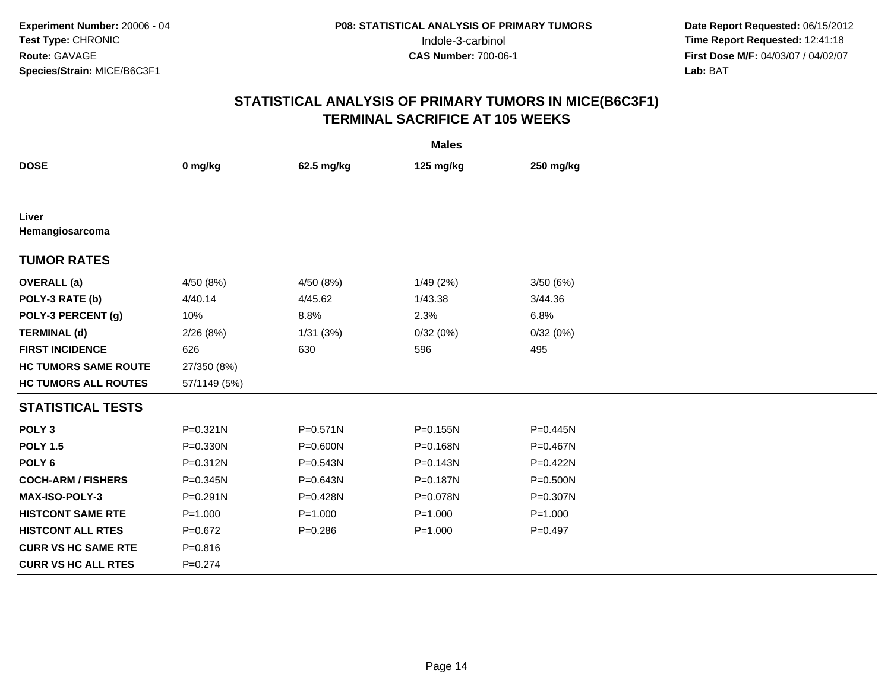| <b>Males</b>                |              |              |             |              |  |
|-----------------------------|--------------|--------------|-------------|--------------|--|
| <b>DOSE</b>                 | 0 mg/kg      | 62.5 mg/kg   | 125 mg/kg   | 250 mg/kg    |  |
|                             |              |              |             |              |  |
| Liver<br>Hemangiosarcoma    |              |              |             |              |  |
| <b>TUMOR RATES</b>          |              |              |             |              |  |
| <b>OVERALL</b> (a)          | 4/50 (8%)    | 4/50 (8%)    | 1/49(2%)    | 3/50 (6%)    |  |
| POLY-3 RATE (b)             | 4/40.14      | 4/45.62      | 1/43.38     | 3/44.36      |  |
| POLY-3 PERCENT (g)          | 10%          | 8.8%         | 2.3%        | 6.8%         |  |
| <b>TERMINAL (d)</b>         | 2/26(8%)     | 1/31(3%)     | 0/32(0%)    | 0/32(0%)     |  |
| <b>FIRST INCIDENCE</b>      | 626          | 630          | 596         | 495          |  |
| <b>HC TUMORS SAME ROUTE</b> | 27/350 (8%)  |              |             |              |  |
| <b>HC TUMORS ALL ROUTES</b> | 57/1149 (5%) |              |             |              |  |
| <b>STATISTICAL TESTS</b>    |              |              |             |              |  |
| POLY <sub>3</sub>           | $P = 0.321N$ | $P = 0.571N$ | P=0.155N    | P=0.445N     |  |
| <b>POLY 1.5</b>             | $P = 0.330N$ | $P = 0.600N$ | P=0.168N    | P=0.467N     |  |
| POLY <sub>6</sub>           | P=0.312N     | $P = 0.543N$ | P=0.143N    | $P = 0.422N$ |  |
| <b>COCH-ARM / FISHERS</b>   | P=0.345N     | $P = 0.643N$ | P=0.187N    | P=0.500N     |  |
| <b>MAX-ISO-POLY-3</b>       | $P = 0.291N$ | P=0.428N     | P=0.078N    | P=0.307N     |  |
| <b>HISTCONT SAME RTE</b>    | $P = 1.000$  | $P = 1.000$  | $P = 1.000$ | $P = 1.000$  |  |
| <b>HISTCONT ALL RTES</b>    | $P=0.672$    | $P = 0.286$  | $P = 1.000$ | $P = 0.497$  |  |
| <b>CURR VS HC SAME RTE</b>  | $P = 0.816$  |              |             |              |  |
| <b>CURR VS HC ALL RTES</b>  | $P = 0.274$  |              |             |              |  |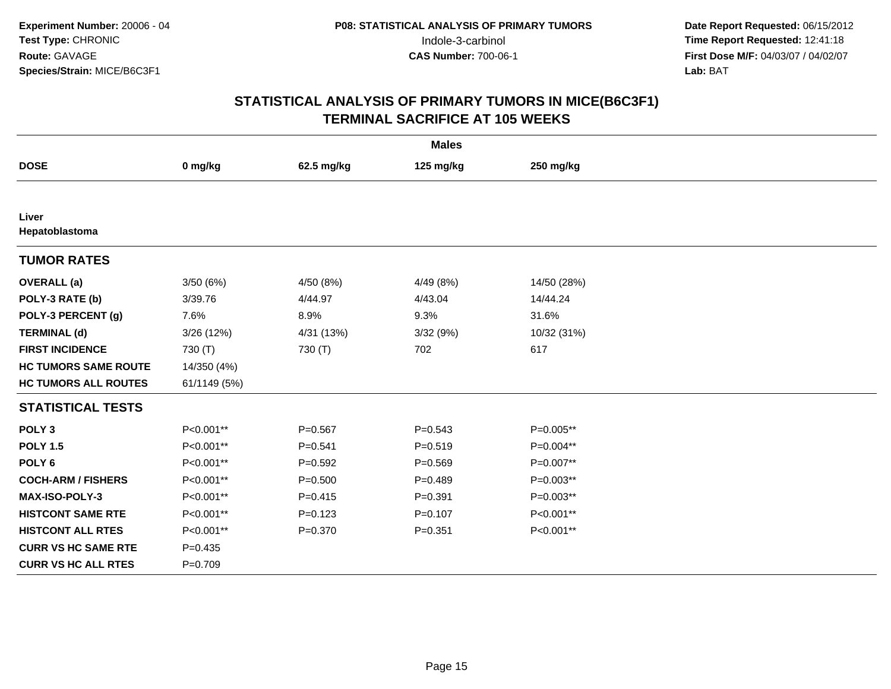| <b>Males</b>                |              |             |             |             |  |
|-----------------------------|--------------|-------------|-------------|-------------|--|
| <b>DOSE</b>                 | 0 mg/kg      | 62.5 mg/kg  | 125 mg/kg   | 250 mg/kg   |  |
|                             |              |             |             |             |  |
| Liver<br>Hepatoblastoma     |              |             |             |             |  |
| <b>TUMOR RATES</b>          |              |             |             |             |  |
| <b>OVERALL</b> (a)          | 3/50 (6%)    | 4/50 (8%)   | 4/49 (8%)   | 14/50 (28%) |  |
| POLY-3 RATE (b)             | 3/39.76      | 4/44.97     | 4/43.04     | 14/44.24    |  |
| POLY-3 PERCENT (g)          | 7.6%         | 8.9%        | 9.3%        | 31.6%       |  |
| <b>TERMINAL (d)</b>         | 3/26 (12%)   | 4/31 (13%)  | 3/32 (9%)   | 10/32 (31%) |  |
| <b>FIRST INCIDENCE</b>      | 730 (T)      | 730 (T)     | 702         | 617         |  |
| <b>HC TUMORS SAME ROUTE</b> | 14/350 (4%)  |             |             |             |  |
| <b>HC TUMORS ALL ROUTES</b> | 61/1149 (5%) |             |             |             |  |
| <b>STATISTICAL TESTS</b>    |              |             |             |             |  |
| POLY <sub>3</sub>           | P<0.001**    | $P = 0.567$ | $P = 0.543$ | P=0.005**   |  |
| <b>POLY 1.5</b>             | P<0.001**    | $P = 0.541$ | $P = 0.519$ | P=0.004**   |  |
| POLY <sub>6</sub>           | P<0.001**    | $P=0.592$   | $P = 0.569$ | P=0.007**   |  |
| <b>COCH-ARM / FISHERS</b>   | P<0.001**    | $P = 0.500$ | $P=0.489$   | $P=0.003**$ |  |
| MAX-ISO-POLY-3              | P<0.001**    | $P=0.415$   | $P = 0.391$ | $P=0.003**$ |  |
| <b>HISTCONT SAME RTE</b>    | P<0.001**    | $P=0.123$   | $P = 0.107$ | P<0.001**   |  |
| <b>HISTCONT ALL RTES</b>    | P<0.001**    | $P = 0.370$ | $P = 0.351$ | P<0.001**   |  |
| <b>CURR VS HC SAME RTE</b>  | $P = 0.435$  |             |             |             |  |
| <b>CURR VS HC ALL RTES</b>  | $P=0.709$    |             |             |             |  |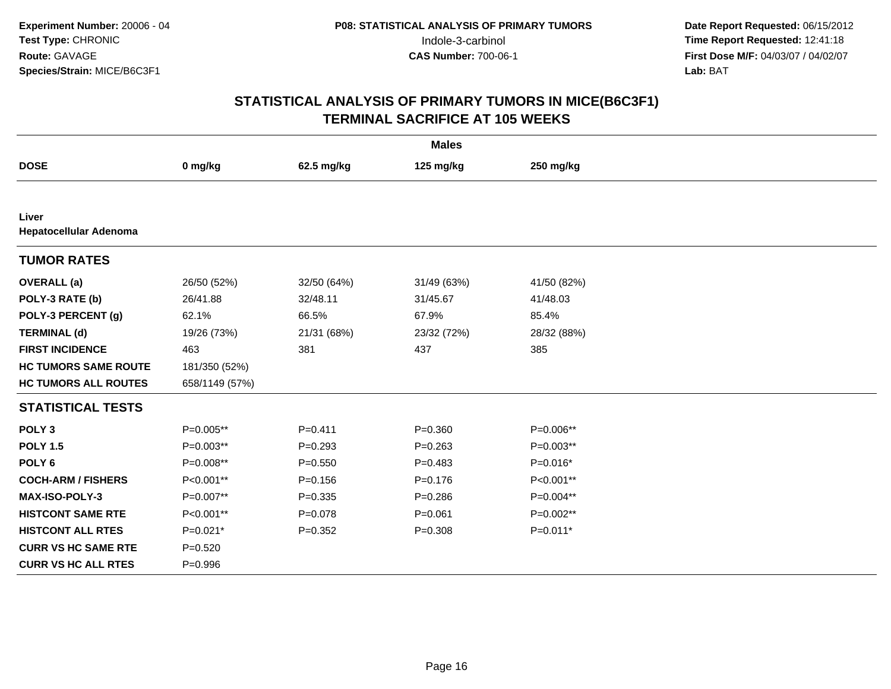| <b>Males</b>                    |                |             |             |             |  |
|---------------------------------|----------------|-------------|-------------|-------------|--|
| <b>DOSE</b>                     | 0 mg/kg        | 62.5 mg/kg  | 125 mg/kg   | 250 mg/kg   |  |
|                                 |                |             |             |             |  |
| Liver<br>Hepatocellular Adenoma |                |             |             |             |  |
| <b>TUMOR RATES</b>              |                |             |             |             |  |
| <b>OVERALL</b> (a)              | 26/50 (52%)    | 32/50 (64%) | 31/49 (63%) | 41/50 (82%) |  |
| POLY-3 RATE (b)                 | 26/41.88       | 32/48.11    | 31/45.67    | 41/48.03    |  |
| POLY-3 PERCENT (g)              | 62.1%          | 66.5%       | 67.9%       | 85.4%       |  |
| <b>TERMINAL (d)</b>             | 19/26 (73%)    | 21/31 (68%) | 23/32 (72%) | 28/32 (88%) |  |
| <b>FIRST INCIDENCE</b>          | 463            | 381         | 437         | 385         |  |
| <b>HC TUMORS SAME ROUTE</b>     | 181/350 (52%)  |             |             |             |  |
| <b>HC TUMORS ALL ROUTES</b>     | 658/1149 (57%) |             |             |             |  |
| <b>STATISTICAL TESTS</b>        |                |             |             |             |  |
| POLY <sub>3</sub>               | P=0.005**      | $P = 0.411$ | $P = 0.360$ | P=0.006**   |  |
| <b>POLY 1.5</b>                 | P=0.003**      | $P = 0.293$ | $P = 0.263$ | P=0.003**   |  |
| POLY <sub>6</sub>               | P=0.008**      | $P = 0.550$ | $P = 0.483$ | $P=0.016*$  |  |
| <b>COCH-ARM / FISHERS</b>       | P<0.001**      | $P = 0.156$ | $P = 0.176$ | P<0.001**   |  |
| MAX-ISO-POLY-3                  | P=0.007**      | $P = 0.335$ | $P = 0.286$ | P=0.004**   |  |
| <b>HISTCONT SAME RTE</b>        | P<0.001**      | $P = 0.078$ | $P = 0.061$ | $P=0.002**$ |  |
| <b>HISTCONT ALL RTES</b>        | $P=0.021*$     | $P=0.352$   | $P = 0.308$ | $P=0.011*$  |  |
| <b>CURR VS HC SAME RTE</b>      | $P = 0.520$    |             |             |             |  |
| <b>CURR VS HC ALL RTES</b>      | $P = 0.996$    |             |             |             |  |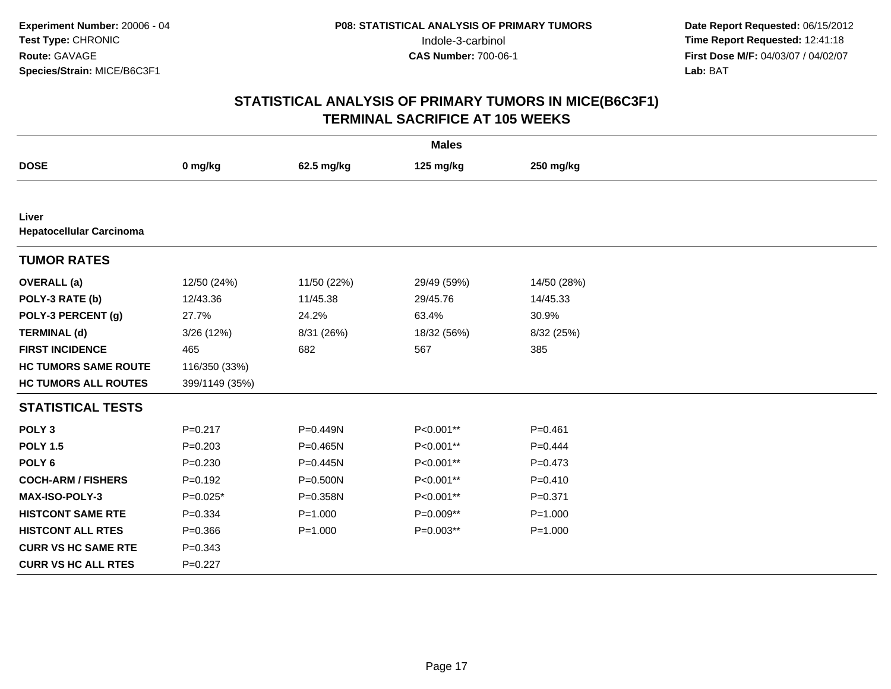| <b>Males</b>                             |                |              |             |             |  |
|------------------------------------------|----------------|--------------|-------------|-------------|--|
| <b>DOSE</b>                              | 0 mg/kg        | 62.5 mg/kg   | 125 mg/kg   | 250 mg/kg   |  |
|                                          |                |              |             |             |  |
| Liver<br><b>Hepatocellular Carcinoma</b> |                |              |             |             |  |
| <b>TUMOR RATES</b>                       |                |              |             |             |  |
| <b>OVERALL</b> (a)                       | 12/50 (24%)    | 11/50 (22%)  | 29/49 (59%) | 14/50 (28%) |  |
| POLY-3 RATE (b)                          | 12/43.36       | 11/45.38     | 29/45.76    | 14/45.33    |  |
| POLY-3 PERCENT (g)                       | 27.7%          | 24.2%        | 63.4%       | 30.9%       |  |
| <b>TERMINAL (d)</b>                      | 3/26 (12%)     | 8/31 (26%)   | 18/32 (56%) | 8/32 (25%)  |  |
| <b>FIRST INCIDENCE</b>                   | 465            | 682          | 567         | 385         |  |
| <b>HC TUMORS SAME ROUTE</b>              | 116/350 (33%)  |              |             |             |  |
| <b>HC TUMORS ALL ROUTES</b>              | 399/1149 (35%) |              |             |             |  |
| <b>STATISTICAL TESTS</b>                 |                |              |             |             |  |
| POLY <sub>3</sub>                        | $P = 0.217$    | P=0.449N     | P<0.001**   | $P = 0.461$ |  |
| <b>POLY 1.5</b>                          | $P = 0.203$    | $P = 0.465N$ | P<0.001**   | $P = 0.444$ |  |
| POLY <sub>6</sub>                        | $P = 0.230$    | $P = 0.445N$ | P<0.001**   | $P=0.473$   |  |
| <b>COCH-ARM / FISHERS</b>                | $P=0.192$      | P=0.500N     | P<0.001**   | $P=0.410$   |  |
| <b>MAX-ISO-POLY-3</b>                    | $P=0.025*$     | P=0.358N     | P<0.001**   | $P = 0.371$ |  |
| <b>HISTCONT SAME RTE</b>                 | $P = 0.334$    | $P = 1.000$  | P=0.009**   | $P = 1.000$ |  |
| <b>HISTCONT ALL RTES</b>                 | $P = 0.366$    | $P = 1.000$  | P=0.003**   | $P = 1.000$ |  |
| <b>CURR VS HC SAME RTE</b>               | $P = 0.343$    |              |             |             |  |
| <b>CURR VS HC ALL RTES</b>               | $P=0.227$      |              |             |             |  |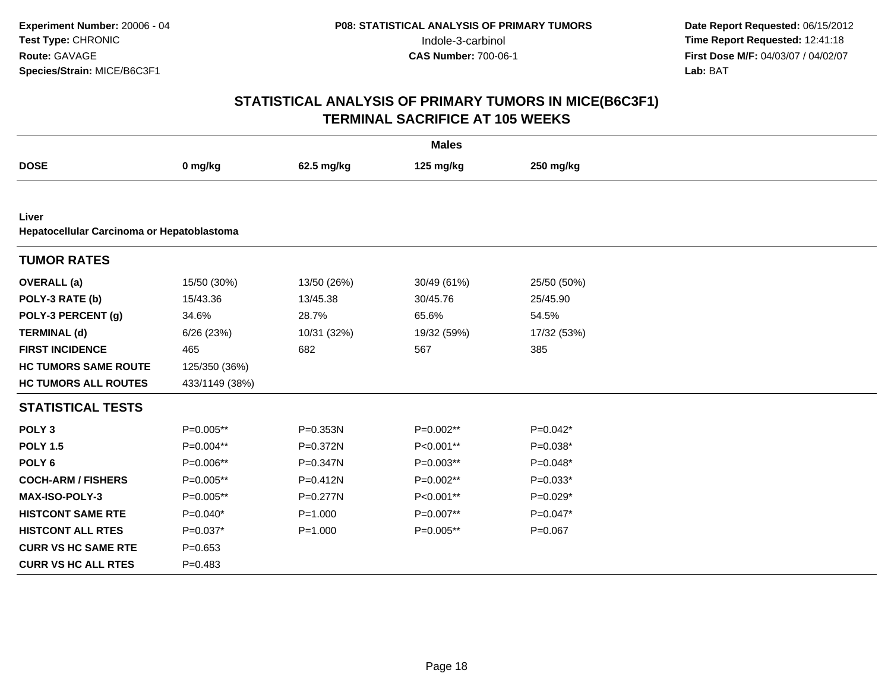|                                                     |                |              | <b>Males</b> |             |
|-----------------------------------------------------|----------------|--------------|--------------|-------------|
| <b>DOSE</b>                                         | 0 mg/kg        | 62.5 mg/kg   | 125 mg/kg    | 250 mg/kg   |
|                                                     |                |              |              |             |
| Liver<br>Hepatocellular Carcinoma or Hepatoblastoma |                |              |              |             |
| <b>TUMOR RATES</b>                                  |                |              |              |             |
| <b>OVERALL</b> (a)                                  | 15/50 (30%)    | 13/50 (26%)  | 30/49 (61%)  | 25/50 (50%) |
| POLY-3 RATE (b)                                     | 15/43.36       | 13/45.38     | 30/45.76     | 25/45.90    |
| POLY-3 PERCENT (g)                                  | 34.6%          | 28.7%        | 65.6%        | 54.5%       |
| <b>TERMINAL (d)</b>                                 | 6/26 (23%)     | 10/31 (32%)  | 19/32 (59%)  | 17/32 (53%) |
| <b>FIRST INCIDENCE</b>                              | 465            | 682          | 567          | 385         |
| <b>HC TUMORS SAME ROUTE</b>                         | 125/350 (36%)  |              |              |             |
| <b>HC TUMORS ALL ROUTES</b>                         | 433/1149 (38%) |              |              |             |
| <b>STATISTICAL TESTS</b>                            |                |              |              |             |
| POLY <sub>3</sub>                                   | P=0.005**      | P=0.353N     | P=0.002**    | $P=0.042*$  |
| <b>POLY 1.5</b>                                     | P=0.004**      | P=0.372N     | P<0.001**    | $P=0.038*$  |
| POLY <sub>6</sub>                                   | P=0.006**      | P=0.347N     | P=0.003**    | $P=0.048*$  |
| <b>COCH-ARM / FISHERS</b>                           | P=0.005**      | P=0.412N     | P=0.002**    | $P=0.033*$  |
| <b>MAX-ISO-POLY-3</b>                               | P=0.005**      | $P = 0.277N$ | P<0.001**    | $P=0.029*$  |
| <b>HISTCONT SAME RTE</b>                            | $P=0.040*$     | $P = 1.000$  | P=0.007**    | $P=0.047*$  |
| <b>HISTCONT ALL RTES</b>                            | $P=0.037*$     | $P = 1.000$  | P=0.005**    | $P=0.067$   |
| <b>CURR VS HC SAME RTE</b>                          | $P = 0.653$    |              |              |             |
| <b>CURR VS HC ALL RTES</b>                          | $P=0.483$      |              |              |             |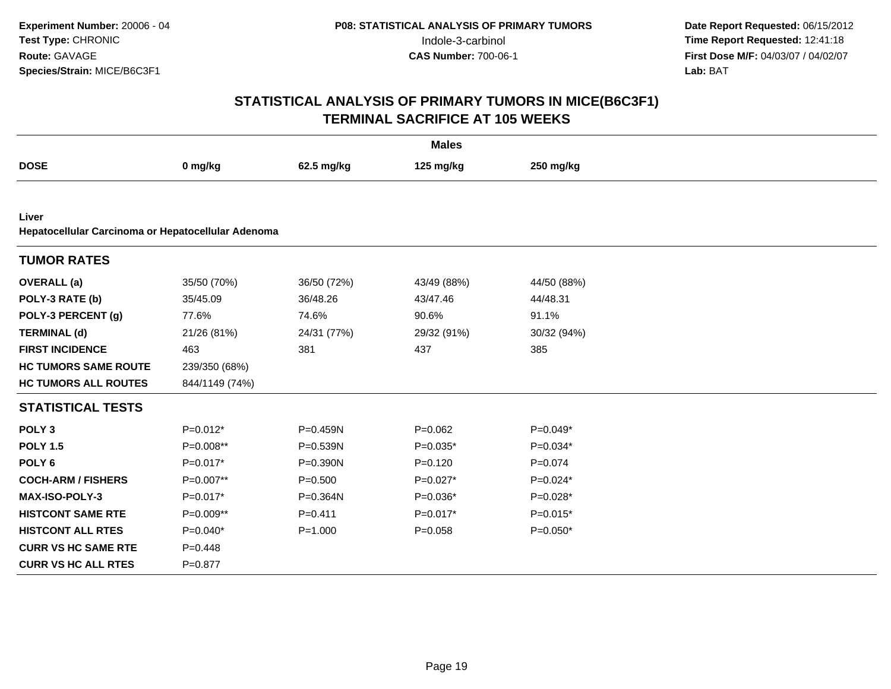|                                                    |                |              | <b>Males</b> |             |  |
|----------------------------------------------------|----------------|--------------|--------------|-------------|--|
| <b>DOSE</b>                                        | 0 mg/kg        | 62.5 mg/kg   | 125 mg/kg    | 250 mg/kg   |  |
|                                                    |                |              |              |             |  |
| Liver                                              |                |              |              |             |  |
| Hepatocellular Carcinoma or Hepatocellular Adenoma |                |              |              |             |  |
| <b>TUMOR RATES</b>                                 |                |              |              |             |  |
| <b>OVERALL</b> (a)                                 | 35/50 (70%)    | 36/50 (72%)  | 43/49 (88%)  | 44/50 (88%) |  |
| POLY-3 RATE (b)                                    | 35/45.09       | 36/48.26     | 43/47.46     | 44/48.31    |  |
| POLY-3 PERCENT (g)                                 | 77.6%          | 74.6%        | 90.6%        | 91.1%       |  |
| <b>TERMINAL (d)</b>                                | 21/26 (81%)    | 24/31 (77%)  | 29/32 (91%)  | 30/32 (94%) |  |
| <b>FIRST INCIDENCE</b>                             | 463            | 381          | 437          | 385         |  |
| <b>HC TUMORS SAME ROUTE</b>                        | 239/350 (68%)  |              |              |             |  |
| <b>HC TUMORS ALL ROUTES</b>                        | 844/1149 (74%) |              |              |             |  |
| <b>STATISTICAL TESTS</b>                           |                |              |              |             |  |
| POLY <sub>3</sub>                                  | $P=0.012*$     | P=0.459N     | $P=0.062$    | $P=0.049*$  |  |
| <b>POLY 1.5</b>                                    | P=0.008**      | P=0.539N     | $P=0.035*$   | $P=0.034*$  |  |
| POLY <sub>6</sub>                                  | $P=0.017*$     | $P = 0.390N$ | $P=0.120$    | $P = 0.074$ |  |
| <b>COCH-ARM / FISHERS</b>                          | P=0.007**      | $P = 0.500$  | $P=0.027*$   | $P=0.024*$  |  |
| <b>MAX-ISO-POLY-3</b>                              | $P=0.017*$     | P=0.364N     | $P=0.036*$   | $P=0.028*$  |  |
| <b>HISTCONT SAME RTE</b>                           | $P=0.009**$    | $P = 0.411$  | $P=0.017*$   | $P=0.015*$  |  |
| <b>HISTCONT ALL RTES</b>                           | $P=0.040*$     | $P = 1.000$  | $P = 0.058$  | $P=0.050*$  |  |
| <b>CURR VS HC SAME RTE</b>                         | $P=0.448$      |              |              |             |  |
| <b>CURR VS HC ALL RTES</b>                         | $P = 0.877$    |              |              |             |  |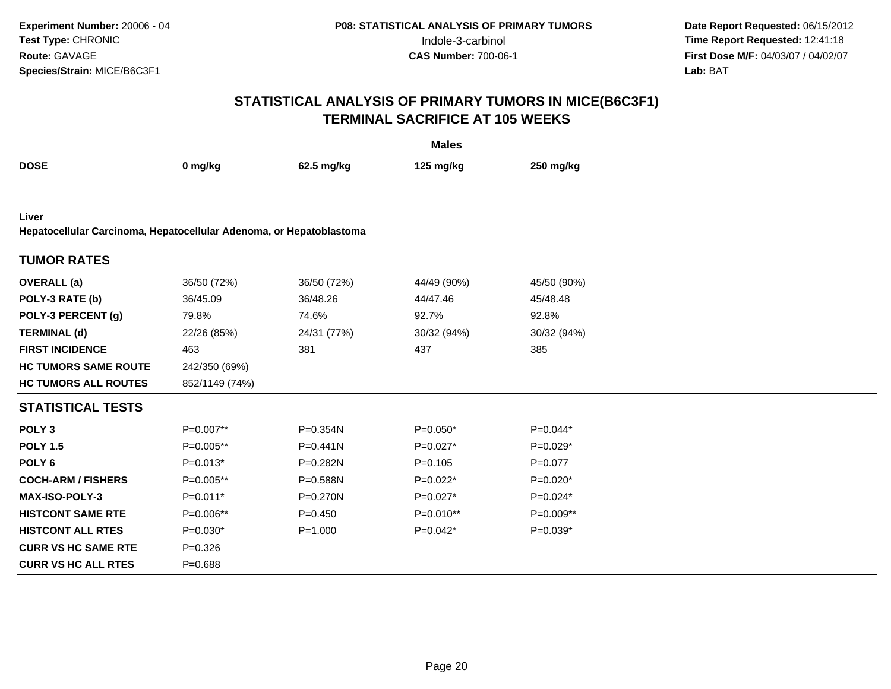|                                                                              |                |              | <b>Males</b> |             |
|------------------------------------------------------------------------------|----------------|--------------|--------------|-------------|
| <b>DOSE</b>                                                                  | 0 mg/kg        | 62.5 mg/kg   | 125 mg/kg    | 250 mg/kg   |
|                                                                              |                |              |              |             |
| Liver<br>Hepatocellular Carcinoma, Hepatocellular Adenoma, or Hepatoblastoma |                |              |              |             |
| <b>TUMOR RATES</b>                                                           |                |              |              |             |
| <b>OVERALL</b> (a)                                                           | 36/50 (72%)    | 36/50 (72%)  | 44/49 (90%)  | 45/50 (90%) |
| POLY-3 RATE (b)                                                              | 36/45.09       | 36/48.26     | 44/47.46     | 45/48.48    |
| POLY-3 PERCENT (g)                                                           | 79.8%          | 74.6%        | 92.7%        | 92.8%       |
| <b>TERMINAL (d)</b>                                                          | 22/26 (85%)    | 24/31 (77%)  | 30/32 (94%)  | 30/32 (94%) |
| <b>FIRST INCIDENCE</b>                                                       | 463            | 381          | 437          | 385         |
| <b>HC TUMORS SAME ROUTE</b>                                                  | 242/350 (69%)  |              |              |             |
| <b>HC TUMORS ALL ROUTES</b>                                                  | 852/1149 (74%) |              |              |             |
| <b>STATISTICAL TESTS</b>                                                     |                |              |              |             |
| POLY <sub>3</sub>                                                            | P=0.007**      | P=0.354N     | $P=0.050*$   | $P=0.044*$  |
| <b>POLY 1.5</b>                                                              | P=0.005**      | $P = 0.441N$ | $P=0.027*$   | $P=0.029*$  |
| POLY <sub>6</sub>                                                            | $P=0.013*$     | P=0.282N     | $P = 0.105$  | $P=0.077$   |
| <b>COCH-ARM / FISHERS</b>                                                    | P=0.005**      | P=0.588N     | $P=0.022*$   | $P=0.020*$  |
| <b>MAX-ISO-POLY-3</b>                                                        | $P=0.011*$     | $P = 0.270N$ | $P=0.027*$   | $P=0.024*$  |
| <b>HISTCONT SAME RTE</b>                                                     | P=0.006**      | $P = 0.450$  | P=0.010**    | P=0.009**   |
| <b>HISTCONT ALL RTES</b>                                                     | $P=0.030*$     | $P = 1.000$  | $P=0.042*$   | $P=0.039*$  |
| <b>CURR VS HC SAME RTE</b>                                                   | $P = 0.326$    |              |              |             |
| <b>CURR VS HC ALL RTES</b>                                                   | $P = 0.688$    |              |              |             |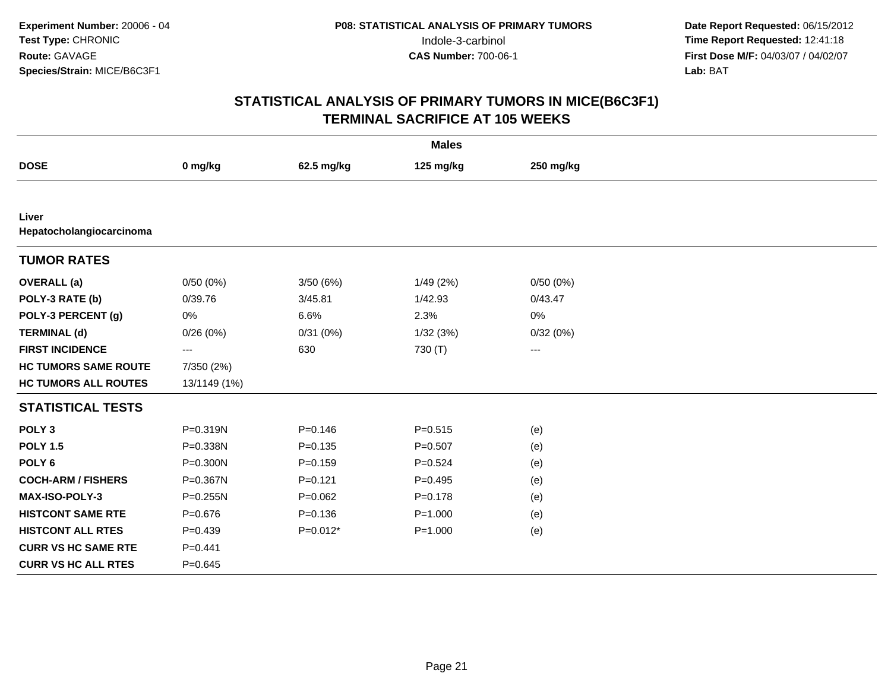|                                   |              |             | <b>Males</b> |                        |
|-----------------------------------|--------------|-------------|--------------|------------------------|
| <b>DOSE</b>                       | 0 mg/kg      | 62.5 mg/kg  | 125 mg/kg    | 250 mg/kg              |
|                                   |              |             |              |                        |
| Liver<br>Hepatocholangiocarcinoma |              |             |              |                        |
| <b>TUMOR RATES</b>                |              |             |              |                        |
| <b>OVERALL</b> (a)                | 0/50(0%)     | 3/50(6%)    | 1/49(2%)     | 0/50(0%)               |
| POLY-3 RATE (b)                   | 0/39.76      | 3/45.81     | 1/42.93      | 0/43.47                |
| POLY-3 PERCENT (g)                | 0%           | 6.6%        | 2.3%         | 0%                     |
| <b>TERMINAL (d)</b>               | 0/26(0%)     | 0/31(0%)    | 1/32(3%)     | 0/32(0%)               |
| <b>FIRST INCIDENCE</b>            | $---$        | 630         | 730 (T)      | $\qquad \qquad \cdots$ |
| <b>HC TUMORS SAME ROUTE</b>       | 7/350 (2%)   |             |              |                        |
| <b>HC TUMORS ALL ROUTES</b>       | 13/1149 (1%) |             |              |                        |
| <b>STATISTICAL TESTS</b>          |              |             |              |                        |
| POLY <sub>3</sub>                 | P=0.319N     | $P = 0.146$ | $P = 0.515$  | (e)                    |
| <b>POLY 1.5</b>                   | P=0.338N     | $P = 0.135$ | $P = 0.507$  | (e)                    |
| POLY <sub>6</sub>                 | P=0.300N     | $P = 0.159$ | $P = 0.524$  | (e)                    |
| <b>COCH-ARM / FISHERS</b>         | P=0.367N     | $P = 0.121$ | $P=0.495$    | (e)                    |
| MAX-ISO-POLY-3                    | P=0.255N     | $P=0.062$   | $P = 0.178$  | (e)                    |
| <b>HISTCONT SAME RTE</b>          | $P = 0.676$  | $P = 0.136$ | $P = 1.000$  | (e)                    |
| <b>HISTCONT ALL RTES</b>          | $P=0.439$    | $P=0.012*$  | $P = 1.000$  | (e)                    |
| <b>CURR VS HC SAME RTE</b>        | $P=0.441$    |             |              |                        |
| <b>CURR VS HC ALL RTES</b>        | $P = 0.645$  |             |              |                        |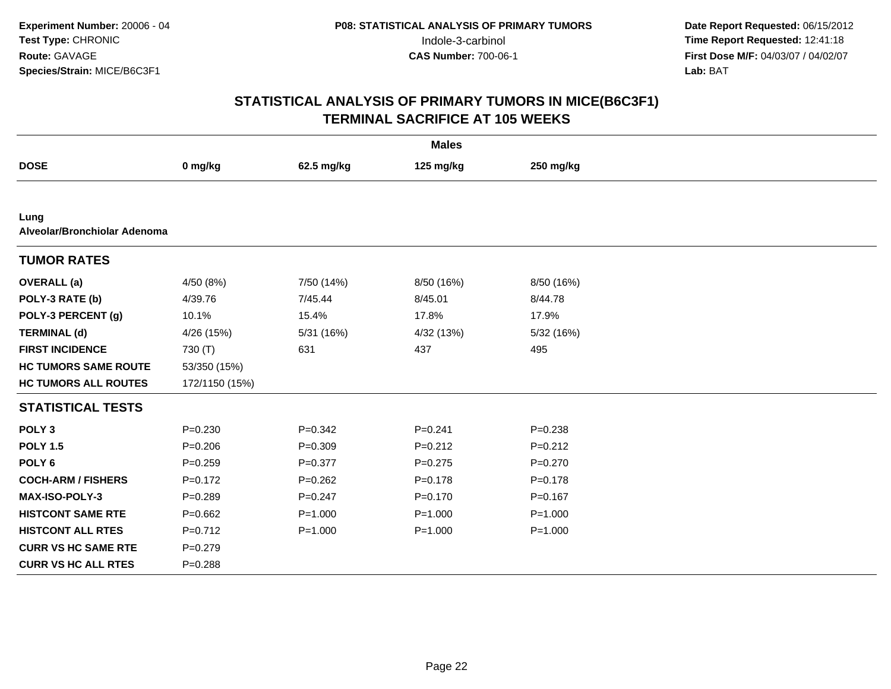|                                      |                |             | <b>Males</b> |             |  |  |
|--------------------------------------|----------------|-------------|--------------|-------------|--|--|
| <b>DOSE</b>                          | 0 mg/kg        | 62.5 mg/kg  | 125 mg/kg    | 250 mg/kg   |  |  |
|                                      |                |             |              |             |  |  |
| Lung<br>Alveolar/Bronchiolar Adenoma |                |             |              |             |  |  |
| <b>TUMOR RATES</b>                   |                |             |              |             |  |  |
| <b>OVERALL</b> (a)                   | 4/50 (8%)      | 7/50 (14%)  | 8/50 (16%)   | 8/50 (16%)  |  |  |
| POLY-3 RATE (b)                      | 4/39.76        | 7/45.44     | 8/45.01      | 8/44.78     |  |  |
| POLY-3 PERCENT (g)                   | 10.1%          | 15.4%       | 17.8%        | 17.9%       |  |  |
| <b>TERMINAL (d)</b>                  | 4/26 (15%)     | 5/31 (16%)  | 4/32 (13%)   | 5/32 (16%)  |  |  |
| <b>FIRST INCIDENCE</b>               | 730 (T)        | 631         | 437          | 495         |  |  |
| <b>HC TUMORS SAME ROUTE</b>          | 53/350 (15%)   |             |              |             |  |  |
| <b>HC TUMORS ALL ROUTES</b>          | 172/1150 (15%) |             |              |             |  |  |
| <b>STATISTICAL TESTS</b>             |                |             |              |             |  |  |
| POLY <sub>3</sub>                    | $P = 0.230$    | $P = 0.342$ | $P = 0.241$  | $P = 0.238$ |  |  |
| <b>POLY 1.5</b>                      | $P = 0.206$    | $P=0.309$   | $P=0.212$    | $P=0.212$   |  |  |
| POLY <sub>6</sub>                    | $P=0.259$      | $P=0.377$   | $P=0.275$    | $P=0.270$   |  |  |
| <b>COCH-ARM / FISHERS</b>            | $P=0.172$      | $P=0.262$   | $P = 0.178$  | $P = 0.178$ |  |  |
| <b>MAX-ISO-POLY-3</b>                | $P=0.289$      | $P=0.247$   | $P = 0.170$  | $P=0.167$   |  |  |
| <b>HISTCONT SAME RTE</b>             | $P = 0.662$    | $P = 1.000$ | $P = 1.000$  | $P = 1.000$ |  |  |
| <b>HISTCONT ALL RTES</b>             | $P=0.712$      | $P = 1.000$ | $P = 1.000$  | $P = 1.000$ |  |  |
| <b>CURR VS HC SAME RTE</b>           | $P = 0.279$    |             |              |             |  |  |
| <b>CURR VS HC ALL RTES</b>           | $P = 0.288$    |             |              |             |  |  |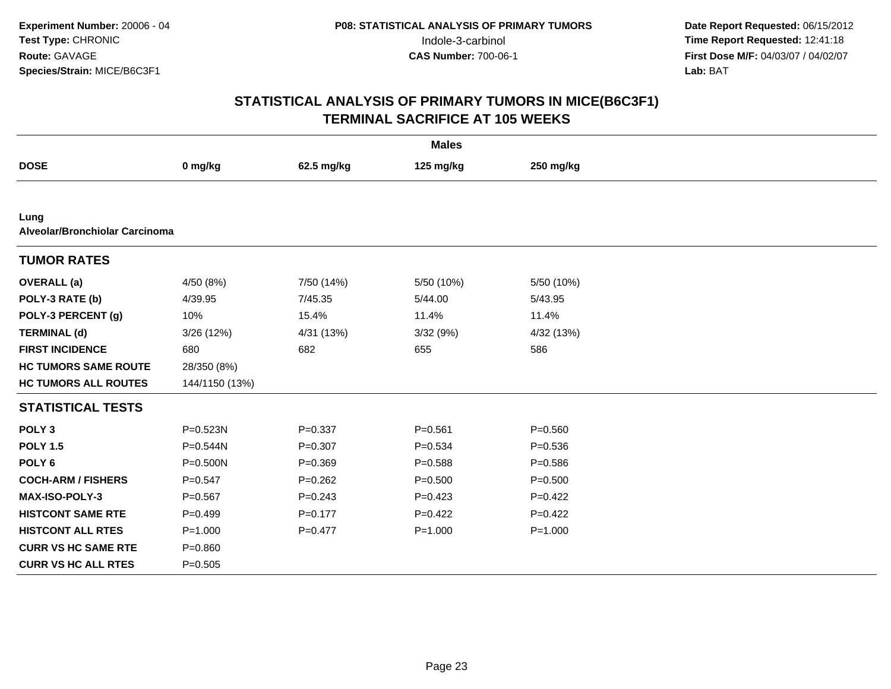|                                        |                |             | <b>Males</b> |             |  |  |
|----------------------------------------|----------------|-------------|--------------|-------------|--|--|
| <b>DOSE</b>                            | 0 mg/kg        | 62.5 mg/kg  | 125 mg/kg    | 250 mg/kg   |  |  |
|                                        |                |             |              |             |  |  |
| Lung<br>Alveolar/Bronchiolar Carcinoma |                |             |              |             |  |  |
| <b>TUMOR RATES</b>                     |                |             |              |             |  |  |
| <b>OVERALL</b> (a)                     | 4/50 (8%)      | 7/50 (14%)  | 5/50 (10%)   | 5/50 (10%)  |  |  |
| POLY-3 RATE (b)                        | 4/39.95        | 7/45.35     | 5/44.00      | 5/43.95     |  |  |
| POLY-3 PERCENT (g)                     | 10%            | 15.4%       | 11.4%        | 11.4%       |  |  |
| <b>TERMINAL (d)</b>                    | 3/26 (12%)     | 4/31 (13%)  | 3/32(9%)     | 4/32 (13%)  |  |  |
| <b>FIRST INCIDENCE</b>                 | 680            | 682         | 655          | 586         |  |  |
| <b>HC TUMORS SAME ROUTE</b>            | 28/350 (8%)    |             |              |             |  |  |
| <b>HC TUMORS ALL ROUTES</b>            | 144/1150 (13%) |             |              |             |  |  |
| <b>STATISTICAL TESTS</b>               |                |             |              |             |  |  |
| POLY <sub>3</sub>                      | P=0.523N       | $P = 0.337$ | $P = 0.561$  | $P = 0.560$ |  |  |
| <b>POLY 1.5</b>                        | P=0.544N       | $P = 0.307$ | $P = 0.534$  | $P = 0.536$ |  |  |
| POLY <sub>6</sub>                      | $P = 0.500N$   | $P=0.369$   | $P = 0.588$  | $P = 0.586$ |  |  |
| <b>COCH-ARM / FISHERS</b>              | $P=0.547$      | $P=0.262$   | $P = 0.500$  | $P = 0.500$ |  |  |
| MAX-ISO-POLY-3                         | $P = 0.567$    | $P = 0.243$ | $P=0.423$    | $P=0.422$   |  |  |
| <b>HISTCONT SAME RTE</b>               | $P=0.499$      | $P=0.177$   | $P=0.422$    | $P=0.422$   |  |  |
| <b>HISTCONT ALL RTES</b>               | $P = 1.000$    | $P=0.477$   | $P = 1.000$  | $P = 1.000$ |  |  |
| <b>CURR VS HC SAME RTE</b>             | $P = 0.860$    |             |              |             |  |  |
| <b>CURR VS HC ALL RTES</b>             | $P = 0.505$    |             |              |             |  |  |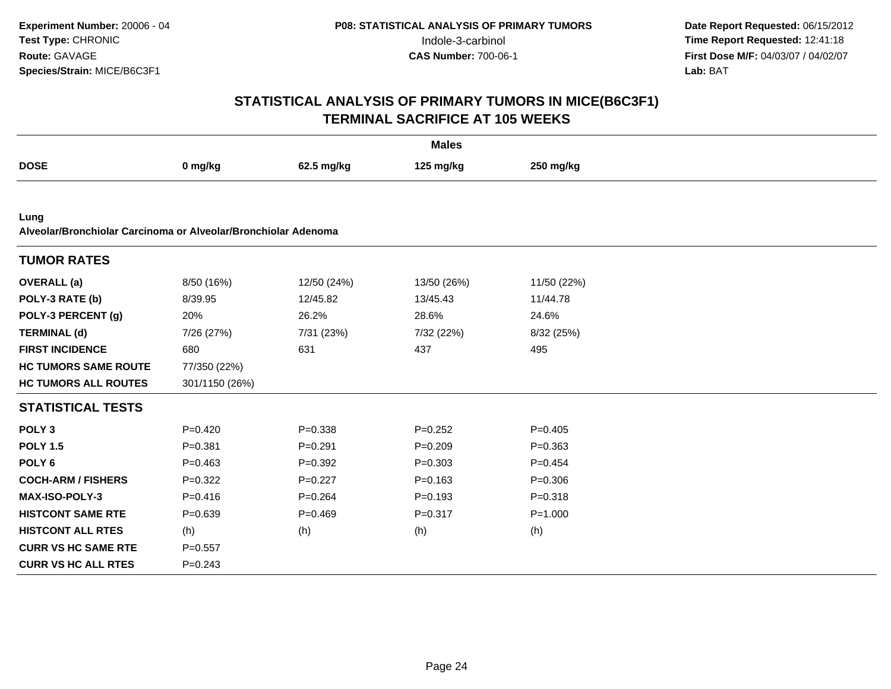|                                                                        |                |             | <b>Males</b> |             |  |
|------------------------------------------------------------------------|----------------|-------------|--------------|-------------|--|
| <b>DOSE</b>                                                            | 0 mg/kg        | 62.5 mg/kg  | 125 mg/kg    | 250 mg/kg   |  |
|                                                                        |                |             |              |             |  |
| Lung<br>Alveolar/Bronchiolar Carcinoma or Alveolar/Bronchiolar Adenoma |                |             |              |             |  |
|                                                                        |                |             |              |             |  |
| <b>TUMOR RATES</b>                                                     |                |             |              |             |  |
| <b>OVERALL</b> (a)                                                     | 8/50 (16%)     | 12/50 (24%) | 13/50 (26%)  | 11/50 (22%) |  |
| POLY-3 RATE (b)                                                        | 8/39.95        | 12/45.82    | 13/45.43     | 11/44.78    |  |
| POLY-3 PERCENT (g)                                                     | 20%            | 26.2%       | 28.6%        | 24.6%       |  |
| <b>TERMINAL (d)</b>                                                    | 7/26 (27%)     | 7/31 (23%)  | 7/32 (22%)   | 8/32 (25%)  |  |
| <b>FIRST INCIDENCE</b>                                                 | 680            | 631         | 437          | 495         |  |
| <b>HC TUMORS SAME ROUTE</b>                                            | 77/350 (22%)   |             |              |             |  |
| <b>HC TUMORS ALL ROUTES</b>                                            | 301/1150 (26%) |             |              |             |  |
| <b>STATISTICAL TESTS</b>                                               |                |             |              |             |  |
| POLY <sub>3</sub>                                                      | $P=0.420$      | $P = 0.338$ | $P=0.252$    | $P=0.405$   |  |
| <b>POLY 1.5</b>                                                        | $P = 0.381$    | $P = 0.291$ | $P=0.209$    | $P = 0.363$ |  |
| POLY <sub>6</sub>                                                      | $P=0.463$      | $P = 0.392$ | $P = 0.303$  | $P=0.454$   |  |
| <b>COCH-ARM / FISHERS</b>                                              | $P=0.322$      | $P=0.227$   | $P = 0.163$  | $P = 0.306$ |  |
| <b>MAX-ISO-POLY-3</b>                                                  | $P = 0.416$    | $P = 0.264$ | $P=0.193$    | $P = 0.318$ |  |
| <b>HISTCONT SAME RTE</b>                                               | $P = 0.639$    | $P=0.469$   | $P = 0.317$  | $P = 1.000$ |  |
| <b>HISTCONT ALL RTES</b>                                               | (h)            | (h)         | (h)          | (h)         |  |
| <b>CURR VS HC SAME RTE</b>                                             | $P=0.557$      |             |              |             |  |
| <b>CURR VS HC ALL RTES</b>                                             | $P = 0.243$    |             |              |             |  |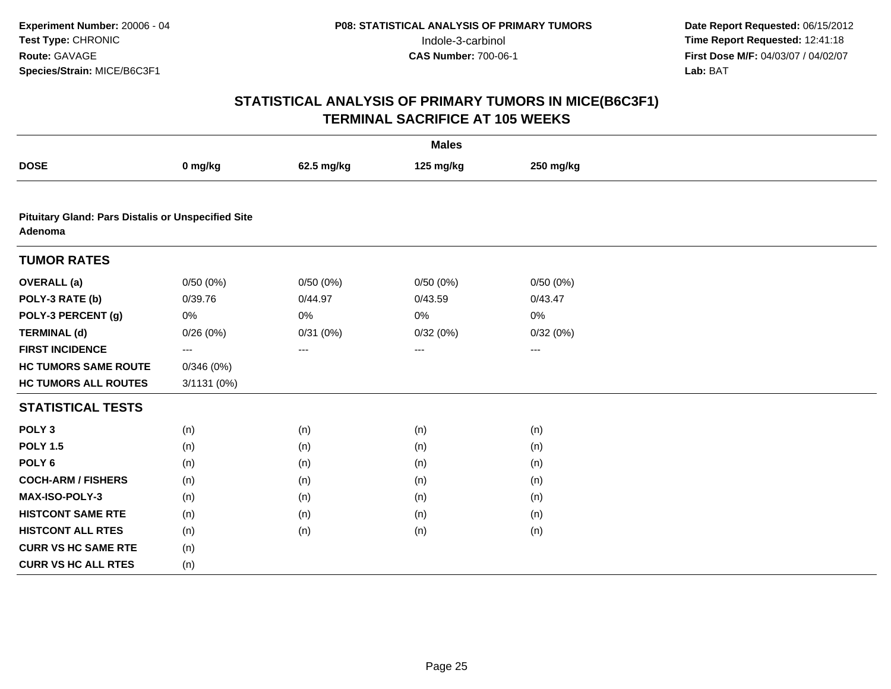|                                                                      |             |            | <b>Males</b> |           |  |
|----------------------------------------------------------------------|-------------|------------|--------------|-----------|--|
| <b>DOSE</b>                                                          | 0 mg/kg     | 62.5 mg/kg | 125 mg/kg    | 250 mg/kg |  |
|                                                                      |             |            |              |           |  |
| <b>Pituitary Gland: Pars Distalis or Unspecified Site</b><br>Adenoma |             |            |              |           |  |
| <b>TUMOR RATES</b>                                                   |             |            |              |           |  |
| <b>OVERALL</b> (a)                                                   | 0/50(0%)    | 0/50(0%)   | 0/50(0%)     | 0/50(0%)  |  |
| POLY-3 RATE (b)                                                      | 0/39.76     | 0/44.97    | 0/43.59      | 0/43.47   |  |
| POLY-3 PERCENT (g)                                                   | $0\%$       | $0\%$      | 0%           | 0%        |  |
| <b>TERMINAL (d)</b>                                                  | 0/26(0%)    | 0/31(0%)   | 0/32(0%)     | 0/32(0%)  |  |
| <b>FIRST INCIDENCE</b>                                               | $\cdots$    | $\cdots$   | $\cdots$     | $\cdots$  |  |
| <b>HC TUMORS SAME ROUTE</b>                                          | 0/346(0%)   |            |              |           |  |
| <b>HC TUMORS ALL ROUTES</b>                                          | 3/1131 (0%) |            |              |           |  |
| <b>STATISTICAL TESTS</b>                                             |             |            |              |           |  |
| POLY <sub>3</sub>                                                    | (n)         | (n)        | (n)          | (n)       |  |
| <b>POLY 1.5</b>                                                      | (n)         | (n)        | (n)          | (n)       |  |
| POLY <sub>6</sub>                                                    | (n)         | (n)        | (n)          | (n)       |  |
| <b>COCH-ARM / FISHERS</b>                                            | (n)         | (n)        | (n)          | (n)       |  |
| MAX-ISO-POLY-3                                                       | (n)         | (n)        | (n)          | (n)       |  |
| <b>HISTCONT SAME RTE</b>                                             | (n)         | (n)        | (n)          | (n)       |  |
| <b>HISTCONT ALL RTES</b>                                             | (n)         | (n)        | (n)          | (n)       |  |
| <b>CURR VS HC SAME RTE</b>                                           | (n)         |            |              |           |  |
| <b>CURR VS HC ALL RTES</b>                                           | (n)         |            |              |           |  |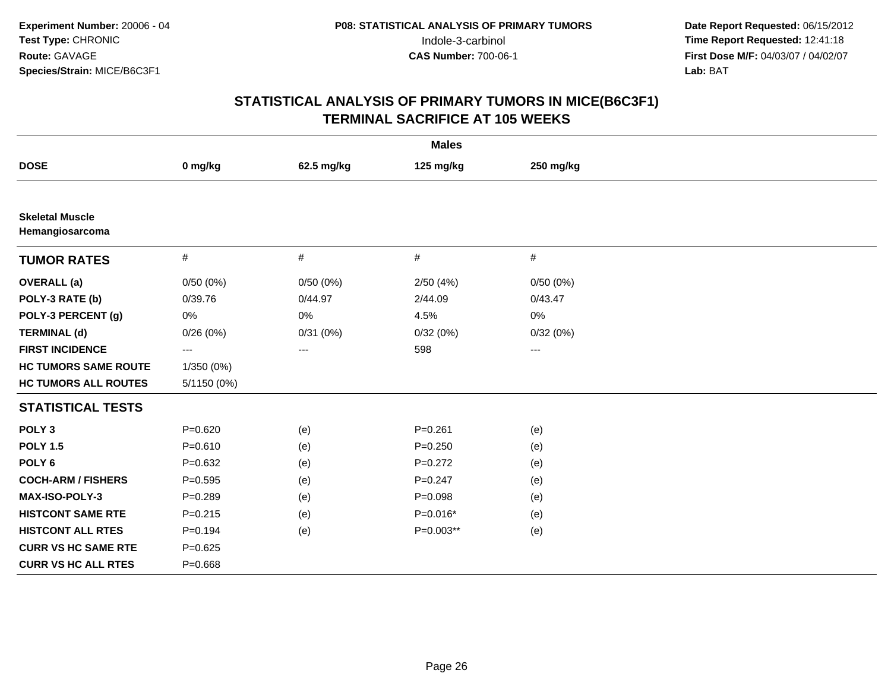|                                           |                   |            | <b>Males</b> |                     |  |
|-------------------------------------------|-------------------|------------|--------------|---------------------|--|
| <b>DOSE</b>                               | 0 mg/kg           | 62.5 mg/kg | 125 mg/kg    | 250 mg/kg           |  |
|                                           |                   |            |              |                     |  |
| <b>Skeletal Muscle</b><br>Hemangiosarcoma |                   |            |              |                     |  |
| <b>TUMOR RATES</b>                        | $\#$              | $\#$       | #            | $\#$                |  |
| <b>OVERALL</b> (a)                        | 0/50(0%)          | 0/50(0%)   | 2/50(4%)     | 0/50(0%)            |  |
| POLY-3 RATE (b)                           | 0/39.76           | 0/44.97    | 2/44.09      | 0/43.47             |  |
| POLY-3 PERCENT (g)                        | $0\%$             | $0\%$      | 4.5%         | 0%                  |  |
| <b>TERMINAL (d)</b>                       | 0/26(0%)          | 0/31(0%)   | 0/32(0%)     | 0/32(0%)            |  |
| <b>FIRST INCIDENCE</b>                    | $\qquad \qquad -$ | ---        | 598          | $\qquad \qquad - -$ |  |
| <b>HC TUMORS SAME ROUTE</b>               | 1/350 (0%)        |            |              |                     |  |
| <b>HC TUMORS ALL ROUTES</b>               | 5/1150 (0%)       |            |              |                     |  |
| <b>STATISTICAL TESTS</b>                  |                   |            |              |                     |  |
| POLY <sub>3</sub>                         | $P = 0.620$       | (e)        | $P = 0.261$  | (e)                 |  |
| <b>POLY 1.5</b>                           | $P = 0.610$       | (e)        | $P = 0.250$  | (e)                 |  |
| POLY <sub>6</sub>                         | $P = 0.632$       | (e)        | $P=0.272$    | (e)                 |  |
| <b>COCH-ARM / FISHERS</b>                 | $P=0.595$         | (e)        | $P = 0.247$  | (e)                 |  |
| MAX-ISO-POLY-3                            | $P=0.289$         | (e)        | $P = 0.098$  | (e)                 |  |
| <b>HISTCONT SAME RTE</b>                  | $P = 0.215$       | (e)        | $P=0.016*$   | (e)                 |  |
| <b>HISTCONT ALL RTES</b>                  | $P=0.194$         | (e)        | P=0.003**    | (e)                 |  |
| <b>CURR VS HC SAME RTE</b>                | $P=0.625$         |            |              |                     |  |
| <b>CURR VS HC ALL RTES</b>                | $P = 0.668$       |            |              |                     |  |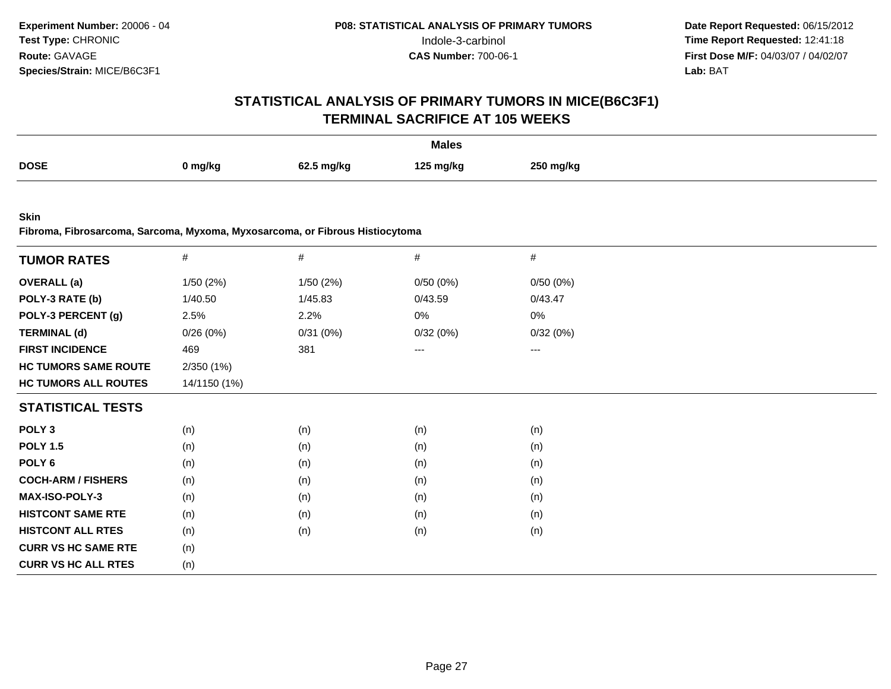## **STATISTICAL ANALYSIS OF PRIMARY TUMORS IN MICE(B6C3F1)TERMINAL SACRIFICE AT 105 WEEKS**

|             |         |            | <b>Males</b> |           |
|-------------|---------|------------|--------------|-----------|
| <b>DOSE</b> | 0 mg/kg | 62.5 ma/ka | 125 mg/kg    | 250 ma/ka |

**Skin**

**Fibroma, Fibrosarcoma, Sarcoma, Myxoma, Myxosarcoma, or Fibrous Histiocytoma**

| $\#$         | $\#$     | $\#$     | $\#$     |
|--------------|----------|----------|----------|
| 1/50 (2%)    | 1/50(2%) | 0/50(0%) | 0/50(0%) |
| 1/40.50      | 1/45.83  | 0/43.59  | 0/43.47  |
| 2.5%         | 2.2%     | 0%       | 0%       |
| 0/26(0%)     | 0/31(0%) | 0/32(0%) | 0/32(0%) |
| 469          | 381      | ---      | ---      |
| 2/350 (1%)   |          |          |          |
| 14/1150 (1%) |          |          |          |
|              |          |          |          |
| (n)          | (n)      | (n)      | (n)      |
| (n)          | (n)      | (n)      | (n)      |
| (n)          | (n)      | (n)      | (n)      |
| (n)          | (n)      | (n)      | (n)      |
| (n)          | (n)      | (n)      | (n)      |
| (n)          | (n)      | (n)      | (n)      |
| (n)          | (n)      | (n)      | (n)      |
| (n)          |          |          |          |
| (n)          |          |          |          |
|              |          |          |          |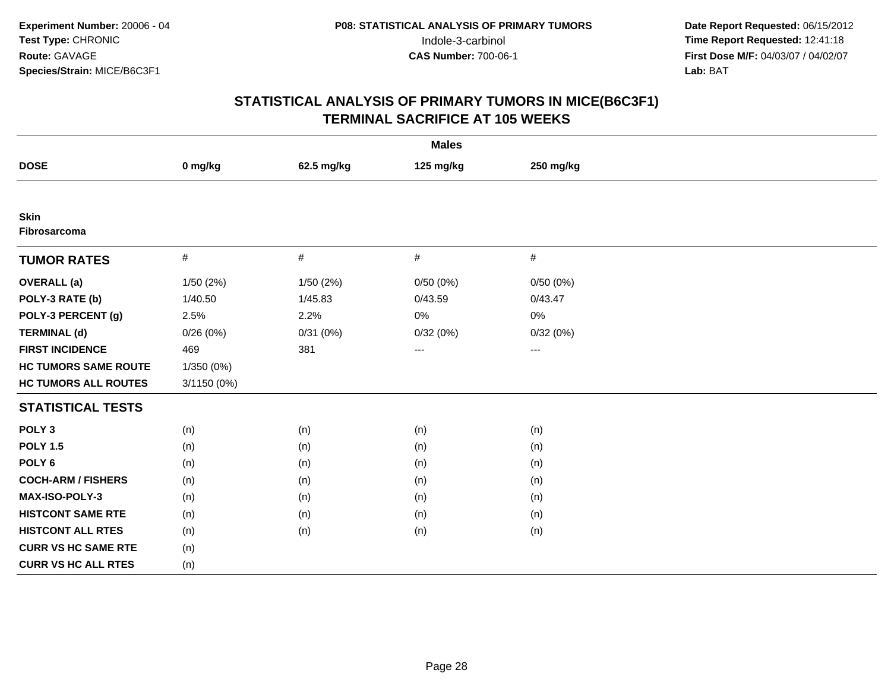| <b>Males</b>                |             |            |           |           |  |  |
|-----------------------------|-------------|------------|-----------|-----------|--|--|
| <b>DOSE</b>                 | 0 mg/kg     | 62.5 mg/kg | 125 mg/kg | 250 mg/kg |  |  |
|                             |             |            |           |           |  |  |
| <b>Skin</b><br>Fibrosarcoma |             |            |           |           |  |  |
| <b>TUMOR RATES</b>          | $\#$        | $\#$       | #         | $\#$      |  |  |
| <b>OVERALL</b> (a)          | 1/50 (2%)   | 1/50 (2%)  | 0/50(0%)  | 0/50(0%)  |  |  |
| POLY-3 RATE (b)             | 1/40.50     | 1/45.83    | 0/43.59   | 0/43.47   |  |  |
| POLY-3 PERCENT (g)          | 2.5%        | 2.2%       | 0%        | 0%        |  |  |
| <b>TERMINAL (d)</b>         | 0/26(0%)    | 0/31(0%)   | 0/32(0%)  | 0/32(0%)  |  |  |
| <b>FIRST INCIDENCE</b>      | 469         | 381        | $\cdots$  | $\cdots$  |  |  |
| <b>HC TUMORS SAME ROUTE</b> | 1/350 (0%)  |            |           |           |  |  |
| <b>HC TUMORS ALL ROUTES</b> | 3/1150 (0%) |            |           |           |  |  |
| <b>STATISTICAL TESTS</b>    |             |            |           |           |  |  |
| POLY <sub>3</sub>           | (n)         | (n)        | (n)       | (n)       |  |  |
| <b>POLY 1.5</b>             | (n)         | (n)        | (n)       | (n)       |  |  |
| POLY <sub>6</sub>           | (n)         | (n)        | (n)       | (n)       |  |  |
| <b>COCH-ARM / FISHERS</b>   | (n)         | (n)        | (n)       | (n)       |  |  |
| <b>MAX-ISO-POLY-3</b>       | (n)         | (n)        | (n)       | (n)       |  |  |
| <b>HISTCONT SAME RTE</b>    | (n)         | (n)        | (n)       | (n)       |  |  |
| <b>HISTCONT ALL RTES</b>    | (n)         | (n)        | (n)       | (n)       |  |  |
| <b>CURR VS HC SAME RTE</b>  | (n)         |            |           |           |  |  |
| <b>CURR VS HC ALL RTES</b>  | (n)         |            |           |           |  |  |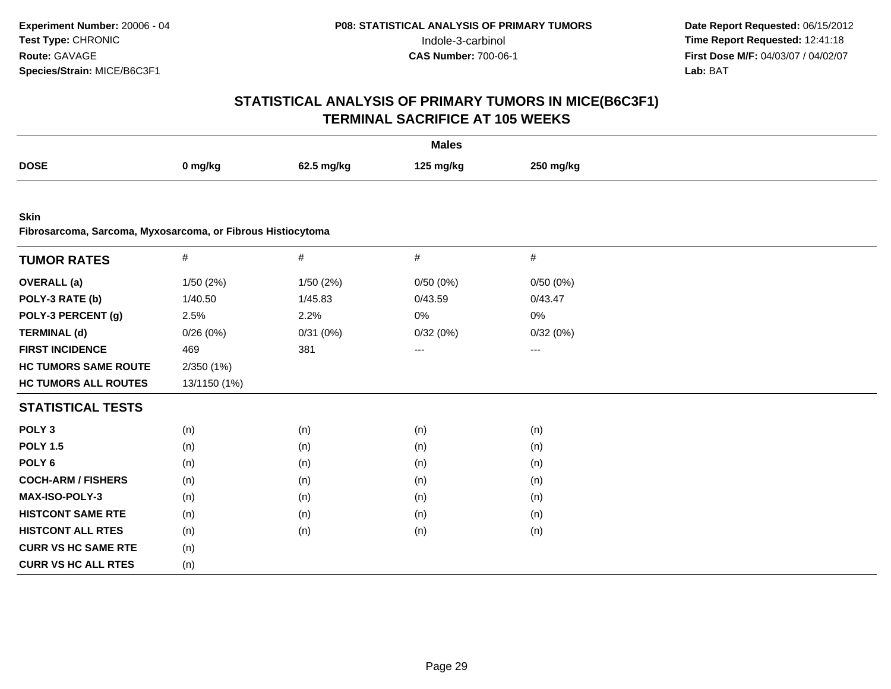| <b>Males</b>                                                               |              |            |           |           |  |  |
|----------------------------------------------------------------------------|--------------|------------|-----------|-----------|--|--|
| <b>DOSE</b>                                                                | 0 mg/kg      | 62.5 mg/kg | 125 mg/kg | 250 mg/kg |  |  |
|                                                                            |              |            |           |           |  |  |
| <b>Skin</b><br>Fibrosarcoma, Sarcoma, Myxosarcoma, or Fibrous Histiocytoma |              |            |           |           |  |  |
| <b>TUMOR RATES</b>                                                         | $\#$         | $\#$       | $\#$      | $\#$      |  |  |
| <b>OVERALL</b> (a)                                                         | 1/50 (2%)    | 1/50 (2%)  | 0/50(0%)  | 0/50(0%)  |  |  |
| POLY-3 RATE (b)                                                            | 1/40.50      | 1/45.83    | 0/43.59   | 0/43.47   |  |  |
| POLY-3 PERCENT (g)                                                         | 2.5%         | 2.2%       | 0%        | 0%        |  |  |
| <b>TERMINAL (d)</b>                                                        | 0/26(0%)     | 0/31(0%)   | 0/32(0%)  | 0/32(0%)  |  |  |
| <b>FIRST INCIDENCE</b>                                                     | 469          | 381        | ---       | ---       |  |  |
| <b>HC TUMORS SAME ROUTE</b>                                                | 2/350 (1%)   |            |           |           |  |  |
| <b>HC TUMORS ALL ROUTES</b>                                                | 13/1150 (1%) |            |           |           |  |  |
| <b>STATISTICAL TESTS</b>                                                   |              |            |           |           |  |  |
| POLY <sub>3</sub>                                                          | (n)          | (n)        | (n)       | (n)       |  |  |
| <b>POLY 1.5</b>                                                            | (n)          | (n)        | (n)       | (n)       |  |  |
| POLY <sub>6</sub>                                                          | (n)          | (n)        | (n)       | (n)       |  |  |
| <b>COCH-ARM / FISHERS</b>                                                  | (n)          | (n)        | (n)       | (n)       |  |  |
| MAX-ISO-POLY-3                                                             | (n)          | (n)        | (n)       | (n)       |  |  |
| <b>HISTCONT SAME RTE</b>                                                   | (n)          | (n)        | (n)       | (n)       |  |  |
| <b>HISTCONT ALL RTES</b>                                                   | (n)          | (n)        | (n)       | (n)       |  |  |
| <b>CURR VS HC SAME RTE</b>                                                 | (n)          |            |           |           |  |  |
| <b>CURR VS HC ALL RTES</b>                                                 | (n)          |            |           |           |  |  |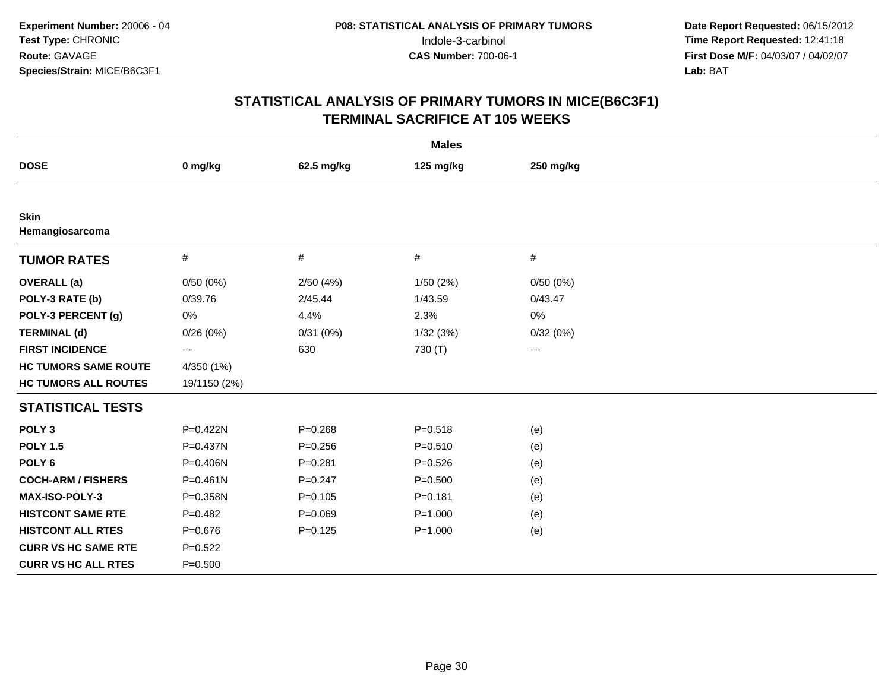| <b>Males</b>                   |              |             |             |                        |  |  |
|--------------------------------|--------------|-------------|-------------|------------------------|--|--|
| <b>DOSE</b>                    | 0 mg/kg      | 62.5 mg/kg  | 125 mg/kg   | 250 mg/kg              |  |  |
|                                |              |             |             |                        |  |  |
| <b>Skin</b><br>Hemangiosarcoma |              |             |             |                        |  |  |
| <b>TUMOR RATES</b>             | $\#$         | #           | #           | #                      |  |  |
| <b>OVERALL</b> (a)             | 0/50(0%)     | 2/50(4%)    | 1/50(2%)    | 0/50(0%)               |  |  |
| POLY-3 RATE (b)                | 0/39.76      | 2/45.44     | 1/43.59     | 0/43.47                |  |  |
| POLY-3 PERCENT (g)             | 0%           | 4.4%        | 2.3%        | 0%                     |  |  |
| <b>TERMINAL (d)</b>            | 0/26(0%)     | 0/31(0%)    | 1/32(3%)    | 0/32(0%)               |  |  |
| <b>FIRST INCIDENCE</b>         | ---          | 630         | 730 (T)     | $\qquad \qquad \cdots$ |  |  |
| <b>HC TUMORS SAME ROUTE</b>    | 4/350 (1%)   |             |             |                        |  |  |
| <b>HC TUMORS ALL ROUTES</b>    | 19/1150 (2%) |             |             |                        |  |  |
| <b>STATISTICAL TESTS</b>       |              |             |             |                        |  |  |
| POLY <sub>3</sub>              | P=0.422N     | $P = 0.268$ | $P = 0.518$ | (e)                    |  |  |
| <b>POLY 1.5</b>                | P=0.437N     | $P = 0.256$ | $P = 0.510$ | (e)                    |  |  |
| POLY <sub>6</sub>              | P=0.406N     | $P=0.281$   | $P=0.526$   | (e)                    |  |  |
| <b>COCH-ARM / FISHERS</b>      | $P = 0.461N$ | $P = 0.247$ | $P = 0.500$ | (e)                    |  |  |
| MAX-ISO-POLY-3                 | P=0.358N     | $P = 0.105$ | $P = 0.181$ | (e)                    |  |  |
| <b>HISTCONT SAME RTE</b>       | $P=0.482$    | $P = 0.069$ | $P = 1.000$ | (e)                    |  |  |
| <b>HISTCONT ALL RTES</b>       | $P = 0.676$  | $P=0.125$   | $P = 1.000$ | (e)                    |  |  |
| <b>CURR VS HC SAME RTE</b>     | $P=0.522$    |             |             |                        |  |  |
| <b>CURR VS HC ALL RTES</b>     | $P = 0.500$  |             |             |                        |  |  |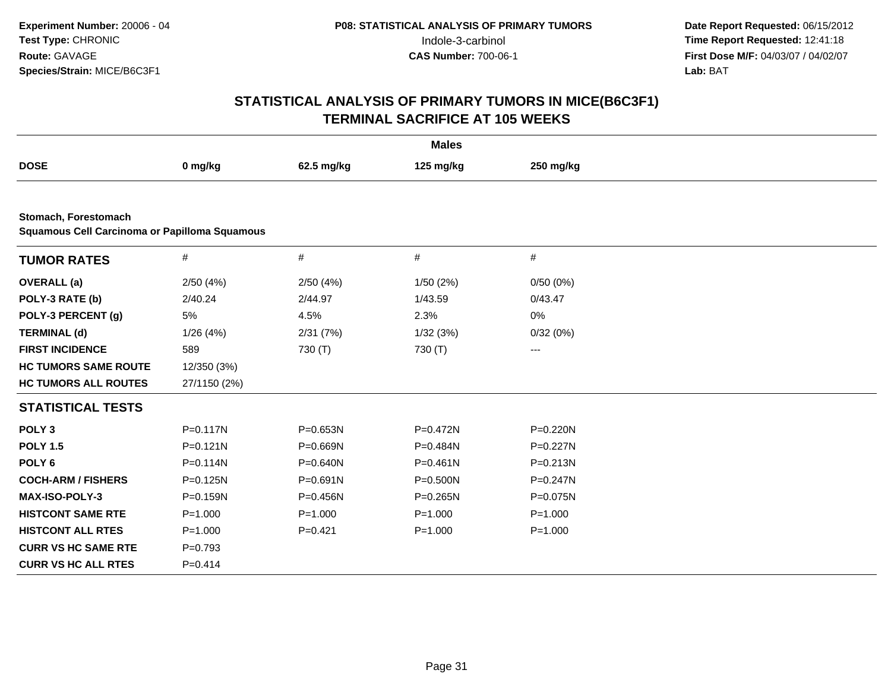| <b>Males</b>                                                                 |              |              |              |             |  |  |
|------------------------------------------------------------------------------|--------------|--------------|--------------|-------------|--|--|
| <b>DOSE</b>                                                                  | 0 mg/kg      | 62.5 mg/kg   | 125 mg/kg    | 250 mg/kg   |  |  |
|                                                                              |              |              |              |             |  |  |
| Stomach, Forestomach<br><b>Squamous Cell Carcinoma or Papilloma Squamous</b> |              |              |              |             |  |  |
| <b>TUMOR RATES</b>                                                           | $\#$         | $\#$         | $\#$         | $\#$        |  |  |
| <b>OVERALL</b> (a)                                                           | 2/50(4%)     | 2/50(4%)     | 1/50(2%)     | 0/50(0%)    |  |  |
| POLY-3 RATE (b)                                                              | 2/40.24      | 2/44.97      | 1/43.59      | 0/43.47     |  |  |
| POLY-3 PERCENT (g)                                                           | 5%           | 4.5%         | 2.3%         | 0%          |  |  |
| <b>TERMINAL (d)</b>                                                          | 1/26(4%)     | 2/31(7%)     | 1/32(3%)     | 0/32(0%)    |  |  |
| <b>FIRST INCIDENCE</b>                                                       | 589          | 730 (T)      | 730 (T)      | $---$       |  |  |
| <b>HC TUMORS SAME ROUTE</b>                                                  | 12/350 (3%)  |              |              |             |  |  |
| <b>HC TUMORS ALL ROUTES</b>                                                  | 27/1150 (2%) |              |              |             |  |  |
| <b>STATISTICAL TESTS</b>                                                     |              |              |              |             |  |  |
| POLY <sub>3</sub>                                                            | $P = 0.117N$ | $P = 0.653N$ | $P = 0.472N$ | P=0.220N    |  |  |
| <b>POLY 1.5</b>                                                              | $P = 0.121N$ | P=0.669N     | P=0.484N     | P=0.227N    |  |  |
| POLY <sub>6</sub>                                                            | $P = 0.114N$ | P=0.640N     | $P = 0.461N$ | P=0.213N    |  |  |
| <b>COCH-ARM / FISHERS</b>                                                    | $P = 0.125N$ | P=0.691N     | $P = 0.500N$ | P=0.247N    |  |  |
| <b>MAX-ISO-POLY-3</b>                                                        | $P = 0.159N$ | P=0.456N     | $P = 0.265N$ | P=0.075N    |  |  |
| <b>HISTCONT SAME RTE</b>                                                     | $P = 1.000$  | $P = 1.000$  | $P = 1.000$  | $P = 1.000$ |  |  |
| <b>HISTCONT ALL RTES</b>                                                     | $P = 1.000$  | $P=0.421$    | $P = 1.000$  | $P = 1.000$ |  |  |
| <b>CURR VS HC SAME RTE</b>                                                   | $P=0.793$    |              |              |             |  |  |
| <b>CURR VS HC ALL RTES</b>                                                   | $P=0.414$    |              |              |             |  |  |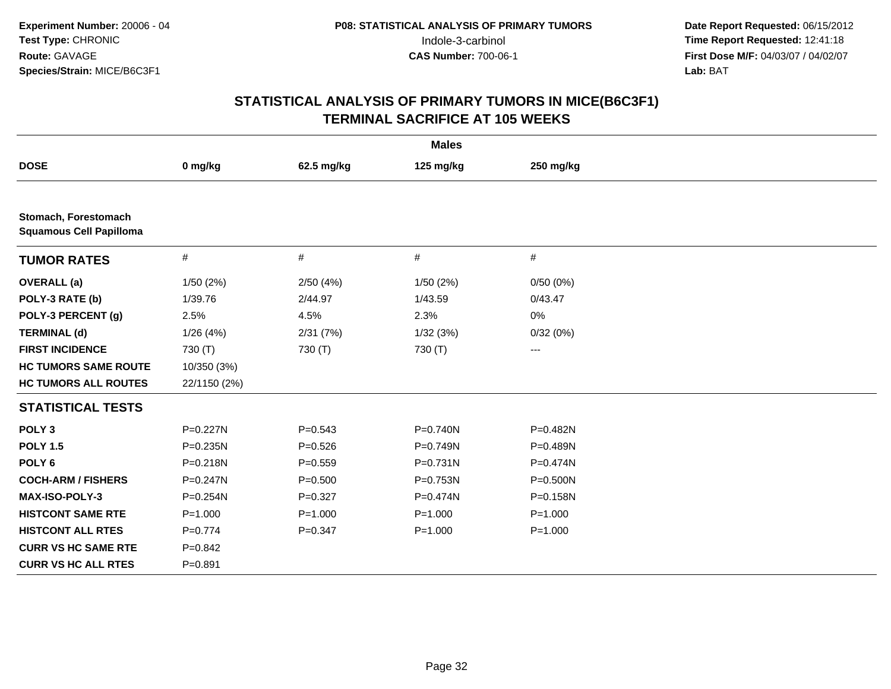| <b>Males</b>                                           |              |             |              |                        |  |  |
|--------------------------------------------------------|--------------|-------------|--------------|------------------------|--|--|
| <b>DOSE</b>                                            | 0 mg/kg      | 62.5 mg/kg  | 125 mg/kg    | 250 mg/kg              |  |  |
|                                                        |              |             |              |                        |  |  |
| Stomach, Forestomach<br><b>Squamous Cell Papilloma</b> |              |             |              |                        |  |  |
| <b>TUMOR RATES</b>                                     | #            | #           | $\#$         | $\#$                   |  |  |
| <b>OVERALL</b> (a)                                     | 1/50(2%)     | 2/50(4%)    | 1/50(2%)     | 0/50(0%)               |  |  |
| POLY-3 RATE (b)                                        | 1/39.76      | 2/44.97     | 1/43.59      | 0/43.47                |  |  |
| POLY-3 PERCENT (g)                                     | 2.5%         | 4.5%        | 2.3%         | 0%                     |  |  |
| <b>TERMINAL (d)</b>                                    | 1/26(4%)     | 2/31(7%)    | 1/32(3%)     | 0/32(0%)               |  |  |
| <b>FIRST INCIDENCE</b>                                 | 730 (T)      | 730 (T)     | 730 (T)      | $\qquad \qquad \cdots$ |  |  |
| <b>HC TUMORS SAME ROUTE</b>                            | 10/350 (3%)  |             |              |                        |  |  |
| <b>HC TUMORS ALL ROUTES</b>                            | 22/1150 (2%) |             |              |                        |  |  |
| <b>STATISTICAL TESTS</b>                               |              |             |              |                        |  |  |
| POLY <sub>3</sub>                                      | P=0.227N     | $P = 0.543$ | $P = 0.740N$ | P=0.482N               |  |  |
| <b>POLY 1.5</b>                                        | $P = 0.235N$ | $P = 0.526$ | P=0.749N     | $P = 0.489N$           |  |  |
| POLY <sub>6</sub>                                      | P=0.218N     | $P = 0.559$ | P=0.731N     | P=0.474N               |  |  |
| <b>COCH-ARM / FISHERS</b>                              | $P = 0.247N$ | $P = 0.500$ | P=0.753N     | $P = 0.500N$           |  |  |
| MAX-ISO-POLY-3                                         | $P = 0.254N$ | $P=0.327$   | P=0.474N     | P=0.158N               |  |  |
| <b>HISTCONT SAME RTE</b>                               | $P = 1.000$  | $P = 1.000$ | $P = 1.000$  | $P = 1.000$            |  |  |
| <b>HISTCONT ALL RTES</b>                               | $P = 0.774$  | $P = 0.347$ | $P = 1.000$  | $P = 1.000$            |  |  |
| <b>CURR VS HC SAME RTE</b>                             | $P=0.842$    |             |              |                        |  |  |
| <b>CURR VS HC ALL RTES</b>                             | $P = 0.891$  |             |              |                        |  |  |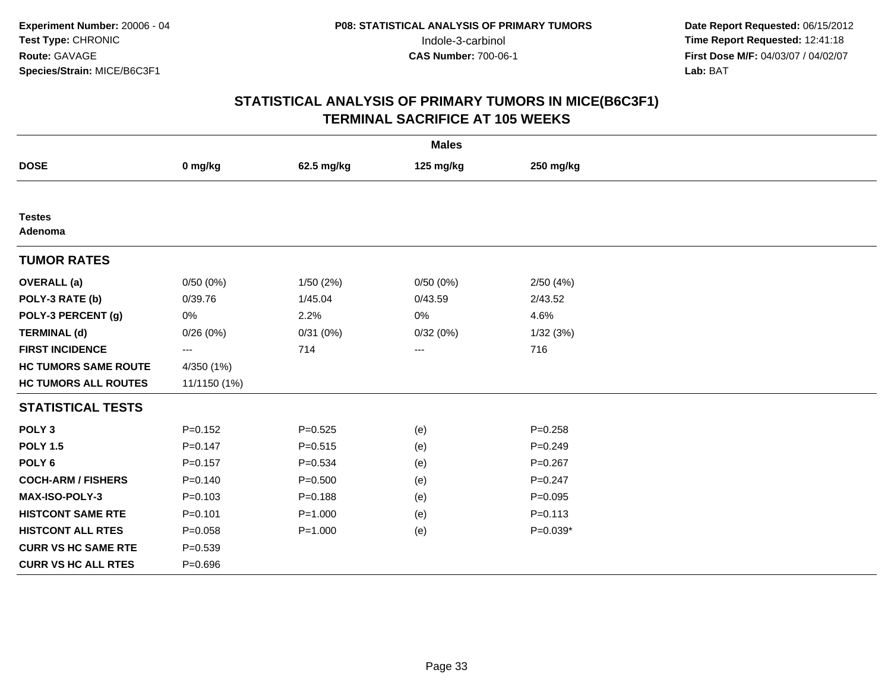| <b>Males</b>                |              |             |                        |             |  |  |
|-----------------------------|--------------|-------------|------------------------|-------------|--|--|
| <b>DOSE</b>                 | 0 mg/kg      | 62.5 mg/kg  | 125 mg/kg              | 250 mg/kg   |  |  |
|                             |              |             |                        |             |  |  |
| <b>Testes</b><br>Adenoma    |              |             |                        |             |  |  |
| <b>TUMOR RATES</b>          |              |             |                        |             |  |  |
| <b>OVERALL</b> (a)          | 0/50(0%)     | 1/50(2%)    | 0/50(0%)               | 2/50 (4%)   |  |  |
| POLY-3 RATE (b)             | 0/39.76      | 1/45.04     | 0/43.59                | 2/43.52     |  |  |
| POLY-3 PERCENT (g)          | 0%           | 2.2%        | 0%                     | 4.6%        |  |  |
| <b>TERMINAL (d)</b>         | 0/26(0%)     | 0/31(0%)    | 0/32(0%)               | 1/32(3%)    |  |  |
| <b>FIRST INCIDENCE</b>      | ---          | 714         | $\qquad \qquad \cdots$ | 716         |  |  |
| <b>HC TUMORS SAME ROUTE</b> | 4/350 (1%)   |             |                        |             |  |  |
| <b>HC TUMORS ALL ROUTES</b> | 11/1150 (1%) |             |                        |             |  |  |
| <b>STATISTICAL TESTS</b>    |              |             |                        |             |  |  |
| POLY <sub>3</sub>           | $P=0.152$    | $P = 0.525$ | (e)                    | $P = 0.258$ |  |  |
| <b>POLY 1.5</b>             | $P = 0.147$  | $P = 0.515$ | (e)                    | $P = 0.249$ |  |  |
| POLY <sub>6</sub>           | $P = 0.157$  | $P = 0.534$ | (e)                    | $P=0.267$   |  |  |
| <b>COCH-ARM / FISHERS</b>   | $P = 0.140$  | $P = 0.500$ | (e)                    | $P = 0.247$ |  |  |
| <b>MAX-ISO-POLY-3</b>       | $P = 0.103$  | $P = 0.188$ | (e)                    | $P = 0.095$ |  |  |
| <b>HISTCONT SAME RTE</b>    | $P = 0.101$  | $P = 1.000$ | (e)                    | $P = 0.113$ |  |  |
| <b>HISTCONT ALL RTES</b>    | $P = 0.058$  | $P = 1.000$ | (e)                    | $P=0.039*$  |  |  |
| <b>CURR VS HC SAME RTE</b>  | $P = 0.539$  |             |                        |             |  |  |
| <b>CURR VS HC ALL RTES</b>  | $P = 0.696$  |             |                        |             |  |  |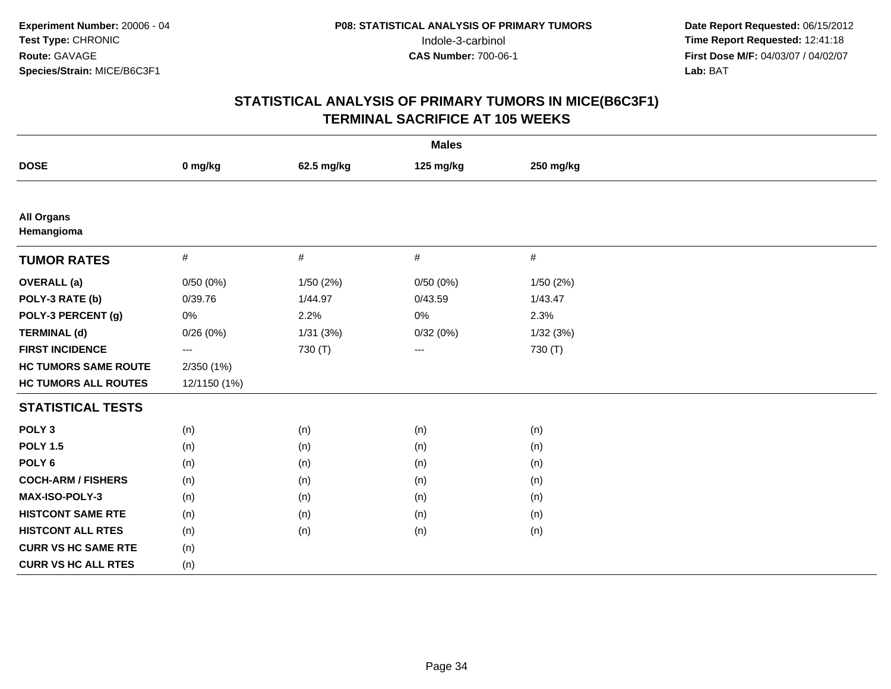| <b>Males</b>                    |              |            |           |           |  |  |
|---------------------------------|--------------|------------|-----------|-----------|--|--|
| <b>DOSE</b>                     | 0 mg/kg      | 62.5 mg/kg | 125 mg/kg | 250 mg/kg |  |  |
|                                 |              |            |           |           |  |  |
| <b>All Organs</b><br>Hemangioma |              |            |           |           |  |  |
| <b>TUMOR RATES</b>              | $\#$         | $\#$       | $\#$      | $\#$      |  |  |
| <b>OVERALL</b> (a)              | 0/50(0%)     | 1/50(2%)   | 0/50(0%)  | 1/50(2%)  |  |  |
| POLY-3 RATE (b)                 | 0/39.76      | 1/44.97    | 0/43.59   | 1/43.47   |  |  |
| POLY-3 PERCENT (g)              | 0%           | 2.2%       | 0%        | 2.3%      |  |  |
| <b>TERMINAL (d)</b>             | 0/26(0%)     | 1/31(3%)   | 0/32(0%)  | 1/32(3%)  |  |  |
| <b>FIRST INCIDENCE</b>          | ---          | 730 (T)    | $\cdots$  | 730 (T)   |  |  |
| <b>HC TUMORS SAME ROUTE</b>     | 2/350 (1%)   |            |           |           |  |  |
| <b>HC TUMORS ALL ROUTES</b>     | 12/1150 (1%) |            |           |           |  |  |
| <b>STATISTICAL TESTS</b>        |              |            |           |           |  |  |
| POLY <sub>3</sub>               | (n)          | (n)        | (n)       | (n)       |  |  |
| <b>POLY 1.5</b>                 | (n)          | (n)        | (n)       | (n)       |  |  |
| POLY <sub>6</sub>               | (n)          | (n)        | (n)       | (n)       |  |  |
| <b>COCH-ARM / FISHERS</b>       | (n)          | (n)        | (n)       | (n)       |  |  |
| <b>MAX-ISO-POLY-3</b>           | (n)          | (n)        | (n)       | (n)       |  |  |
| <b>HISTCONT SAME RTE</b>        | (n)          | (n)        | (n)       | (n)       |  |  |
| <b>HISTCONT ALL RTES</b>        | (n)          | (n)        | (n)       | (n)       |  |  |
| <b>CURR VS HC SAME RTE</b>      | (n)          |            |           |           |  |  |
| <b>CURR VS HC ALL RTES</b>      | (n)          |            |           |           |  |  |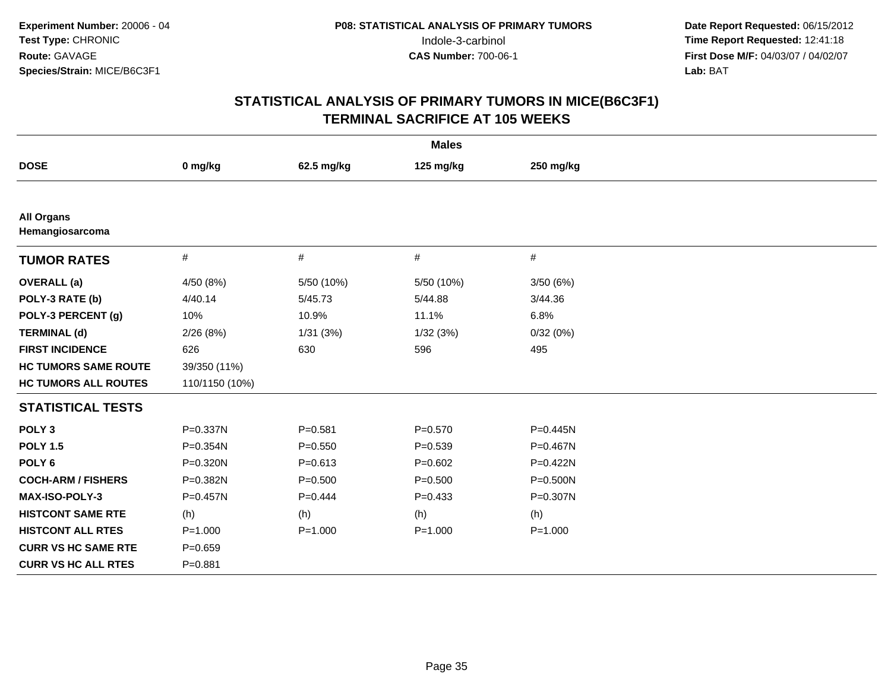| <b>Males</b>                         |                |             |             |              |  |  |
|--------------------------------------|----------------|-------------|-------------|--------------|--|--|
| <b>DOSE</b>                          | 0 mg/kg        | 62.5 mg/kg  | 125 mg/kg   | 250 mg/kg    |  |  |
|                                      |                |             |             |              |  |  |
| <b>All Organs</b><br>Hemangiosarcoma |                |             |             |              |  |  |
| <b>TUMOR RATES</b>                   | $\#$           | #           | $\#$        | #            |  |  |
| <b>OVERALL</b> (a)                   | 4/50 (8%)      | 5/50 (10%)  | 5/50 (10%)  | 3/50(6%)     |  |  |
| POLY-3 RATE (b)                      | 4/40.14        | 5/45.73     | 5/44.88     | 3/44.36      |  |  |
| POLY-3 PERCENT (g)                   | 10%            | 10.9%       | 11.1%       | 6.8%         |  |  |
| <b>TERMINAL (d)</b>                  | 2/26(8%)       | 1/31(3%)    | 1/32(3%)    | 0/32(0%)     |  |  |
| <b>FIRST INCIDENCE</b>               | 626            | 630         | 596         | 495          |  |  |
| <b>HC TUMORS SAME ROUTE</b>          | 39/350 (11%)   |             |             |              |  |  |
| <b>HC TUMORS ALL ROUTES</b>          | 110/1150 (10%) |             |             |              |  |  |
| <b>STATISTICAL TESTS</b>             |                |             |             |              |  |  |
| POLY <sub>3</sub>                    | P=0.337N       | $P = 0.581$ | $P = 0.570$ | $P = 0.445N$ |  |  |
| <b>POLY 1.5</b>                      | P=0.354N       | $P = 0.550$ | $P = 0.539$ | P=0.467N     |  |  |
| POLY <sub>6</sub>                    | P=0.320N       | $P = 0.613$ | $P = 0.602$ | P=0.422N     |  |  |
| <b>COCH-ARM / FISHERS</b>            | P=0.382N       | $P = 0.500$ | $P = 0.500$ | P=0.500N     |  |  |
| <b>MAX-ISO-POLY-3</b>                | $P = 0.457N$   | $P=0.444$   | $P=0.433$   | P=0.307N     |  |  |
| <b>HISTCONT SAME RTE</b>             | (h)            | (h)         | (h)         | (h)          |  |  |
| <b>HISTCONT ALL RTES</b>             | $P = 1.000$    | $P = 1.000$ | $P = 1.000$ | $P = 1.000$  |  |  |
| <b>CURR VS HC SAME RTE</b>           | $P = 0.659$    |             |             |              |  |  |
| <b>CURR VS HC ALL RTES</b>           | $P = 0.881$    |             |             |              |  |  |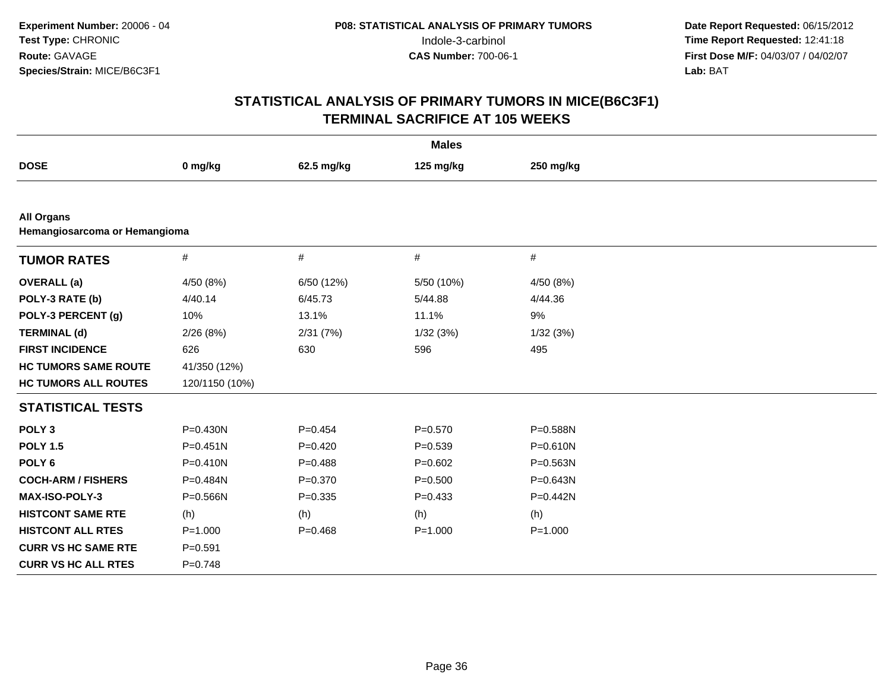| <b>Males</b>                                       |                |             |             |              |  |  |
|----------------------------------------------------|----------------|-------------|-------------|--------------|--|--|
| <b>DOSE</b>                                        | 0 mg/kg        | 62.5 mg/kg  | 125 mg/kg   | 250 mg/kg    |  |  |
|                                                    |                |             |             |              |  |  |
| <b>All Organs</b><br>Hemangiosarcoma or Hemangioma |                |             |             |              |  |  |
| <b>TUMOR RATES</b>                                 | $\#$           | #           | $\#$        | $\#$         |  |  |
| <b>OVERALL</b> (a)                                 | 4/50 (8%)      | 6/50 (12%)  | 5/50 (10%)  | 4/50 (8%)    |  |  |
| POLY-3 RATE (b)                                    | 4/40.14        | 6/45.73     | 5/44.88     | 4/44.36      |  |  |
| POLY-3 PERCENT (g)                                 | 10%            | 13.1%       | 11.1%       | 9%           |  |  |
| <b>TERMINAL (d)</b>                                | 2/26(8%)       | 2/31(7%)    | 1/32(3%)    | 1/32(3%)     |  |  |
| <b>FIRST INCIDENCE</b>                             | 626            | 630         | 596         | 495          |  |  |
| <b>HC TUMORS SAME ROUTE</b>                        | 41/350 (12%)   |             |             |              |  |  |
| <b>HC TUMORS ALL ROUTES</b>                        | 120/1150 (10%) |             |             |              |  |  |
| <b>STATISTICAL TESTS</b>                           |                |             |             |              |  |  |
| POLY <sub>3</sub>                                  | $P = 0.430N$   | $P=0.454$   | $P = 0.570$ | P=0.588N     |  |  |
| <b>POLY 1.5</b>                                    | $P = 0.451N$   | $P=0.420$   | $P = 0.539$ | $P = 0.610N$ |  |  |
| POLY <sub>6</sub>                                  | $P = 0.410N$   | $P=0.488$   | $P = 0.602$ | P=0.563N     |  |  |
| <b>COCH-ARM / FISHERS</b>                          | P=0.484N       | $P = 0.370$ | $P = 0.500$ | $P = 0.643N$ |  |  |
| <b>MAX-ISO-POLY-3</b>                              | P=0.566N       | $P = 0.335$ | $P = 0.433$ | $P=0.442N$   |  |  |
| <b>HISTCONT SAME RTE</b>                           | (h)            | (h)         | (h)         | (h)          |  |  |
| <b>HISTCONT ALL RTES</b>                           | $P = 1.000$    | $P = 0.468$ | $P = 1.000$ | $P = 1.000$  |  |  |
| <b>CURR VS HC SAME RTE</b>                         | $P = 0.591$    |             |             |              |  |  |
| <b>CURR VS HC ALL RTES</b>                         | $P=0.748$      |             |             |              |  |  |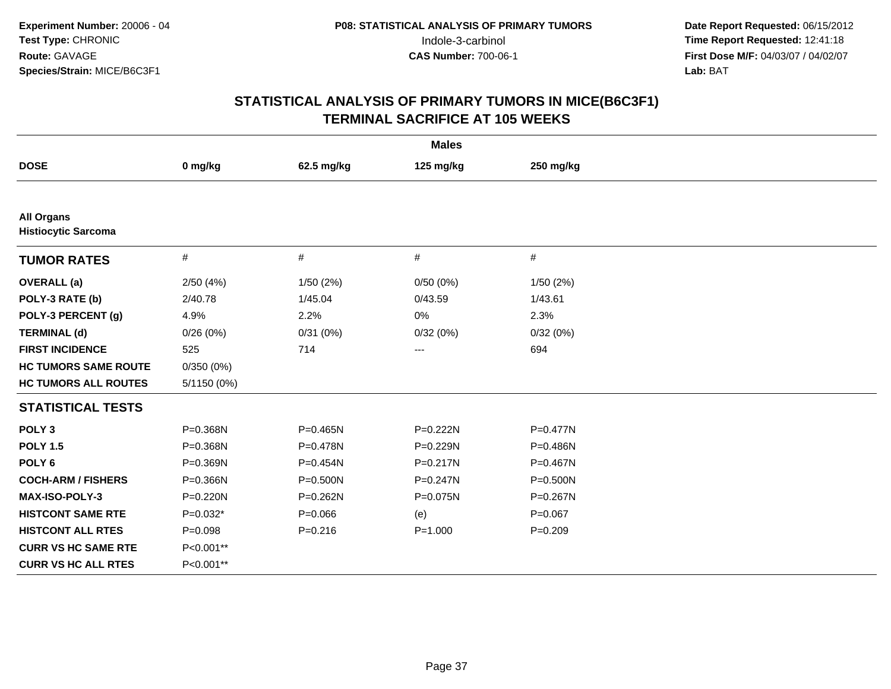| <b>Males</b>                                    |              |              |              |              |  |  |
|-------------------------------------------------|--------------|--------------|--------------|--------------|--|--|
| <b>DOSE</b>                                     | 0 mg/kg      | 62.5 mg/kg   | 125 mg/kg    | 250 mg/kg    |  |  |
|                                                 |              |              |              |              |  |  |
| <b>All Organs</b><br><b>Histiocytic Sarcoma</b> |              |              |              |              |  |  |
| <b>TUMOR RATES</b>                              | $\#$         | #            | $\#$         | #            |  |  |
| <b>OVERALL</b> (a)                              | 2/50(4%)     | 1/50(2%)     | 0/50(0%)     | 1/50(2%)     |  |  |
| POLY-3 RATE (b)                                 | 2/40.78      | 1/45.04      | 0/43.59      | 1/43.61      |  |  |
| POLY-3 PERCENT (g)                              | 4.9%         | 2.2%         | 0%           | 2.3%         |  |  |
| <b>TERMINAL (d)</b>                             | 0/26(0%)     | 0/31(0%)     | 0/32(0%)     | 0/32(0%)     |  |  |
| <b>FIRST INCIDENCE</b>                          | 525          | 714          | $\cdots$     | 694          |  |  |
| <b>HC TUMORS SAME ROUTE</b>                     | 0/350(0%)    |              |              |              |  |  |
| <b>HC TUMORS ALL ROUTES</b>                     | 5/1150 (0%)  |              |              |              |  |  |
| <b>STATISTICAL TESTS</b>                        |              |              |              |              |  |  |
| POLY <sub>3</sub>                               | P=0.368N     | $P = 0.465N$ | $P = 0.222N$ | $P = 0.477N$ |  |  |
| <b>POLY 1.5</b>                                 | P=0.368N     | P=0.478N     | P=0.229N     | P=0.486N     |  |  |
| POLY <sub>6</sub>                               | P=0.369N     | P=0.454N     | $P = 0.217N$ | P=0.467N     |  |  |
| <b>COCH-ARM / FISHERS</b>                       | P=0.366N     | P=0.500N     | $P = 0.247N$ | P=0.500N     |  |  |
| <b>MAX-ISO-POLY-3</b>                           | $P = 0.220N$ | $P = 0.262N$ | P=0.075N     | P=0.267N     |  |  |
| <b>HISTCONT SAME RTE</b>                        | $P=0.032*$   | $P = 0.066$  | (e)          | $P=0.067$    |  |  |
| <b>HISTCONT ALL RTES</b>                        | $P = 0.098$  | $P = 0.216$  | $P = 1.000$  | $P = 0.209$  |  |  |
| <b>CURR VS HC SAME RTE</b>                      | P<0.001**    |              |              |              |  |  |
| <b>CURR VS HC ALL RTES</b>                      | P<0.001**    |              |              |              |  |  |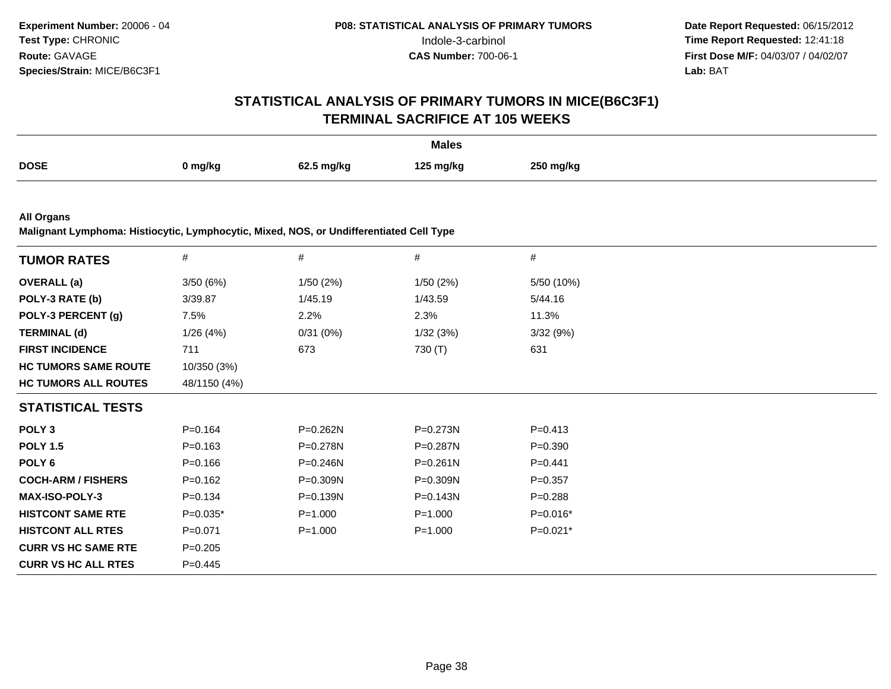# **STATISTICAL ANALYSIS OF PRIMARY TUMORS IN MICE(B6C3F1)TERMINAL SACRIFICE AT 105 WEEKS**

|             |         |            | <b>Males</b> |           |
|-------------|---------|------------|--------------|-----------|
| <b>DOSE</b> | ງ mg/kg | 62.5 mg/kg | 125 ma/ka    | 250 mg/kg |

**All Organs**

**Malignant Lymphoma: Histiocytic, Lymphocytic, Mixed, NOS, or Undifferentiated Cell Type**

| <b>TUMOR RATES</b>          | $\#$         | $\#$         | #            | $\#$        |  |
|-----------------------------|--------------|--------------|--------------|-------------|--|
| <b>OVERALL</b> (a)          | 3/50(6%)     | 1/50(2%)     | 1/50(2%)     | 5/50 (10%)  |  |
| POLY-3 RATE (b)             | 3/39.87      | 1/45.19      | 1/43.59      | 5/44.16     |  |
| POLY-3 PERCENT (g)          | 7.5%         | 2.2%         | 2.3%         | 11.3%       |  |
| <b>TERMINAL (d)</b>         | 1/26(4%)     | 0/31(0%)     | 1/32(3%)     | 3/32(9%)    |  |
| <b>FIRST INCIDENCE</b>      | 711          | 673          | 730 (T)      | 631         |  |
| <b>HC TUMORS SAME ROUTE</b> | 10/350 (3%)  |              |              |             |  |
| <b>HC TUMORS ALL ROUTES</b> | 48/1150 (4%) |              |              |             |  |
| <b>STATISTICAL TESTS</b>    |              |              |              |             |  |
| POLY <sub>3</sub>           | $P = 0.164$  | P=0.262N     | P=0.273N     | $P = 0.413$ |  |
| <b>POLY 1.5</b>             | $P = 0.163$  | P=0.278N     | P=0.287N     | $P = 0.390$ |  |
| POLY 6                      | $P = 0.166$  | $P = 0.246N$ | $P = 0.261N$ | $P=0.441$   |  |
| <b>COCH-ARM / FISHERS</b>   | $P = 0.162$  | P=0.309N     | P=0.309N     | $P = 0.357$ |  |
| <b>MAX-ISO-POLY-3</b>       | $P = 0.134$  | P=0.139N     | P=0.143N     | $P = 0.288$ |  |
| <b>HISTCONT SAME RTE</b>    | $P=0.035*$   | $P = 1.000$  | $P = 1.000$  | $P=0.016*$  |  |
| <b>HISTCONT ALL RTES</b>    | $P = 0.071$  | $P = 1.000$  | $P = 1.000$  | P=0.021*    |  |
| <b>CURR VS HC SAME RTE</b>  | $P = 0.205$  |              |              |             |  |
| <b>CURR VS HC ALL RTES</b>  | $P=0.445$    |              |              |             |  |
|                             |              |              |              |             |  |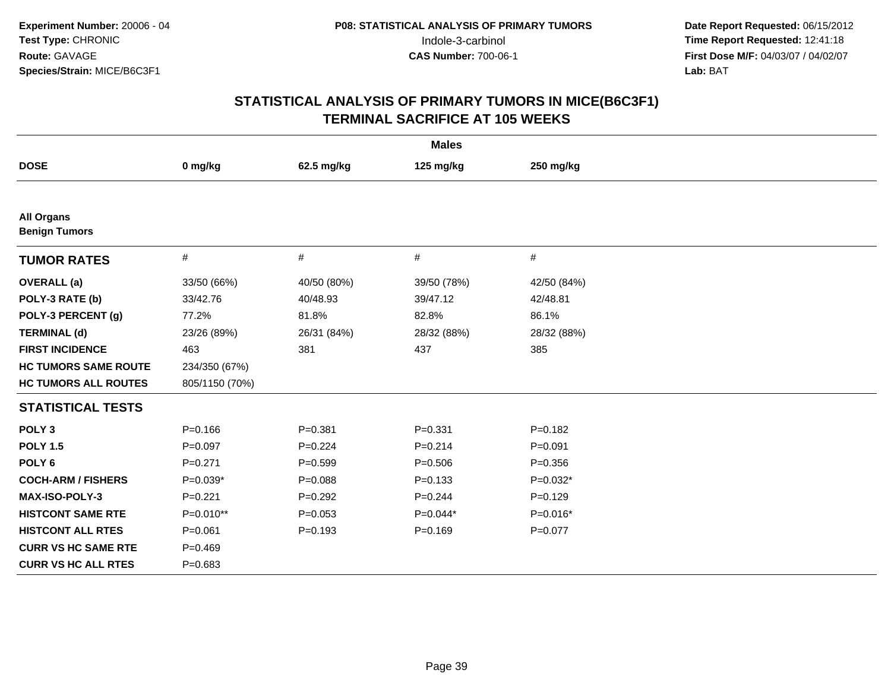| <b>Males</b>                              |                |             |             |             |  |  |
|-------------------------------------------|----------------|-------------|-------------|-------------|--|--|
| <b>DOSE</b>                               | 0 mg/kg        | 62.5 mg/kg  | 125 mg/kg   | 250 mg/kg   |  |  |
|                                           |                |             |             |             |  |  |
| <b>All Organs</b><br><b>Benign Tumors</b> |                |             |             |             |  |  |
| <b>TUMOR RATES</b>                        | $\#$           | #           | #           | #           |  |  |
| <b>OVERALL</b> (a)                        | 33/50 (66%)    | 40/50 (80%) | 39/50 (78%) | 42/50 (84%) |  |  |
| POLY-3 RATE (b)                           | 33/42.76       | 40/48.93    | 39/47.12    | 42/48.81    |  |  |
| POLY-3 PERCENT (g)                        | 77.2%          | 81.8%       | 82.8%       | 86.1%       |  |  |
| <b>TERMINAL (d)</b>                       | 23/26 (89%)    | 26/31 (84%) | 28/32 (88%) | 28/32 (88%) |  |  |
| <b>FIRST INCIDENCE</b>                    | 463            | 381         | 437         | 385         |  |  |
| <b>HC TUMORS SAME ROUTE</b>               | 234/350 (67%)  |             |             |             |  |  |
| <b>HC TUMORS ALL ROUTES</b>               | 805/1150 (70%) |             |             |             |  |  |
| <b>STATISTICAL TESTS</b>                  |                |             |             |             |  |  |
| POLY <sub>3</sub>                         | $P = 0.166$    | $P = 0.381$ | $P = 0.331$ | $P = 0.182$ |  |  |
| <b>POLY 1.5</b>                           | $P=0.097$      | $P=0.224$   | $P = 0.214$ | $P = 0.091$ |  |  |
| POLY <sub>6</sub>                         | $P = 0.271$    | $P = 0.599$ | $P = 0.506$ | $P = 0.356$ |  |  |
| <b>COCH-ARM / FISHERS</b>                 | $P=0.039*$     | $P = 0.088$ | $P = 0.133$ | $P=0.032*$  |  |  |
| <b>MAX-ISO-POLY-3</b>                     | $P=0.221$      | $P=0.292$   | $P = 0.244$ | $P=0.129$   |  |  |
| <b>HISTCONT SAME RTE</b>                  | P=0.010**      | $P = 0.053$ | $P=0.044*$  | $P=0.016*$  |  |  |
| <b>HISTCONT ALL RTES</b>                  | $P = 0.061$    | $P = 0.193$ | $P = 0.169$ | $P = 0.077$ |  |  |
| <b>CURR VS HC SAME RTE</b>                | $P = 0.469$    |             |             |             |  |  |
| <b>CURR VS HC ALL RTES</b>                | $P = 0.683$    |             |             |             |  |  |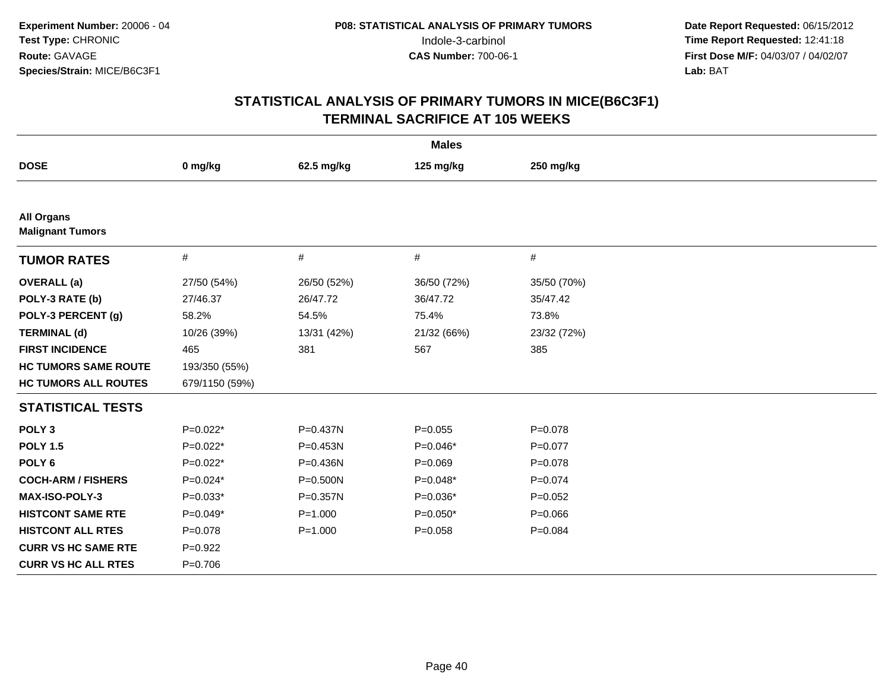| <b>Males</b>                                 |                |             |             |             |  |  |
|----------------------------------------------|----------------|-------------|-------------|-------------|--|--|
| <b>DOSE</b>                                  | 0 mg/kg        | 62.5 mg/kg  | 125 mg/kg   | 250 mg/kg   |  |  |
|                                              |                |             |             |             |  |  |
| <b>All Organs</b><br><b>Malignant Tumors</b> |                |             |             |             |  |  |
| <b>TUMOR RATES</b>                           | $\#$           | #           | #           | #           |  |  |
| <b>OVERALL</b> (a)                           | 27/50 (54%)    | 26/50 (52%) | 36/50 (72%) | 35/50 (70%) |  |  |
| POLY-3 RATE (b)                              | 27/46.37       | 26/47.72    | 36/47.72    | 35/47.42    |  |  |
| POLY-3 PERCENT (g)                           | 58.2%          | 54.5%       | 75.4%       | 73.8%       |  |  |
| <b>TERMINAL (d)</b>                          | 10/26 (39%)    | 13/31 (42%) | 21/32 (66%) | 23/32 (72%) |  |  |
| <b>FIRST INCIDENCE</b>                       | 465            | 381         | 567         | 385         |  |  |
| <b>HC TUMORS SAME ROUTE</b>                  | 193/350 (55%)  |             |             |             |  |  |
| <b>HC TUMORS ALL ROUTES</b>                  | 679/1150 (59%) |             |             |             |  |  |
| <b>STATISTICAL TESTS</b>                     |                |             |             |             |  |  |
| POLY <sub>3</sub>                            | $P=0.022*$     | P=0.437N    | $P = 0.055$ | $P = 0.078$ |  |  |
| <b>POLY 1.5</b>                              | $P=0.022*$     | P=0.453N    | $P=0.046*$  | $P=0.077$   |  |  |
| POLY <sub>6</sub>                            | $P=0.022*$     | P=0.436N    | $P = 0.069$ | $P = 0.078$ |  |  |
| <b>COCH-ARM / FISHERS</b>                    | $P=0.024*$     | P=0.500N    | $P=0.048*$  | $P=0.074$   |  |  |
| <b>MAX-ISO-POLY-3</b>                        | $P=0.033*$     | P=0.357N    | $P=0.036*$  | $P=0.052$   |  |  |
| <b>HISTCONT SAME RTE</b>                     | $P=0.049*$     | $P = 1.000$ | $P=0.050*$  | $P = 0.066$ |  |  |
| <b>HISTCONT ALL RTES</b>                     | $P = 0.078$    | $P = 1.000$ | $P = 0.058$ | $P = 0.084$ |  |  |
| <b>CURR VS HC SAME RTE</b>                   | $P=0.922$      |             |             |             |  |  |
| <b>CURR VS HC ALL RTES</b>                   | $P = 0.706$    |             |             |             |  |  |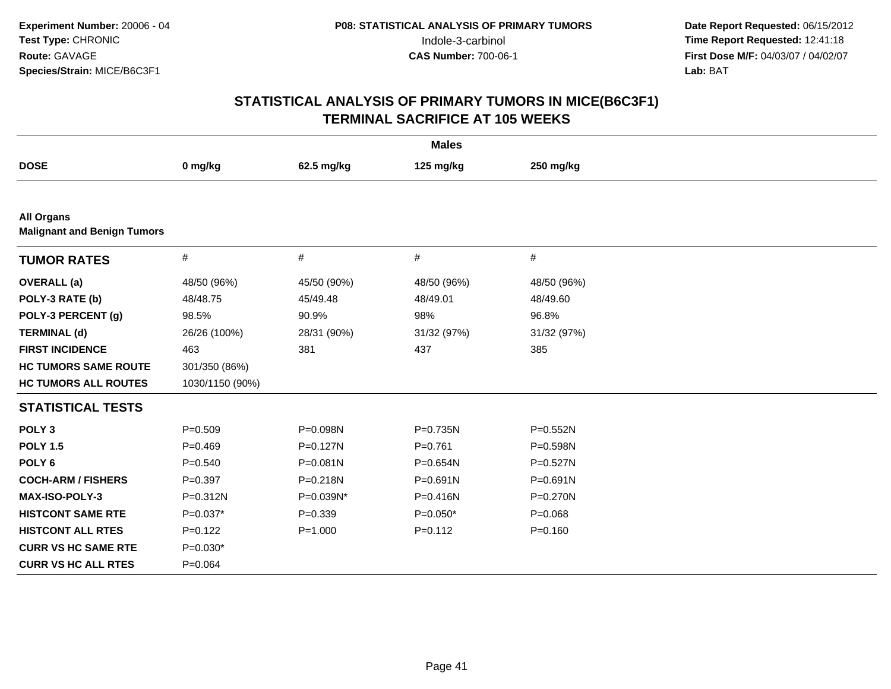| <b>Males</b>                                            |                 |              |              |              |  |  |
|---------------------------------------------------------|-----------------|--------------|--------------|--------------|--|--|
| <b>DOSE</b>                                             | 0 mg/kg         | 62.5 mg/kg   | 125 mg/kg    | 250 mg/kg    |  |  |
|                                                         |                 |              |              |              |  |  |
| <b>All Organs</b><br><b>Malignant and Benign Tumors</b> |                 |              |              |              |  |  |
| <b>TUMOR RATES</b>                                      | #               | $\#$         | $\#$         | $\#$         |  |  |
| <b>OVERALL</b> (a)                                      | 48/50 (96%)     | 45/50 (90%)  | 48/50 (96%)  | 48/50 (96%)  |  |  |
| POLY-3 RATE (b)                                         | 48/48.75        | 45/49.48     | 48/49.01     | 48/49.60     |  |  |
| POLY-3 PERCENT (g)                                      | 98.5%           | 90.9%        | 98%          | 96.8%        |  |  |
| <b>TERMINAL (d)</b>                                     | 26/26 (100%)    | 28/31 (90%)  | 31/32 (97%)  | 31/32 (97%)  |  |  |
| <b>FIRST INCIDENCE</b>                                  | 463             | 381          | 437          | 385          |  |  |
| <b>HC TUMORS SAME ROUTE</b>                             | 301/350 (86%)   |              |              |              |  |  |
| <b>HC TUMORS ALL ROUTES</b>                             | 1030/1150 (90%) |              |              |              |  |  |
| <b>STATISTICAL TESTS</b>                                |                 |              |              |              |  |  |
| POLY <sub>3</sub>                                       | $P = 0.509$     | P=0.098N     | P=0.735N     | P=0.552N     |  |  |
| <b>POLY 1.5</b>                                         | $P = 0.469$     | $P = 0.127N$ | $P = 0.761$  | $P = 0.598N$ |  |  |
| POLY <sub>6</sub>                                       | $P = 0.540$     | P=0.081N     | P=0.654N     | P=0.527N     |  |  |
| <b>COCH-ARM / FISHERS</b>                               | $P = 0.397$     | P=0.218N     | $P = 0.691N$ | P=0.691N     |  |  |
| <b>MAX-ISO-POLY-3</b>                                   | P=0.312N        | P=0.039N*    | $P = 0.416N$ | $P = 0.270N$ |  |  |
| <b>HISTCONT SAME RTE</b>                                | $P=0.037*$      | $P=0.339$    | $P=0.050*$   | $P = 0.068$  |  |  |
| <b>HISTCONT ALL RTES</b>                                | $P=0.122$       | $P = 1.000$  | $P=0.112$    | $P = 0.160$  |  |  |
| <b>CURR VS HC SAME RTE</b>                              | $P=0.030*$      |              |              |              |  |  |
| <b>CURR VS HC ALL RTES</b>                              | $P = 0.064$     |              |              |              |  |  |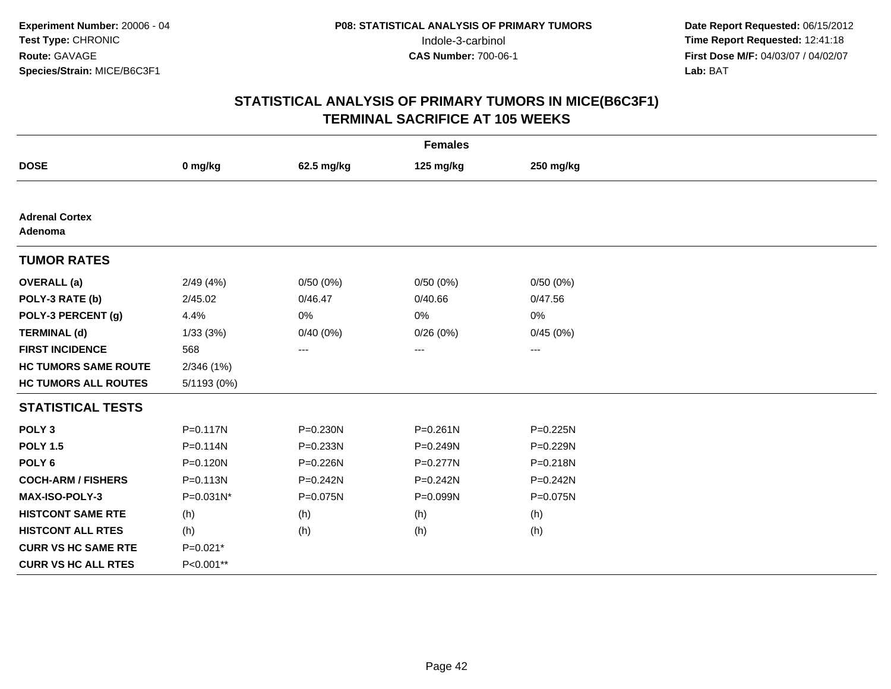| <b>Females</b>                   |              |              |              |              |  |  |
|----------------------------------|--------------|--------------|--------------|--------------|--|--|
| <b>DOSE</b>                      | 0 mg/kg      | 62.5 mg/kg   | 125 mg/kg    | 250 mg/kg    |  |  |
|                                  |              |              |              |              |  |  |
| <b>Adrenal Cortex</b><br>Adenoma |              |              |              |              |  |  |
| <b>TUMOR RATES</b>               |              |              |              |              |  |  |
| <b>OVERALL</b> (a)               | 2/49(4%)     | 0/50(0%)     | 0/50(0%)     | 0/50(0%)     |  |  |
| POLY-3 RATE (b)                  | 2/45.02      | 0/46.47      | 0/40.66      | 0/47.56      |  |  |
| POLY-3 PERCENT (g)               | 4.4%         | 0%           | 0%           | 0%           |  |  |
| <b>TERMINAL (d)</b>              | 1/33(3%)     | 0/40(0%)     | 0/26(0%)     | 0/45(0%)     |  |  |
| <b>FIRST INCIDENCE</b>           | 568          | ---          | ---          | ---          |  |  |
| <b>HC TUMORS SAME ROUTE</b>      | 2/346(1%)    |              |              |              |  |  |
| <b>HC TUMORS ALL ROUTES</b>      | 5/1193 (0%)  |              |              |              |  |  |
| <b>STATISTICAL TESTS</b>         |              |              |              |              |  |  |
| POLY <sub>3</sub>                | $P = 0.117N$ | P=0.230N     | $P = 0.261N$ | $P = 0.225N$ |  |  |
| <b>POLY 1.5</b>                  | $P = 0.114N$ | P=0.233N     | P=0.249N     | $P = 0.229N$ |  |  |
| POLY <sub>6</sub>                | P=0.120N     | P=0.226N     | P=0.277N     | $P = 0.218N$ |  |  |
| <b>COCH-ARM / FISHERS</b>        | $P = 0.113N$ | $P = 0.242N$ | $P = 0.242N$ | $P=0.242N$   |  |  |
| <b>MAX-ISO-POLY-3</b>            | P=0.031N*    | P=0.075N     | P=0.099N     | P=0.075N     |  |  |
| <b>HISTCONT SAME RTE</b>         | (h)          | (h)          | (h)          | (h)          |  |  |
| <b>HISTCONT ALL RTES</b>         | (h)          | (h)          | (h)          | (h)          |  |  |
| <b>CURR VS HC SAME RTE</b>       | $P=0.021*$   |              |              |              |  |  |
| <b>CURR VS HC ALL RTES</b>       | P<0.001**    |              |              |              |  |  |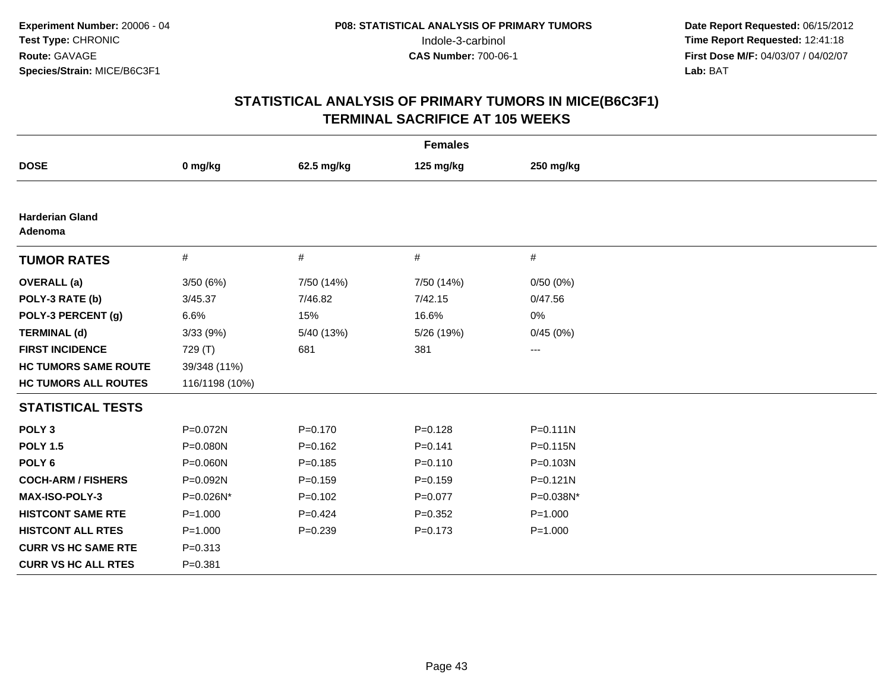| <b>Females</b>                    |                |             |             |                     |  |  |
|-----------------------------------|----------------|-------------|-------------|---------------------|--|--|
| <b>DOSE</b>                       | 0 mg/kg        | 62.5 mg/kg  | 125 mg/kg   | 250 mg/kg           |  |  |
|                                   |                |             |             |                     |  |  |
| <b>Harderian Gland</b><br>Adenoma |                |             |             |                     |  |  |
| <b>TUMOR RATES</b>                | $\#$           | #           | #           | #                   |  |  |
| <b>OVERALL</b> (a)                | 3/50(6%)       | 7/50 (14%)  | 7/50 (14%)  | 0/50(0%)            |  |  |
| POLY-3 RATE (b)                   | 3/45.37        | 7/46.82     | 7/42.15     | 0/47.56             |  |  |
| POLY-3 PERCENT (g)                | 6.6%           | 15%         | 16.6%       | 0%                  |  |  |
| <b>TERMINAL (d)</b>               | 3/33(9%)       | 5/40 (13%)  | 5/26 (19%)  | 0/45(0%)            |  |  |
| <b>FIRST INCIDENCE</b>            | 729 (T)        | 681         | 381         | $\qquad \qquad - -$ |  |  |
| <b>HC TUMORS SAME ROUTE</b>       | 39/348 (11%)   |             |             |                     |  |  |
| <b>HC TUMORS ALL ROUTES</b>       | 116/1198 (10%) |             |             |                     |  |  |
| <b>STATISTICAL TESTS</b>          |                |             |             |                     |  |  |
| POLY <sub>3</sub>                 | P=0.072N       | $P = 0.170$ | $P = 0.128$ | $P = 0.111N$        |  |  |
| <b>POLY 1.5</b>                   | P=0.080N       | $P=0.162$   | $P = 0.141$ | P=0.115N            |  |  |
| POLY <sub>6</sub>                 | P=0.060N       | $P = 0.185$ | $P = 0.110$ | P=0.103N            |  |  |
| <b>COCH-ARM / FISHERS</b>         | P=0.092N       | $P = 0.159$ | $P = 0.159$ | $P = 0.121N$        |  |  |
| <b>MAX-ISO-POLY-3</b>             | P=0.026N*      | $P=0.102$   | $P=0.077$   | P=0.038N*           |  |  |
| <b>HISTCONT SAME RTE</b>          | $P = 1.000$    | $P=0.424$   | $P = 0.352$ | $P = 1.000$         |  |  |
| <b>HISTCONT ALL RTES</b>          | $P = 1.000$    | $P=0.239$   | $P = 0.173$ | $P = 1.000$         |  |  |
| <b>CURR VS HC SAME RTE</b>        | $P = 0.313$    |             |             |                     |  |  |
| <b>CURR VS HC ALL RTES</b>        | $P = 0.381$    |             |             |                     |  |  |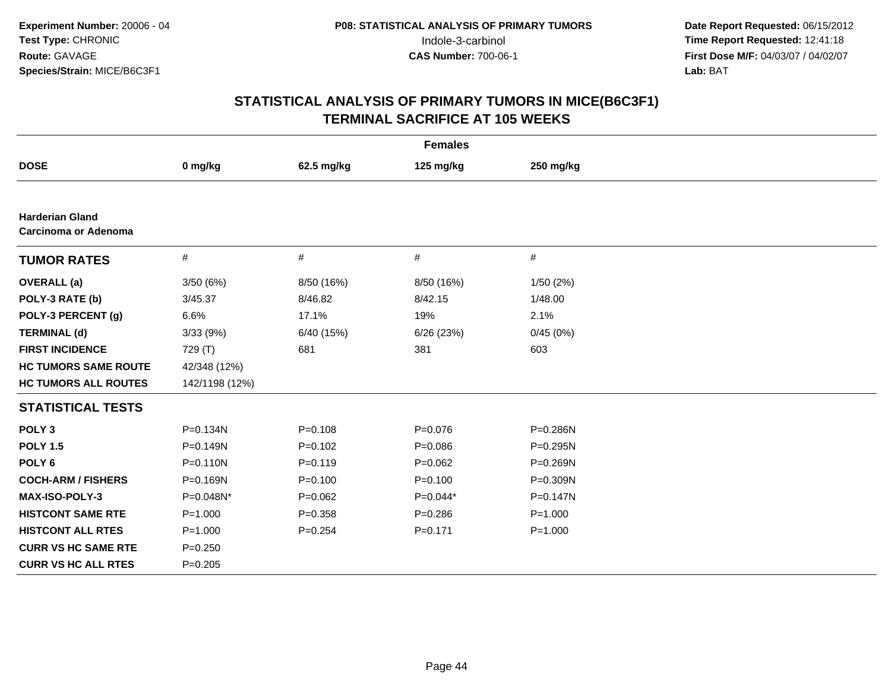| <b>Females</b>                                 |                |             |             |              |  |  |
|------------------------------------------------|----------------|-------------|-------------|--------------|--|--|
| <b>DOSE</b>                                    | 0 mg/kg        | 62.5 mg/kg  | 125 mg/kg   | 250 mg/kg    |  |  |
|                                                |                |             |             |              |  |  |
| <b>Harderian Gland</b><br>Carcinoma or Adenoma |                |             |             |              |  |  |
| <b>TUMOR RATES</b>                             | #              | $\#$        | $\#$        | $\#$         |  |  |
| <b>OVERALL</b> (a)                             | 3/50(6%)       | 8/50 (16%)  | 8/50 (16%)  | 1/50(2%)     |  |  |
| POLY-3 RATE (b)                                | 3/45.37        | 8/46.82     | 8/42.15     | 1/48.00      |  |  |
| POLY-3 PERCENT (g)                             | 6.6%           | 17.1%       | 19%         | 2.1%         |  |  |
| <b>TERMINAL (d)</b>                            | 3/33 (9%)      | 6/40 (15%)  | 6/26(23%)   | 0/45(0%)     |  |  |
| <b>FIRST INCIDENCE</b>                         | 729 (T)        | 681         | 381         | 603          |  |  |
| <b>HC TUMORS SAME ROUTE</b>                    | 42/348 (12%)   |             |             |              |  |  |
| <b>HC TUMORS ALL ROUTES</b>                    | 142/1198 (12%) |             |             |              |  |  |
| <b>STATISTICAL TESTS</b>                       |                |             |             |              |  |  |
| POLY <sub>3</sub>                              | $P = 0.134N$   | $P = 0.108$ | $P = 0.076$ | P=0.286N     |  |  |
| <b>POLY 1.5</b>                                | $P = 0.149N$   | $P=0.102$   | $P = 0.086$ | $P = 0.295N$ |  |  |
| POLY <sub>6</sub>                              | $P = 0.110N$   | $P = 0.119$ | $P=0.062$   | $P = 0.269N$ |  |  |
| <b>COCH-ARM / FISHERS</b>                      | P=0.169N       | $P = 0.100$ | $P = 0.100$ | P=0.309N     |  |  |
| <b>MAX-ISO-POLY-3</b>                          | P=0.048N*      | $P = 0.062$ | $P=0.044*$  | $P = 0.147N$ |  |  |
| <b>HISTCONT SAME RTE</b>                       | $P = 1.000$    | $P = 0.358$ | $P = 0.286$ | $P = 1.000$  |  |  |
| <b>HISTCONT ALL RTES</b>                       | $P = 1.000$    | $P = 0.254$ | $P = 0.171$ | $P = 1.000$  |  |  |
| <b>CURR VS HC SAME RTE</b>                     | $P = 0.250$    |             |             |              |  |  |
| <b>CURR VS HC ALL RTES</b>                     | $P = 0.205$    |             |             |              |  |  |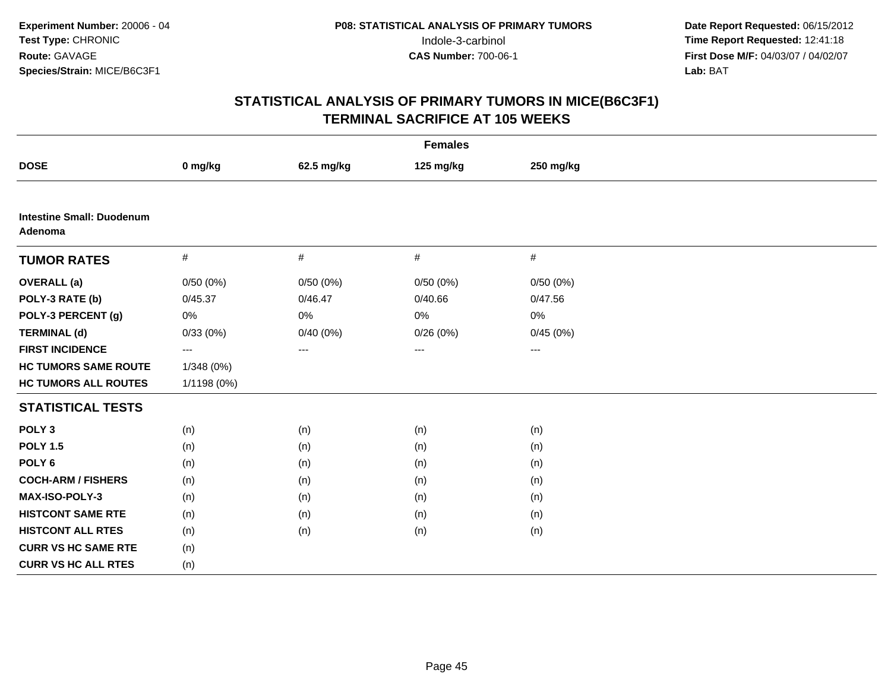| <b>Females</b>                              |             |            |           |           |  |  |
|---------------------------------------------|-------------|------------|-----------|-----------|--|--|
| <b>DOSE</b>                                 | 0 mg/kg     | 62.5 mg/kg | 125 mg/kg | 250 mg/kg |  |  |
|                                             |             |            |           |           |  |  |
| <b>Intestine Small: Duodenum</b><br>Adenoma |             |            |           |           |  |  |
| <b>TUMOR RATES</b>                          | $\#$        | #          | $\#$      | $\#$      |  |  |
| <b>OVERALL</b> (a)                          | 0/50(0%)    | 0/50(0%)   | 0/50(0%)  | 0/50(0%)  |  |  |
| POLY-3 RATE (b)                             | 0/45.37     | 0/46.47    | 0/40.66   | 0/47.56   |  |  |
| POLY-3 PERCENT (g)                          | $0\%$       | 0%         | 0%        | 0%        |  |  |
| <b>TERMINAL (d)</b>                         | 0/33(0%)    | 0/40(0%)   | 0/26(0%)  | 0/45(0%)  |  |  |
| <b>FIRST INCIDENCE</b>                      | ---         | $--$       | ---       | $--$      |  |  |
| <b>HC TUMORS SAME ROUTE</b>                 | 1/348 (0%)  |            |           |           |  |  |
| <b>HC TUMORS ALL ROUTES</b>                 | 1/1198 (0%) |            |           |           |  |  |
| <b>STATISTICAL TESTS</b>                    |             |            |           |           |  |  |
| POLY <sub>3</sub>                           | (n)         | (n)        | (n)       | (n)       |  |  |
| <b>POLY 1.5</b>                             | (n)         | (n)        | (n)       | (n)       |  |  |
| POLY <sub>6</sub>                           | (n)         | (n)        | (n)       | (n)       |  |  |
| <b>COCH-ARM / FISHERS</b>                   | (n)         | (n)        | (n)       | (n)       |  |  |
| MAX-ISO-POLY-3                              | (n)         | (n)        | (n)       | (n)       |  |  |
| <b>HISTCONT SAME RTE</b>                    | (n)         | (n)        | (n)       | (n)       |  |  |
| <b>HISTCONT ALL RTES</b>                    | (n)         | (n)        | (n)       | (n)       |  |  |
| <b>CURR VS HC SAME RTE</b>                  | (n)         |            |           |           |  |  |
| <b>CURR VS HC ALL RTES</b>                  | (n)         |            |           |           |  |  |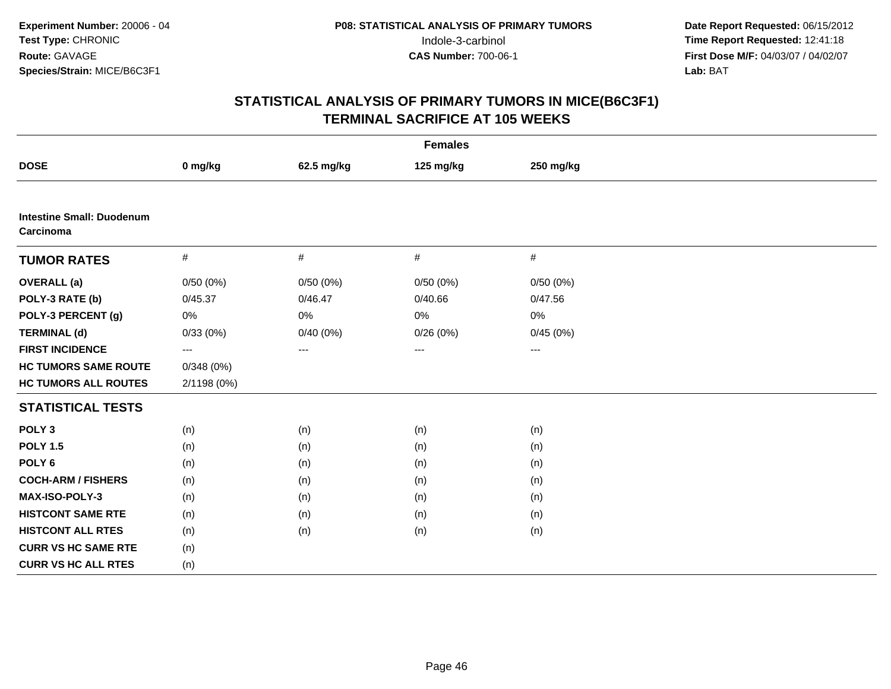| <b>Females</b>                                |             |            |           |           |  |  |
|-----------------------------------------------|-------------|------------|-----------|-----------|--|--|
| <b>DOSE</b>                                   | 0 mg/kg     | 62.5 mg/kg | 125 mg/kg | 250 mg/kg |  |  |
|                                               |             |            |           |           |  |  |
| <b>Intestine Small: Duodenum</b><br>Carcinoma |             |            |           |           |  |  |
| <b>TUMOR RATES</b>                            | $\#$        | #          | $\#$      | $\#$      |  |  |
| <b>OVERALL</b> (a)                            | 0/50(0%)    | 0/50(0%)   | 0/50(0%)  | 0/50(0%)  |  |  |
| POLY-3 RATE (b)                               | 0/45.37     | 0/46.47    | 0/40.66   | 0/47.56   |  |  |
| POLY-3 PERCENT (g)                            | $0\%$       | 0%         | 0%        | 0%        |  |  |
| <b>TERMINAL (d)</b>                           | 0/33(0%)    | 0/40(0%)   | 0/26(0%)  | 0/45(0%)  |  |  |
| <b>FIRST INCIDENCE</b>                        | ---         | $--$       | ---       | $--$      |  |  |
| <b>HC TUMORS SAME ROUTE</b>                   | 0/348(0%)   |            |           |           |  |  |
| <b>HC TUMORS ALL ROUTES</b>                   | 2/1198 (0%) |            |           |           |  |  |
| <b>STATISTICAL TESTS</b>                      |             |            |           |           |  |  |
| POLY <sub>3</sub>                             | (n)         | (n)        | (n)       | (n)       |  |  |
| <b>POLY 1.5</b>                               | (n)         | (n)        | (n)       | (n)       |  |  |
| POLY <sub>6</sub>                             | (n)         | (n)        | (n)       | (n)       |  |  |
| <b>COCH-ARM / FISHERS</b>                     | (n)         | (n)        | (n)       | (n)       |  |  |
| MAX-ISO-POLY-3                                | (n)         | (n)        | (n)       | (n)       |  |  |
| <b>HISTCONT SAME RTE</b>                      | (n)         | (n)        | (n)       | (n)       |  |  |
| <b>HISTCONT ALL RTES</b>                      | (n)         | (n)        | (n)       | (n)       |  |  |
| <b>CURR VS HC SAME RTE</b>                    | (n)         |            |           |           |  |  |
| <b>CURR VS HC ALL RTES</b>                    | (n)         |            |           |           |  |  |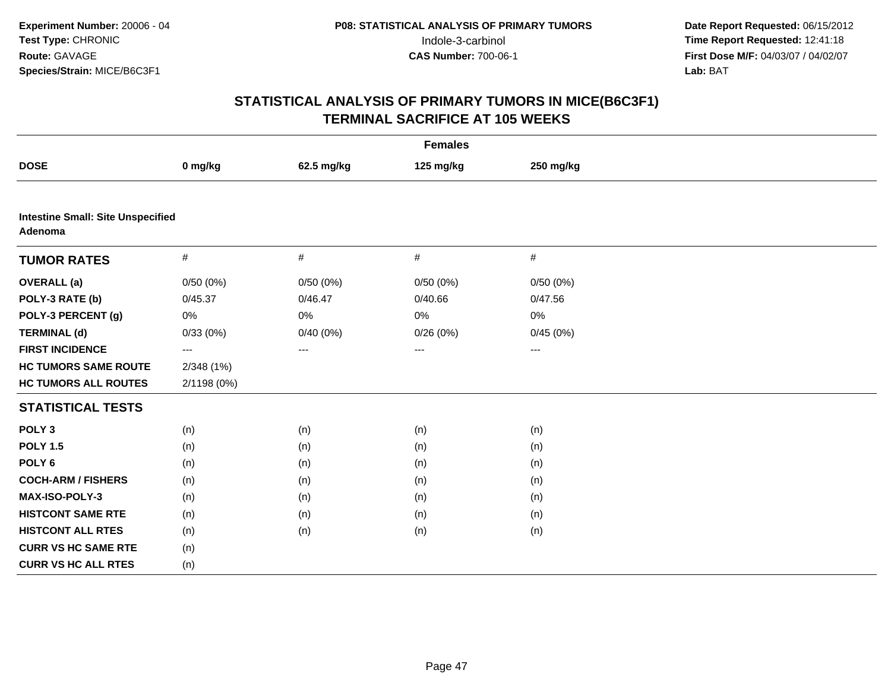| <b>Females</b>                                      |             |            |           |           |  |  |
|-----------------------------------------------------|-------------|------------|-----------|-----------|--|--|
| <b>DOSE</b>                                         | 0 mg/kg     | 62.5 mg/kg | 125 mg/kg | 250 mg/kg |  |  |
|                                                     |             |            |           |           |  |  |
| <b>Intestine Small: Site Unspecified</b><br>Adenoma |             |            |           |           |  |  |
| <b>TUMOR RATES</b>                                  | $\#$        | $\#$       | $\#$      | #         |  |  |
| <b>OVERALL</b> (a)                                  | 0/50(0%)    | 0/50(0%)   | 0/50(0%)  | 0/50(0%)  |  |  |
| POLY-3 RATE (b)                                     | 0/45.37     | 0/46.47    | 0/40.66   | 0/47.56   |  |  |
| POLY-3 PERCENT (g)                                  | 0%          | $0\%$      | 0%        | 0%        |  |  |
| <b>TERMINAL (d)</b>                                 | 0/33(0%)    | 0/40(0%)   | 0/26(0%)  | 0/45(0%)  |  |  |
| <b>FIRST INCIDENCE</b>                              | ---         | $---$      | ---       | $---$     |  |  |
| <b>HC TUMORS SAME ROUTE</b>                         | 2/348(1%)   |            |           |           |  |  |
| <b>HC TUMORS ALL ROUTES</b>                         | 2/1198 (0%) |            |           |           |  |  |
| <b>STATISTICAL TESTS</b>                            |             |            |           |           |  |  |
| POLY <sub>3</sub>                                   | (n)         | (n)        | (n)       | (n)       |  |  |
| <b>POLY 1.5</b>                                     | (n)         | (n)        | (n)       | (n)       |  |  |
| POLY <sub>6</sub>                                   | (n)         | (n)        | (n)       | (n)       |  |  |
| <b>COCH-ARM / FISHERS</b>                           | (n)         | (n)        | (n)       | (n)       |  |  |
| <b>MAX-ISO-POLY-3</b>                               | (n)         | (n)        | (n)       | (n)       |  |  |
| <b>HISTCONT SAME RTE</b>                            | (n)         | (n)        | (n)       | (n)       |  |  |
| <b>HISTCONT ALL RTES</b>                            | (n)         | (n)        | (n)       | (n)       |  |  |
| <b>CURR VS HC SAME RTE</b>                          | (n)         |            |           |           |  |  |
| <b>CURR VS HC ALL RTES</b>                          | (n)         |            |           |           |  |  |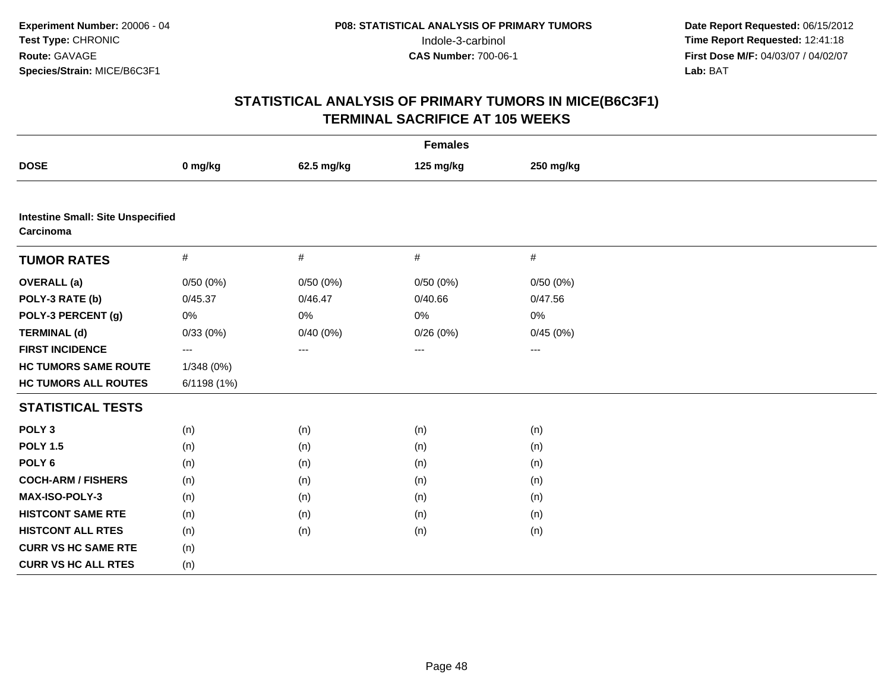| <b>Females</b>                                        |             |            |           |                        |  |  |
|-------------------------------------------------------|-------------|------------|-----------|------------------------|--|--|
| <b>DOSE</b>                                           | 0 mg/kg     | 62.5 mg/kg | 125 mg/kg | 250 mg/kg              |  |  |
|                                                       |             |            |           |                        |  |  |
| <b>Intestine Small: Site Unspecified</b><br>Carcinoma |             |            |           |                        |  |  |
| <b>TUMOR RATES</b>                                    | $\#$        | #          | $\#$      | $\#$                   |  |  |
| <b>OVERALL</b> (a)                                    | 0/50(0%)    | 0/50(0%)   | 0/50(0%)  | 0/50(0%)               |  |  |
| POLY-3 RATE (b)                                       | 0/45.37     | 0/46.47    | 0/40.66   | 0/47.56                |  |  |
| POLY-3 PERCENT (g)                                    | 0%          | 0%         | 0%        | 0%                     |  |  |
| <b>TERMINAL (d)</b>                                   | 0/33(0%)    | 0/40(0%)   | 0/26(0%)  | 0/45(0%)               |  |  |
| <b>FIRST INCIDENCE</b>                                | ---         | $---$      | ---       | $\qquad \qquad \cdots$ |  |  |
| <b>HC TUMORS SAME ROUTE</b>                           | 1/348 (0%)  |            |           |                        |  |  |
| <b>HC TUMORS ALL ROUTES</b>                           | 6/1198 (1%) |            |           |                        |  |  |
| <b>STATISTICAL TESTS</b>                              |             |            |           |                        |  |  |
| POLY <sub>3</sub>                                     | (n)         | (n)        | (n)       | (n)                    |  |  |
| <b>POLY 1.5</b>                                       | (n)         | (n)        | (n)       | (n)                    |  |  |
| POLY <sub>6</sub>                                     | (n)         | (n)        | (n)       | (n)                    |  |  |
| <b>COCH-ARM / FISHERS</b>                             | (n)         | (n)        | (n)       | (n)                    |  |  |
| MAX-ISO-POLY-3                                        | (n)         | (n)        | (n)       | (n)                    |  |  |
| <b>HISTCONT SAME RTE</b>                              | (n)         | (n)        | (n)       | (n)                    |  |  |
| <b>HISTCONT ALL RTES</b>                              | (n)         | (n)        | (n)       | (n)                    |  |  |
| <b>CURR VS HC SAME RTE</b>                            | (n)         |            |           |                        |  |  |
| <b>CURR VS HC ALL RTES</b>                            | (n)         |            |           |                        |  |  |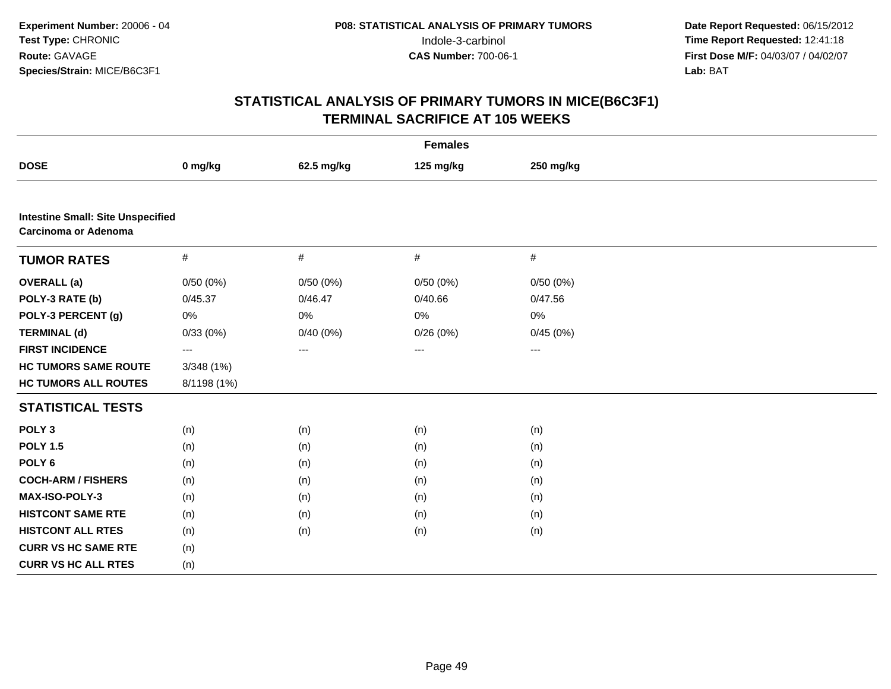| <b>Females</b>                                                          |                   |            |           |           |  |  |  |
|-------------------------------------------------------------------------|-------------------|------------|-----------|-----------|--|--|--|
| <b>DOSE</b>                                                             | 0 mg/kg           | 62.5 mg/kg | 125 mg/kg | 250 mg/kg |  |  |  |
|                                                                         |                   |            |           |           |  |  |  |
| <b>Intestine Small: Site Unspecified</b><br><b>Carcinoma or Adenoma</b> |                   |            |           |           |  |  |  |
| <b>TUMOR RATES</b>                                                      | $\#$              | #          | $\#$      | $\#$      |  |  |  |
| <b>OVERALL</b> (a)                                                      | 0/50(0%)          | 0/50(0%)   | 0/50(0%)  | 0/50(0%)  |  |  |  |
| POLY-3 RATE (b)                                                         | 0/45.37           | 0/46.47    | 0/40.66   | 0/47.56   |  |  |  |
| POLY-3 PERCENT (g)                                                      | 0%                | 0%         | 0%        | 0%        |  |  |  |
| <b>TERMINAL (d)</b>                                                     | 0/33(0%)          | 0/40(0%)   | 0/26(0%)  | 0/45(0%)  |  |  |  |
| <b>FIRST INCIDENCE</b>                                                  | $\qquad \qquad -$ | $---$      | ---       | ---       |  |  |  |
| <b>HC TUMORS SAME ROUTE</b>                                             | 3/348 (1%)        |            |           |           |  |  |  |
| <b>HC TUMORS ALL ROUTES</b>                                             | 8/1198 (1%)       |            |           |           |  |  |  |
| <b>STATISTICAL TESTS</b>                                                |                   |            |           |           |  |  |  |
| POLY <sub>3</sub>                                                       | (n)               | (n)        | (n)       | (n)       |  |  |  |
| <b>POLY 1.5</b>                                                         | (n)               | (n)        | (n)       | (n)       |  |  |  |
| POLY <sub>6</sub>                                                       | (n)               | (n)        | (n)       | (n)       |  |  |  |
| <b>COCH-ARM / FISHERS</b>                                               | (n)               | (n)        | (n)       | (n)       |  |  |  |
| MAX-ISO-POLY-3                                                          | (n)               | (n)        | (n)       | (n)       |  |  |  |
| <b>HISTCONT SAME RTE</b>                                                | (n)               | (n)        | (n)       | (n)       |  |  |  |
| <b>HISTCONT ALL RTES</b>                                                | (n)               | (n)        | (n)       | (n)       |  |  |  |
| <b>CURR VS HC SAME RTE</b>                                              | (n)               |            |           |           |  |  |  |
| <b>CURR VS HC ALL RTES</b>                                              | (n)               |            |           |           |  |  |  |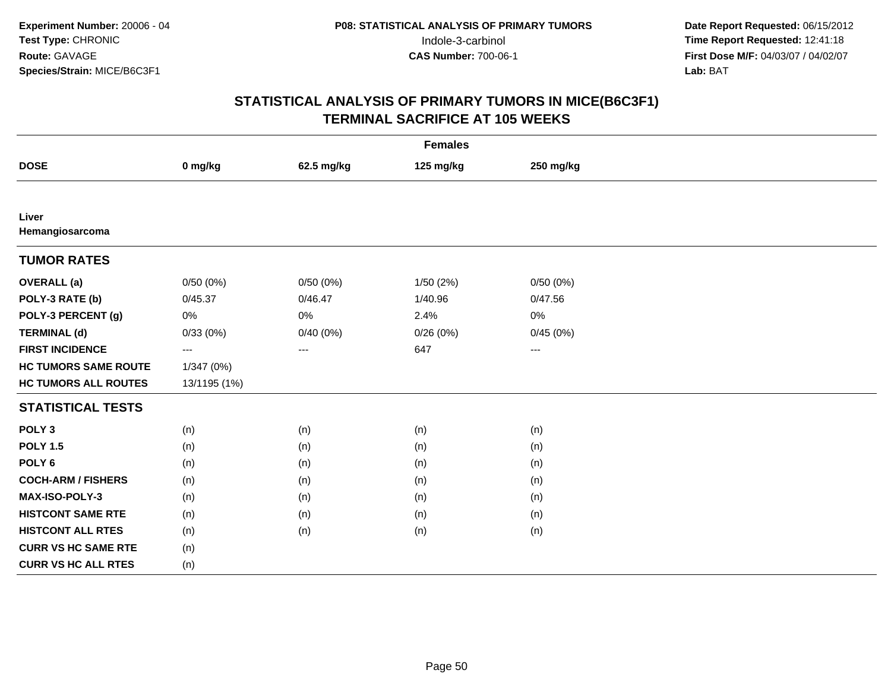| <b>Females</b>              |              |            |           |           |  |  |  |
|-----------------------------|--------------|------------|-----------|-----------|--|--|--|
| <b>DOSE</b>                 | 0 mg/kg      | 62.5 mg/kg | 125 mg/kg | 250 mg/kg |  |  |  |
|                             |              |            |           |           |  |  |  |
| Liver<br>Hemangiosarcoma    |              |            |           |           |  |  |  |
| <b>TUMOR RATES</b>          |              |            |           |           |  |  |  |
| <b>OVERALL</b> (a)          | 0/50(0%)     | 0/50(0%)   | 1/50(2%)  | 0/50(0%)  |  |  |  |
| POLY-3 RATE (b)             | 0/45.37      | 0/46.47    | 1/40.96   | 0/47.56   |  |  |  |
| POLY-3 PERCENT (g)          | 0%           | 0%         | 2.4%      | 0%        |  |  |  |
| <b>TERMINAL (d)</b>         | 0/33(0%)     | 0/40(0%)   | 0/26(0%)  | 0/45(0%)  |  |  |  |
| <b>FIRST INCIDENCE</b>      | $--$         | $--$       | 647       | $--$      |  |  |  |
| <b>HC TUMORS SAME ROUTE</b> | 1/347 (0%)   |            |           |           |  |  |  |
| <b>HC TUMORS ALL ROUTES</b> | 13/1195 (1%) |            |           |           |  |  |  |
| <b>STATISTICAL TESTS</b>    |              |            |           |           |  |  |  |
| POLY <sub>3</sub>           | (n)          | (n)        | (n)       | (n)       |  |  |  |
| <b>POLY 1.5</b>             | (n)          | (n)        | (n)       | (n)       |  |  |  |
| POLY <sub>6</sub>           | (n)          | (n)        | (n)       | (n)       |  |  |  |
| <b>COCH-ARM / FISHERS</b>   | (n)          | (n)        | (n)       | (n)       |  |  |  |
| MAX-ISO-POLY-3              | (n)          | (n)        | (n)       | (n)       |  |  |  |
| <b>HISTCONT SAME RTE</b>    | (n)          | (n)        | (n)       | (n)       |  |  |  |
| <b>HISTCONT ALL RTES</b>    | (n)          | (n)        | (n)       | (n)       |  |  |  |
| <b>CURR VS HC SAME RTE</b>  | (n)          |            |           |           |  |  |  |
| <b>CURR VS HC ALL RTES</b>  | (n)          |            |           |           |  |  |  |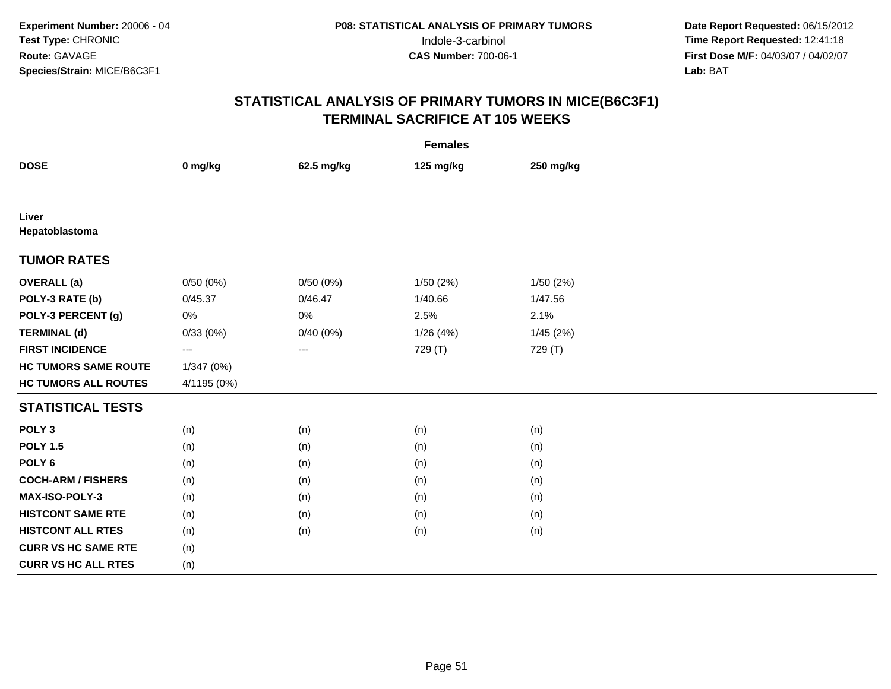| <b>Females</b>              |             |            |           |           |  |  |  |
|-----------------------------|-------------|------------|-----------|-----------|--|--|--|
| <b>DOSE</b>                 | 0 mg/kg     | 62.5 mg/kg | 125 mg/kg | 250 mg/kg |  |  |  |
|                             |             |            |           |           |  |  |  |
| Liver<br>Hepatoblastoma     |             |            |           |           |  |  |  |
| <b>TUMOR RATES</b>          |             |            |           |           |  |  |  |
| <b>OVERALL</b> (a)          | 0/50(0%)    | 0/50(0%)   | 1/50(2%)  | 1/50 (2%) |  |  |  |
| POLY-3 RATE (b)             | 0/45.37     | 0/46.47    | 1/40.66   | 1/47.56   |  |  |  |
| POLY-3 PERCENT (g)          | $0\%$       | $0\%$      | 2.5%      | 2.1%      |  |  |  |
| <b>TERMINAL (d)</b>         | 0/33(0%)    | 0/40(0%)   | 1/26(4%)  | 1/45 (2%) |  |  |  |
| <b>FIRST INCIDENCE</b>      | ---         | ---        | 729 (T)   | 729 (T)   |  |  |  |
| <b>HC TUMORS SAME ROUTE</b> | 1/347 (0%)  |            |           |           |  |  |  |
| <b>HC TUMORS ALL ROUTES</b> | 4/1195 (0%) |            |           |           |  |  |  |
| <b>STATISTICAL TESTS</b>    |             |            |           |           |  |  |  |
| POLY <sub>3</sub>           | (n)         | (n)        | (n)       | (n)       |  |  |  |
| <b>POLY 1.5</b>             | (n)         | (n)        | (n)       | (n)       |  |  |  |
| POLY <sub>6</sub>           | (n)         | (n)        | (n)       | (n)       |  |  |  |
| <b>COCH-ARM / FISHERS</b>   | (n)         | (n)        | (n)       | (n)       |  |  |  |
| MAX-ISO-POLY-3              | (n)         | (n)        | (n)       | (n)       |  |  |  |
| <b>HISTCONT SAME RTE</b>    | (n)         | (n)        | (n)       | (n)       |  |  |  |
| <b>HISTCONT ALL RTES</b>    | (n)         | (n)        | (n)       | (n)       |  |  |  |
| <b>CURR VS HC SAME RTE</b>  | (n)         |            |           |           |  |  |  |
| <b>CURR VS HC ALL RTES</b>  | (n)         |            |           |           |  |  |  |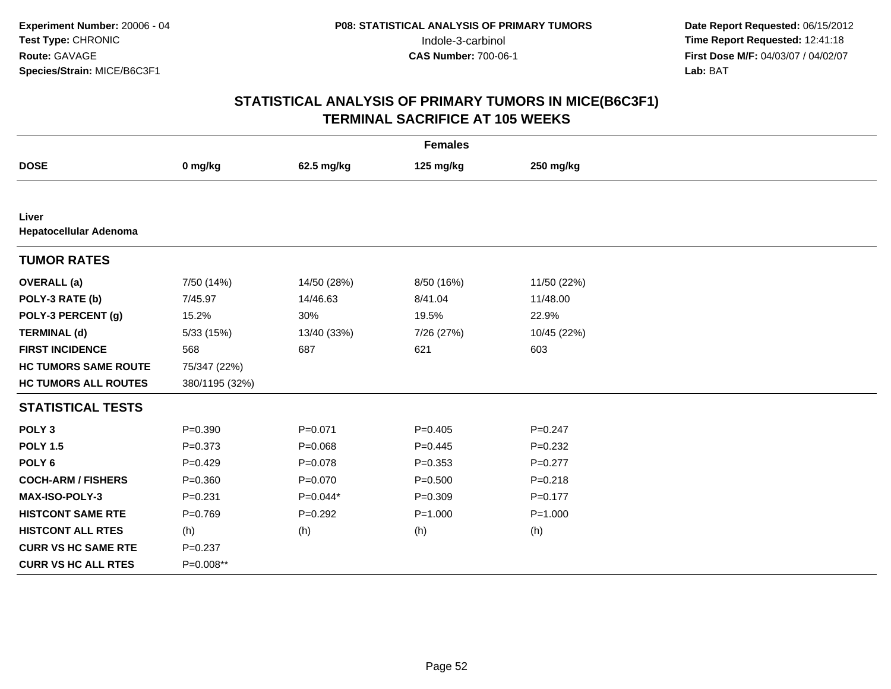| <b>Females</b>                  |                |             |             |             |  |  |  |
|---------------------------------|----------------|-------------|-------------|-------------|--|--|--|
| <b>DOSE</b>                     | 0 mg/kg        | 62.5 mg/kg  | 125 mg/kg   | 250 mg/kg   |  |  |  |
|                                 |                |             |             |             |  |  |  |
| Liver<br>Hepatocellular Adenoma |                |             |             |             |  |  |  |
| <b>TUMOR RATES</b>              |                |             |             |             |  |  |  |
| <b>OVERALL</b> (a)              | 7/50 (14%)     | 14/50 (28%) | 8/50 (16%)  | 11/50 (22%) |  |  |  |
| POLY-3 RATE (b)                 | 7/45.97        | 14/46.63    | 8/41.04     | 11/48.00    |  |  |  |
| POLY-3 PERCENT (g)              | 15.2%          | 30%         | 19.5%       | 22.9%       |  |  |  |
| <b>TERMINAL (d)</b>             | 5/33 (15%)     | 13/40 (33%) | 7/26 (27%)  | 10/45 (22%) |  |  |  |
| <b>FIRST INCIDENCE</b>          | 568            | 687         | 621         | 603         |  |  |  |
| <b>HC TUMORS SAME ROUTE</b>     | 75/347 (22%)   |             |             |             |  |  |  |
| <b>HC TUMORS ALL ROUTES</b>     | 380/1195 (32%) |             |             |             |  |  |  |
| <b>STATISTICAL TESTS</b>        |                |             |             |             |  |  |  |
| POLY <sub>3</sub>               | $P = 0.390$    | $P = 0.071$ | $P=0.405$   | $P = 0.247$ |  |  |  |
| <b>POLY 1.5</b>                 | $P = 0.373$    | $P = 0.068$ | $P=0.445$   | $P = 0.232$ |  |  |  |
| POLY <sub>6</sub>               | $P=0.429$      | $P=0.078$   | $P = 0.353$ | $P=0.277$   |  |  |  |
| <b>COCH-ARM / FISHERS</b>       | $P = 0.360$    | $P = 0.070$ | $P = 0.500$ | $P = 0.218$ |  |  |  |
| <b>MAX-ISO-POLY-3</b>           | $P = 0.231$    | $P=0.044*$  | $P = 0.309$ | $P=0.177$   |  |  |  |
| <b>HISTCONT SAME RTE</b>        | $P = 0.769$    | $P=0.292$   | $P = 1.000$ | $P = 1.000$ |  |  |  |
| <b>HISTCONT ALL RTES</b>        | (h)            | (h)         | (h)         | (h)         |  |  |  |
| <b>CURR VS HC SAME RTE</b>      | $P = 0.237$    |             |             |             |  |  |  |
| <b>CURR VS HC ALL RTES</b>      | P=0.008**      |             |             |             |  |  |  |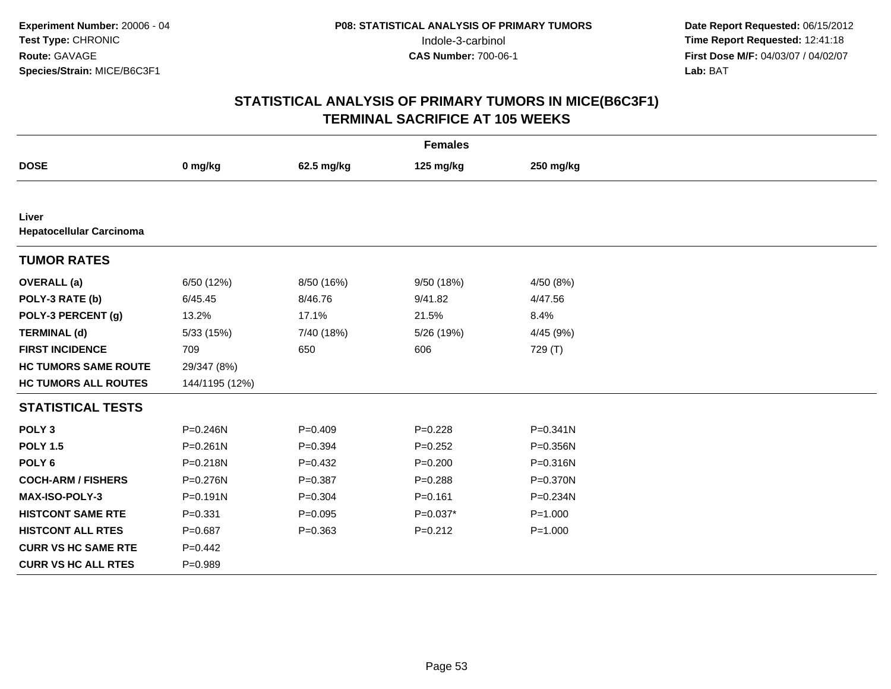| <b>Females</b>                           |                |             |             |              |  |  |  |
|------------------------------------------|----------------|-------------|-------------|--------------|--|--|--|
| <b>DOSE</b>                              | 0 mg/kg        | 62.5 mg/kg  | 125 mg/kg   | 250 mg/kg    |  |  |  |
|                                          |                |             |             |              |  |  |  |
| Liver<br><b>Hepatocellular Carcinoma</b> |                |             |             |              |  |  |  |
| <b>TUMOR RATES</b>                       |                |             |             |              |  |  |  |
| <b>OVERALL</b> (a)                       | 6/50 (12%)     | 8/50 (16%)  | 9/50 (18%)  | 4/50 (8%)    |  |  |  |
| POLY-3 RATE (b)                          | 6/45.45        | 8/46.76     | 9/41.82     | 4/47.56      |  |  |  |
| POLY-3 PERCENT (g)                       | 13.2%          | 17.1%       | 21.5%       | 8.4%         |  |  |  |
| <b>TERMINAL (d)</b>                      | 5/33 (15%)     | 7/40 (18%)  | 5/26 (19%)  | 4/45 (9%)    |  |  |  |
| <b>FIRST INCIDENCE</b>                   | 709            | 650         | 606         | 729 (T)      |  |  |  |
| <b>HC TUMORS SAME ROUTE</b>              | 29/347 (8%)    |             |             |              |  |  |  |
| <b>HC TUMORS ALL ROUTES</b>              | 144/1195 (12%) |             |             |              |  |  |  |
| <b>STATISTICAL TESTS</b>                 |                |             |             |              |  |  |  |
| POLY <sub>3</sub>                        | $P = 0.246N$   | $P=0.409$   | $P = 0.228$ | $P = 0.341N$ |  |  |  |
| <b>POLY 1.5</b>                          | $P = 0.261N$   | $P = 0.394$ | $P=0.252$   | P=0.356N     |  |  |  |
| POLY <sub>6</sub>                        | $P = 0.218N$   | $P=0.432$   | $P = 0.200$ | P=0.316N     |  |  |  |
| <b>COCH-ARM / FISHERS</b>                | $P = 0.276N$   | $P = 0.387$ | $P = 0.288$ | P=0.370N     |  |  |  |
| <b>MAX-ISO-POLY-3</b>                    | $P = 0.191N$   | $P = 0.304$ | $P = 0.161$ | P=0.234N     |  |  |  |
| <b>HISTCONT SAME RTE</b>                 | $P = 0.331$    | $P=0.095$   | $P=0.037*$  | $P = 1.000$  |  |  |  |
| <b>HISTCONT ALL RTES</b>                 | $P = 0.687$    | $P = 0.363$ | $P = 0.212$ | $P = 1.000$  |  |  |  |
| <b>CURR VS HC SAME RTE</b>               | $P=0.442$      |             |             |              |  |  |  |
| <b>CURR VS HC ALL RTES</b>               | $P = 0.989$    |             |             |              |  |  |  |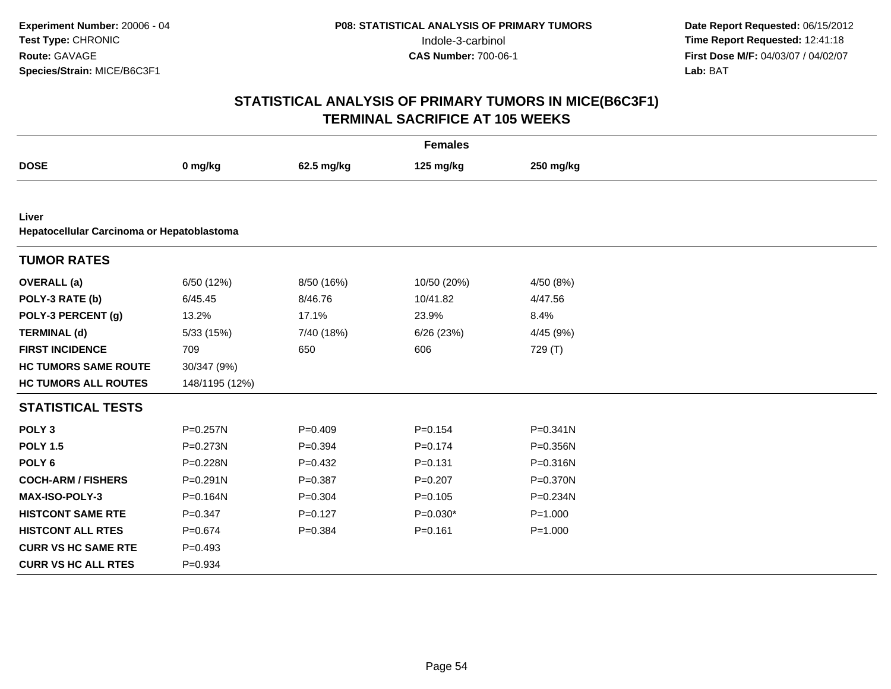| <b>Females</b>              |                                            |             |             |              |  |  |  |  |  |
|-----------------------------|--------------------------------------------|-------------|-------------|--------------|--|--|--|--|--|
| <b>DOSE</b>                 | 0 mg/kg                                    | 62.5 mg/kg  | 125 mg/kg   | 250 mg/kg    |  |  |  |  |  |
|                             |                                            |             |             |              |  |  |  |  |  |
| Liver                       | Hepatocellular Carcinoma or Hepatoblastoma |             |             |              |  |  |  |  |  |
| <b>TUMOR RATES</b>          |                                            |             |             |              |  |  |  |  |  |
| <b>OVERALL</b> (a)          | 6/50 (12%)                                 | 8/50 (16%)  | 10/50 (20%) | 4/50 (8%)    |  |  |  |  |  |
| POLY-3 RATE (b)             | 6/45.45                                    | 8/46.76     | 10/41.82    | 4/47.56      |  |  |  |  |  |
| POLY-3 PERCENT (g)          | 13.2%                                      | 17.1%       | 23.9%       | 8.4%         |  |  |  |  |  |
| <b>TERMINAL (d)</b>         | 5/33 (15%)                                 | 7/40 (18%)  | 6/26(23%)   | 4/45 (9%)    |  |  |  |  |  |
| <b>FIRST INCIDENCE</b>      | 709                                        | 650         | 606         | 729 (T)      |  |  |  |  |  |
| <b>HC TUMORS SAME ROUTE</b> | 30/347 (9%)                                |             |             |              |  |  |  |  |  |
| <b>HC TUMORS ALL ROUTES</b> | 148/1195 (12%)                             |             |             |              |  |  |  |  |  |
| <b>STATISTICAL TESTS</b>    |                                            |             |             |              |  |  |  |  |  |
| POLY <sub>3</sub>           | P=0.257N                                   | $P=0.409$   | $P=0.154$   | $P = 0.341N$ |  |  |  |  |  |
| <b>POLY 1.5</b>             | $P = 0.273N$                               | $P=0.394$   | $P=0.174$   | P=0.356N     |  |  |  |  |  |
| POLY <sub>6</sub>           | P=0.228N                                   | $P = 0.432$ | $P = 0.131$ | P=0.316N     |  |  |  |  |  |
| <b>COCH-ARM / FISHERS</b>   | $P = 0.291N$                               | $P = 0.387$ | $P=0.207$   | P=0.370N     |  |  |  |  |  |
| <b>MAX-ISO-POLY-3</b>       | P=0.164N                                   | $P = 0.304$ | $P=0.105$   | P=0.234N     |  |  |  |  |  |
| <b>HISTCONT SAME RTE</b>    | $P = 0.347$                                | $P=0.127$   | $P=0.030*$  | $P = 1.000$  |  |  |  |  |  |
| <b>HISTCONT ALL RTES</b>    | $P = 0.674$                                | $P = 0.384$ | $P = 0.161$ | $P = 1.000$  |  |  |  |  |  |
| <b>CURR VS HC SAME RTE</b>  | $P=0.493$                                  |             |             |              |  |  |  |  |  |
| <b>CURR VS HC ALL RTES</b>  | $P = 0.934$                                |             |             |              |  |  |  |  |  |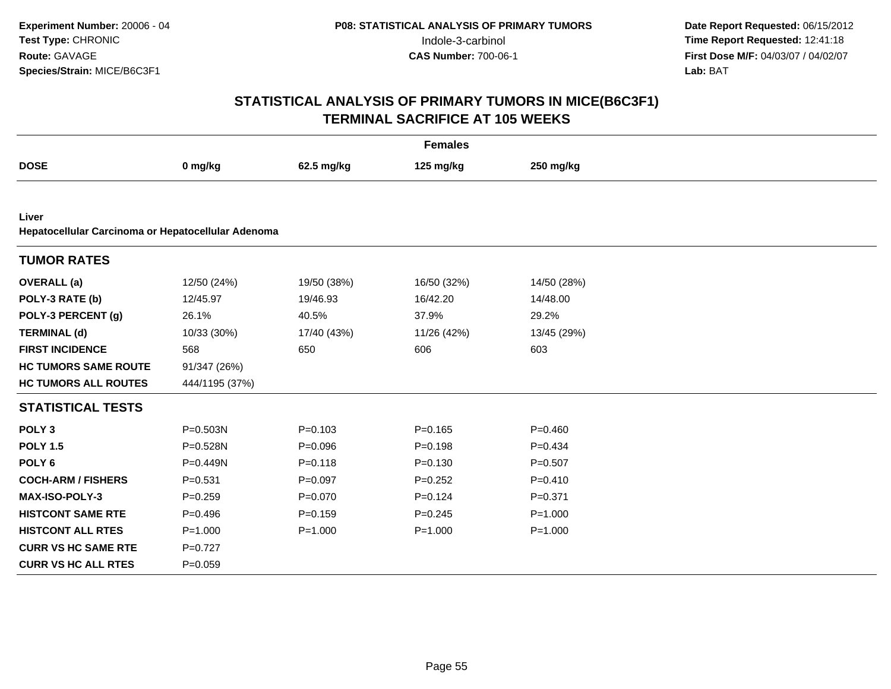| <b>Females</b>              |                                                    |             |             |             |  |  |  |  |  |
|-----------------------------|----------------------------------------------------|-------------|-------------|-------------|--|--|--|--|--|
| <b>DOSE</b>                 | 0 mg/kg                                            | 62.5 mg/kg  | 125 mg/kg   | 250 mg/kg   |  |  |  |  |  |
|                             |                                                    |             |             |             |  |  |  |  |  |
| Liver                       | Hepatocellular Carcinoma or Hepatocellular Adenoma |             |             |             |  |  |  |  |  |
| <b>TUMOR RATES</b>          |                                                    |             |             |             |  |  |  |  |  |
| <b>OVERALL</b> (a)          | 12/50 (24%)                                        | 19/50 (38%) | 16/50 (32%) | 14/50 (28%) |  |  |  |  |  |
| POLY-3 RATE (b)             | 12/45.97                                           | 19/46.93    | 16/42.20    | 14/48.00    |  |  |  |  |  |
| POLY-3 PERCENT (g)          | 26.1%                                              | 40.5%       | 37.9%       | 29.2%       |  |  |  |  |  |
| <b>TERMINAL (d)</b>         | 10/33 (30%)                                        | 17/40 (43%) | 11/26 (42%) | 13/45 (29%) |  |  |  |  |  |
| <b>FIRST INCIDENCE</b>      | 568                                                | 650         | 606         | 603         |  |  |  |  |  |
| <b>HC TUMORS SAME ROUTE</b> | 91/347 (26%)                                       |             |             |             |  |  |  |  |  |
| <b>HC TUMORS ALL ROUTES</b> | 444/1195 (37%)                                     |             |             |             |  |  |  |  |  |
| <b>STATISTICAL TESTS</b>    |                                                    |             |             |             |  |  |  |  |  |
| POLY <sub>3</sub>           | P=0.503N                                           | $P = 0.103$ | $P = 0.165$ | $P = 0.460$ |  |  |  |  |  |
| <b>POLY 1.5</b>             | P=0.528N                                           | $P = 0.096$ | $P = 0.198$ | $P = 0.434$ |  |  |  |  |  |
| POLY <sub>6</sub>           | P=0.449N                                           | $P = 0.118$ | $P = 0.130$ | $P = 0.507$ |  |  |  |  |  |
| <b>COCH-ARM / FISHERS</b>   | $P = 0.531$                                        | $P = 0.097$ | $P=0.252$   | $P=0.410$   |  |  |  |  |  |
| MAX-ISO-POLY-3              | $P = 0.259$                                        | $P = 0.070$ | $P = 0.124$ | $P = 0.371$ |  |  |  |  |  |
| <b>HISTCONT SAME RTE</b>    | $P=0.496$                                          | $P = 0.159$ | $P=0.245$   | $P = 1.000$ |  |  |  |  |  |
| <b>HISTCONT ALL RTES</b>    | $P = 1.000$                                        | $P = 1.000$ | $P = 1.000$ | $P = 1.000$ |  |  |  |  |  |
| <b>CURR VS HC SAME RTE</b>  | $P=0.727$                                          |             |             |             |  |  |  |  |  |
| <b>CURR VS HC ALL RTES</b>  | $P = 0.059$                                        |             |             |             |  |  |  |  |  |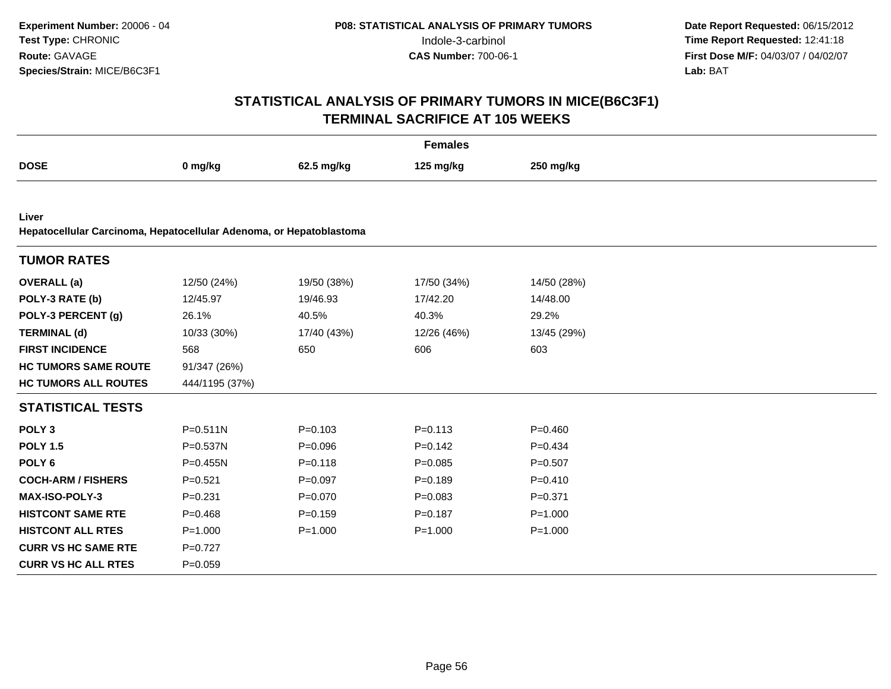| <b>Females</b>              |                                                                     |             |             |             |  |  |  |  |  |
|-----------------------------|---------------------------------------------------------------------|-------------|-------------|-------------|--|--|--|--|--|
| <b>DOSE</b>                 | 0 mg/kg                                                             | 62.5 mg/kg  | 125 mg/kg   | 250 mg/kg   |  |  |  |  |  |
|                             |                                                                     |             |             |             |  |  |  |  |  |
| Liver                       | Hepatocellular Carcinoma, Hepatocellular Adenoma, or Hepatoblastoma |             |             |             |  |  |  |  |  |
| <b>TUMOR RATES</b>          |                                                                     |             |             |             |  |  |  |  |  |
| <b>OVERALL</b> (a)          | 12/50 (24%)                                                         | 19/50 (38%) | 17/50 (34%) | 14/50 (28%) |  |  |  |  |  |
| POLY-3 RATE (b)             | 12/45.97                                                            | 19/46.93    | 17/42.20    | 14/48.00    |  |  |  |  |  |
| POLY-3 PERCENT (g)          | 26.1%                                                               | 40.5%       | 40.3%       | 29.2%       |  |  |  |  |  |
| <b>TERMINAL (d)</b>         | 10/33 (30%)                                                         | 17/40 (43%) | 12/26 (46%) | 13/45 (29%) |  |  |  |  |  |
| <b>FIRST INCIDENCE</b>      | 568                                                                 | 650         | 606         | 603         |  |  |  |  |  |
| <b>HC TUMORS SAME ROUTE</b> | 91/347 (26%)                                                        |             |             |             |  |  |  |  |  |
| <b>HC TUMORS ALL ROUTES</b> | 444/1195 (37%)                                                      |             |             |             |  |  |  |  |  |
| <b>STATISTICAL TESTS</b>    |                                                                     |             |             |             |  |  |  |  |  |
| POLY <sub>3</sub>           | $P = 0.511N$                                                        | $P = 0.103$ | $P = 0.113$ | $P = 0.460$ |  |  |  |  |  |
| <b>POLY 1.5</b>             | P=0.537N                                                            | $P = 0.096$ | $P=0.142$   | $P=0.434$   |  |  |  |  |  |
| POLY <sub>6</sub>           | $P = 0.455N$                                                        | $P = 0.118$ | $P = 0.085$ | $P = 0.507$ |  |  |  |  |  |
| <b>COCH-ARM / FISHERS</b>   | $P = 0.521$                                                         | $P=0.097$   | $P=0.189$   | $P = 0.410$ |  |  |  |  |  |
| <b>MAX-ISO-POLY-3</b>       | $P = 0.231$                                                         | $P = 0.070$ | $P = 0.083$ | $P = 0.371$ |  |  |  |  |  |
| <b>HISTCONT SAME RTE</b>    | $P = 0.468$                                                         | $P=0.159$   | $P = 0.187$ | $P = 1.000$ |  |  |  |  |  |
| <b>HISTCONT ALL RTES</b>    | $P = 1.000$                                                         | $P = 1.000$ | $P = 1.000$ | $P = 1.000$ |  |  |  |  |  |
| <b>CURR VS HC SAME RTE</b>  | $P=0.727$                                                           |             |             |             |  |  |  |  |  |
| <b>CURR VS HC ALL RTES</b>  | $P = 0.059$                                                         |             |             |             |  |  |  |  |  |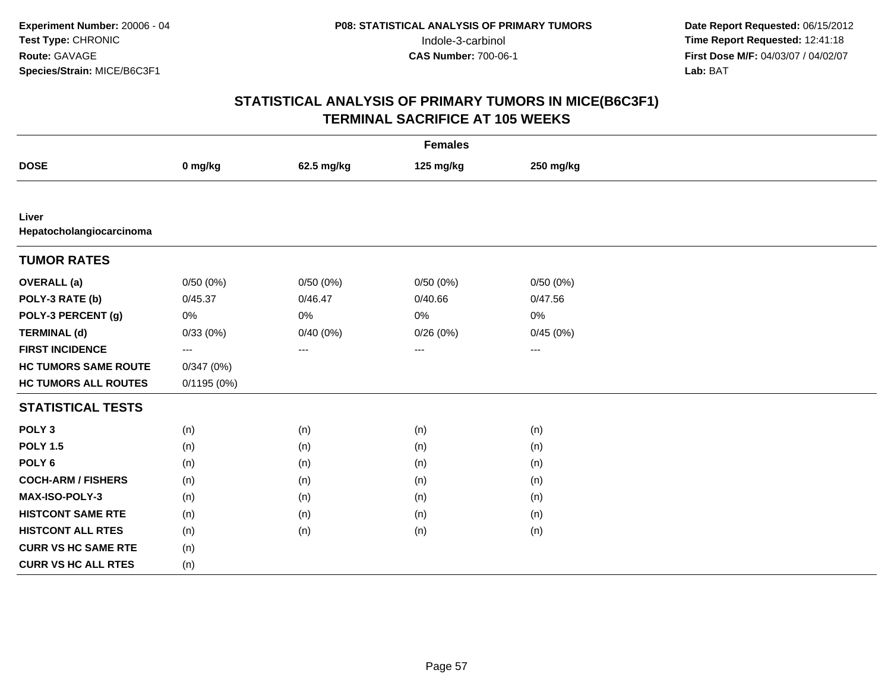| <b>Females</b>                    |            |            |           |           |  |  |  |
|-----------------------------------|------------|------------|-----------|-----------|--|--|--|
| <b>DOSE</b>                       | 0 mg/kg    | 62.5 mg/kg | 125 mg/kg | 250 mg/kg |  |  |  |
|                                   |            |            |           |           |  |  |  |
| Liver<br>Hepatocholangiocarcinoma |            |            |           |           |  |  |  |
| <b>TUMOR RATES</b>                |            |            |           |           |  |  |  |
| <b>OVERALL</b> (a)                | 0/50(0%)   | 0/50(0%)   | 0/50(0%)  | 0/50(0%)  |  |  |  |
| POLY-3 RATE (b)                   | 0/45.37    | 0/46.47    | 0/40.66   | 0/47.56   |  |  |  |
| POLY-3 PERCENT (g)                | 0%         | 0%         | 0%        | 0%        |  |  |  |
| <b>TERMINAL (d)</b>               | 0/33(0%)   | 0/40(0%)   | 0/26(0%)  | 0/45(0%)  |  |  |  |
| <b>FIRST INCIDENCE</b>            | $\cdots$   | ---        | $\cdots$  | $\cdots$  |  |  |  |
| <b>HC TUMORS SAME ROUTE</b>       | 0/347(0%)  |            |           |           |  |  |  |
| <b>HC TUMORS ALL ROUTES</b>       | 0/1195(0%) |            |           |           |  |  |  |
| <b>STATISTICAL TESTS</b>          |            |            |           |           |  |  |  |
| POLY <sub>3</sub>                 | (n)        | (n)        | (n)       | (n)       |  |  |  |
| <b>POLY 1.5</b>                   | (n)        | (n)        | (n)       | (n)       |  |  |  |
| POLY <sub>6</sub>                 | (n)        | (n)        | (n)       | (n)       |  |  |  |
| <b>COCH-ARM / FISHERS</b>         | (n)        | (n)        | (n)       | (n)       |  |  |  |
| <b>MAX-ISO-POLY-3</b>             | (n)        | (n)        | (n)       | (n)       |  |  |  |
| <b>HISTCONT SAME RTE</b>          | (n)        | (n)        | (n)       | (n)       |  |  |  |
| <b>HISTCONT ALL RTES</b>          | (n)        | (n)        | (n)       | (n)       |  |  |  |
| <b>CURR VS HC SAME RTE</b>        | (n)        |            |           |           |  |  |  |
| <b>CURR VS HC ALL RTES</b>        | (n)        |            |           |           |  |  |  |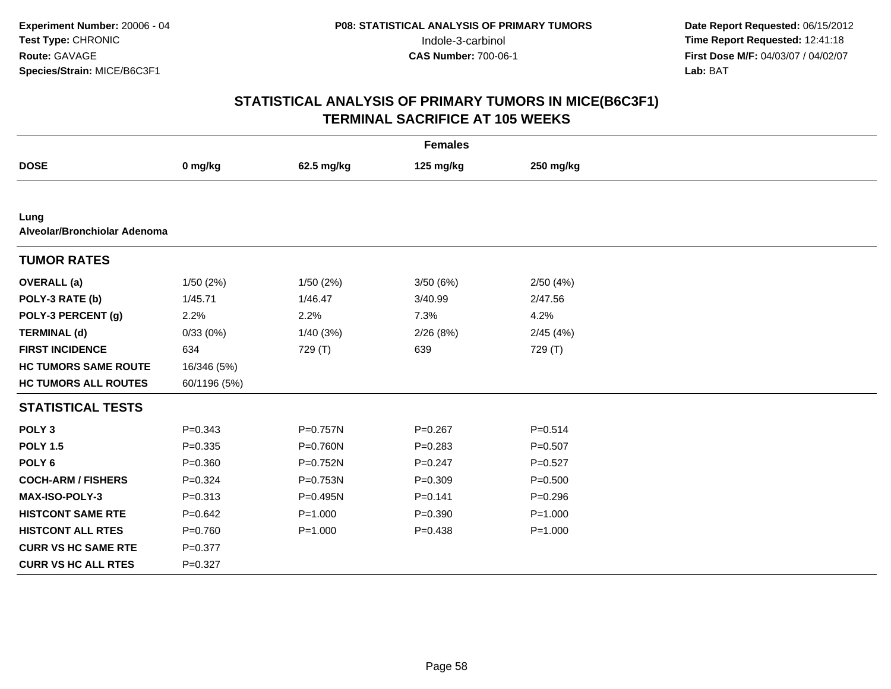| <b>Females</b>                       |              |             |             |             |  |  |  |
|--------------------------------------|--------------|-------------|-------------|-------------|--|--|--|
| <b>DOSE</b>                          | 0 mg/kg      | 62.5 mg/kg  | 125 mg/kg   | 250 mg/kg   |  |  |  |
|                                      |              |             |             |             |  |  |  |
| Lung<br>Alveolar/Bronchiolar Adenoma |              |             |             |             |  |  |  |
| <b>TUMOR RATES</b>                   |              |             |             |             |  |  |  |
| <b>OVERALL</b> (a)                   | 1/50(2%)     | 1/50(2%)    | 3/50(6%)    | 2/50(4%)    |  |  |  |
| POLY-3 RATE (b)                      | 1/45.71      | 1/46.47     | 3/40.99     | 2/47.56     |  |  |  |
| POLY-3 PERCENT (g)                   | 2.2%         | 2.2%        | 7.3%        | 4.2%        |  |  |  |
| <b>TERMINAL (d)</b>                  | 0/33(0%)     | 1/40(3%)    | 2/26(8%)    | 2/45(4%)    |  |  |  |
| <b>FIRST INCIDENCE</b>               | 634          | 729 (T)     | 639         | 729 (T)     |  |  |  |
| <b>HC TUMORS SAME ROUTE</b>          | 16/346 (5%)  |             |             |             |  |  |  |
| <b>HC TUMORS ALL ROUTES</b>          | 60/1196 (5%) |             |             |             |  |  |  |
| <b>STATISTICAL TESTS</b>             |              |             |             |             |  |  |  |
| POLY <sub>3</sub>                    | $P = 0.343$  | P=0.757N    | $P = 0.267$ | $P = 0.514$ |  |  |  |
| <b>POLY 1.5</b>                      | $P = 0.335$  | P=0.760N    | $P = 0.283$ | $P=0.507$   |  |  |  |
| POLY <sub>6</sub>                    | $P = 0.360$  | P=0.752N    | $P = 0.247$ | $P=0.527$   |  |  |  |
| <b>COCH-ARM / FISHERS</b>            | $P=0.324$    | P=0.753N    | $P = 0.309$ | $P = 0.500$ |  |  |  |
| <b>MAX-ISO-POLY-3</b>                | $P = 0.313$  | P=0.495N    | $P = 0.141$ | $P = 0.296$ |  |  |  |
| <b>HISTCONT SAME RTE</b>             | $P = 0.642$  | $P = 1.000$ | $P = 0.390$ | $P = 1.000$ |  |  |  |
| <b>HISTCONT ALL RTES</b>             | $P = 0.760$  | $P = 1.000$ | $P = 0.438$ | $P = 1.000$ |  |  |  |
| <b>CURR VS HC SAME RTE</b>           | $P = 0.377$  |             |             |             |  |  |  |
| <b>CURR VS HC ALL RTES</b>           | $P = 0.327$  |             |             |             |  |  |  |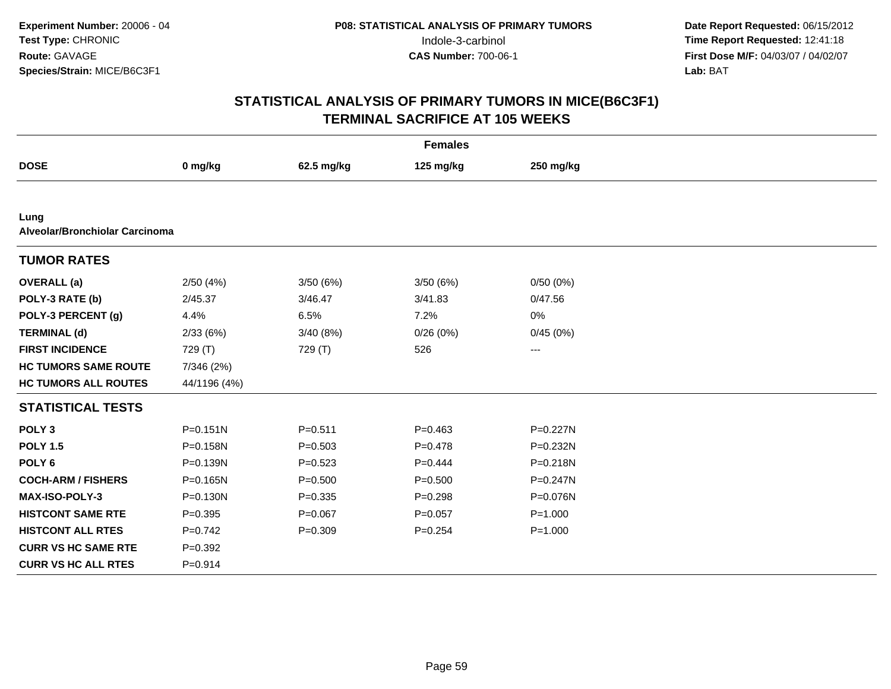| <b>Females</b>                         |              |             |             |                        |  |  |  |  |
|----------------------------------------|--------------|-------------|-------------|------------------------|--|--|--|--|
| <b>DOSE</b>                            | 0 mg/kg      | 62.5 mg/kg  | 125 mg/kg   | 250 mg/kg              |  |  |  |  |
|                                        |              |             |             |                        |  |  |  |  |
| Lung<br>Alveolar/Bronchiolar Carcinoma |              |             |             |                        |  |  |  |  |
| <b>TUMOR RATES</b>                     |              |             |             |                        |  |  |  |  |
| <b>OVERALL</b> (a)                     | 2/50(4%)     | 3/50(6%)    | 3/50(6%)    | 0/50(0%)               |  |  |  |  |
| POLY-3 RATE (b)                        | 2/45.37      | 3/46.47     | 3/41.83     | 0/47.56                |  |  |  |  |
| POLY-3 PERCENT (g)                     | 4.4%         | 6.5%        | 7.2%        | 0%                     |  |  |  |  |
| <b>TERMINAL (d)</b>                    | 2/33(6%)     | 3/40 (8%)   | 0/26(0%)    | 0/45(0%)               |  |  |  |  |
| <b>FIRST INCIDENCE</b>                 | 729 (T)      | 729 (T)     | 526         | $\qquad \qquad \cdots$ |  |  |  |  |
| <b>HC TUMORS SAME ROUTE</b>            | 7/346 (2%)   |             |             |                        |  |  |  |  |
| <b>HC TUMORS ALL ROUTES</b>            | 44/1196 (4%) |             |             |                        |  |  |  |  |
| <b>STATISTICAL TESTS</b>               |              |             |             |                        |  |  |  |  |
| POLY <sub>3</sub>                      | $P = 0.151N$ | $P = 0.511$ | $P = 0.463$ | P=0.227N               |  |  |  |  |
| <b>POLY 1.5</b>                        | P=0.158N     | $P = 0.503$ | $P = 0.478$ | P=0.232N               |  |  |  |  |
| POLY <sub>6</sub>                      | $P = 0.139N$ | $P = 0.523$ | $P=0.444$   | P=0.218N               |  |  |  |  |
| <b>COCH-ARM / FISHERS</b>              | P=0.165N     | $P = 0.500$ | $P = 0.500$ | P=0.247N               |  |  |  |  |
| <b>MAX-ISO-POLY-3</b>                  | P=0.130N     | $P = 0.335$ | $P=0.298$   | P=0.076N               |  |  |  |  |
| <b>HISTCONT SAME RTE</b>               | $P=0.395$    | $P=0.067$   | $P = 0.057$ | $P = 1.000$            |  |  |  |  |
| <b>HISTCONT ALL RTES</b>               | $P=0.742$    | $P = 0.309$ | $P = 0.254$ | $P = 1.000$            |  |  |  |  |
| <b>CURR VS HC SAME RTE</b>             | $P = 0.392$  |             |             |                        |  |  |  |  |
| <b>CURR VS HC ALL RTES</b>             | $P = 0.914$  |             |             |                        |  |  |  |  |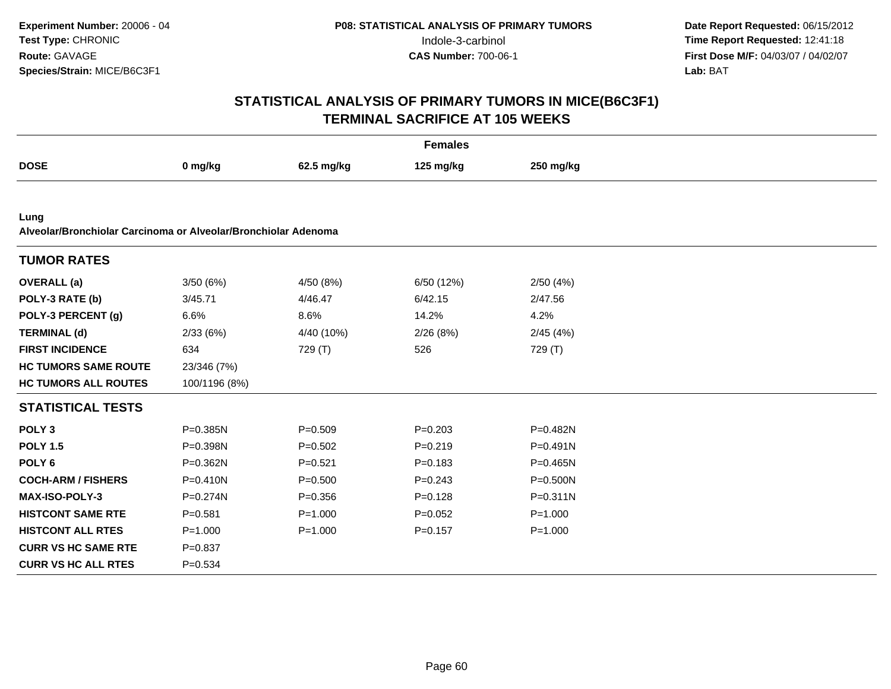| <b>Females</b>                                                         |               |             |             |              |  |
|------------------------------------------------------------------------|---------------|-------------|-------------|--------------|--|
| <b>DOSE</b>                                                            | 0 mg/kg       | 62.5 mg/kg  | 125 mg/kg   | 250 mg/kg    |  |
|                                                                        |               |             |             |              |  |
| Lung<br>Alveolar/Bronchiolar Carcinoma or Alveolar/Bronchiolar Adenoma |               |             |             |              |  |
| <b>TUMOR RATES</b>                                                     |               |             |             |              |  |
| <b>OVERALL</b> (a)                                                     | 3/50(6%)      | 4/50 (8%)   | 6/50 (12%)  | 2/50(4%)     |  |
| POLY-3 RATE (b)                                                        | 3/45.71       | 4/46.47     | 6/42.15     | 2/47.56      |  |
| POLY-3 PERCENT (g)                                                     | 6.6%          | 8.6%        | 14.2%       | 4.2%         |  |
| <b>TERMINAL (d)</b>                                                    | 2/33(6%)      | 4/40 (10%)  | 2/26(8%)    | 2/45(4%)     |  |
| <b>FIRST INCIDENCE</b>                                                 | 634           | 729 (T)     | 526         | 729 (T)      |  |
| <b>HC TUMORS SAME ROUTE</b>                                            | 23/346 (7%)   |             |             |              |  |
| <b>HC TUMORS ALL ROUTES</b>                                            | 100/1196 (8%) |             |             |              |  |
| <b>STATISTICAL TESTS</b>                                               |               |             |             |              |  |
| POLY <sub>3</sub>                                                      | P=0.385N      | $P=0.509$   | $P = 0.203$ | P=0.482N     |  |
| <b>POLY 1.5</b>                                                        | P=0.398N      | $P = 0.502$ | $P=0.219$   | $P = 0.491N$ |  |
| POLY <sub>6</sub>                                                      | P=0.362N      | $P = 0.521$ | $P = 0.183$ | $P = 0.465N$ |  |
| <b>COCH-ARM / FISHERS</b>                                              | $P = 0.410N$  | $P = 0.500$ | $P = 0.243$ | P=0.500N     |  |
| <b>MAX-ISO-POLY-3</b>                                                  | $P = 0.274N$  | $P = 0.356$ | $P = 0.128$ | $P = 0.311N$ |  |
| <b>HISTCONT SAME RTE</b>                                               | $P = 0.581$   | $P = 1.000$ | $P=0.052$   | $P = 1.000$  |  |
| <b>HISTCONT ALL RTES</b>                                               | $P = 1.000$   | $P = 1.000$ | $P = 0.157$ | $P = 1.000$  |  |
| <b>CURR VS HC SAME RTE</b>                                             | $P=0.837$     |             |             |              |  |
| <b>CURR VS HC ALL RTES</b>                                             | $P = 0.534$   |             |             |              |  |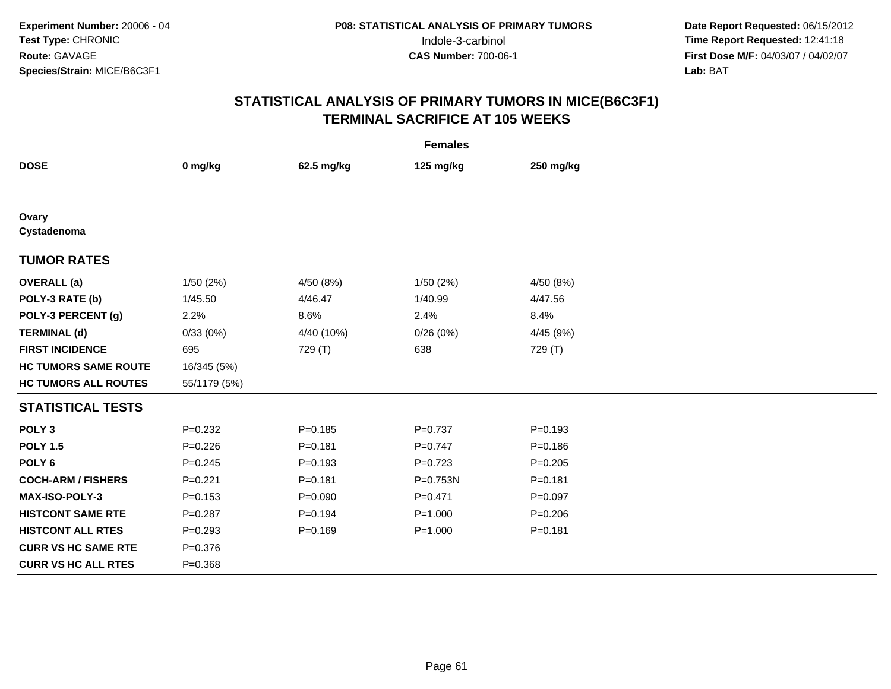| <b>Females</b>              |              |             |             |             |  |
|-----------------------------|--------------|-------------|-------------|-------------|--|
| <b>DOSE</b>                 | 0 mg/kg      | 62.5 mg/kg  | 125 mg/kg   | 250 mg/kg   |  |
|                             |              |             |             |             |  |
| Ovary<br>Cystadenoma        |              |             |             |             |  |
| <b>TUMOR RATES</b>          |              |             |             |             |  |
| <b>OVERALL</b> (a)          | 1/50(2%)     | 4/50 (8%)   | 1/50(2%)    | 4/50 (8%)   |  |
| POLY-3 RATE (b)             | 1/45.50      | 4/46.47     | 1/40.99     | 4/47.56     |  |
| POLY-3 PERCENT (g)          | 2.2%         | 8.6%        | 2.4%        | 8.4%        |  |
| <b>TERMINAL (d)</b>         | 0/33(0%)     | 4/40 (10%)  | 0/26(0%)    | 4/45 (9%)   |  |
| <b>FIRST INCIDENCE</b>      | 695          | 729 (T)     | 638         | 729 (T)     |  |
| <b>HC TUMORS SAME ROUTE</b> | 16/345 (5%)  |             |             |             |  |
| <b>HC TUMORS ALL ROUTES</b> | 55/1179 (5%) |             |             |             |  |
| <b>STATISTICAL TESTS</b>    |              |             |             |             |  |
| POLY <sub>3</sub>           | $P = 0.232$  | $P = 0.185$ | $P = 0.737$ | $P = 0.193$ |  |
| <b>POLY 1.5</b>             | $P=0.226$    | $P = 0.181$ | $P=0.747$   | $P = 0.186$ |  |
| POLY <sub>6</sub>           | $P = 0.245$  | $P = 0.193$ | $P=0.723$   | $P = 0.205$ |  |
| <b>COCH-ARM / FISHERS</b>   | $P = 0.221$  | $P = 0.181$ | P=0.753N    | $P = 0.181$ |  |
| MAX-ISO-POLY-3              | $P = 0.153$  | $P = 0.090$ | $P = 0.471$ | $P=0.097$   |  |
| <b>HISTCONT SAME RTE</b>    | $P = 0.287$  | $P = 0.194$ | $P = 1.000$ | $P = 0.206$ |  |
| <b>HISTCONT ALL RTES</b>    | $P = 0.293$  | $P = 0.169$ | $P = 1.000$ | $P = 0.181$ |  |
| <b>CURR VS HC SAME RTE</b>  | $P = 0.376$  |             |             |             |  |
| <b>CURR VS HC ALL RTES</b>  | $P = 0.368$  |             |             |             |  |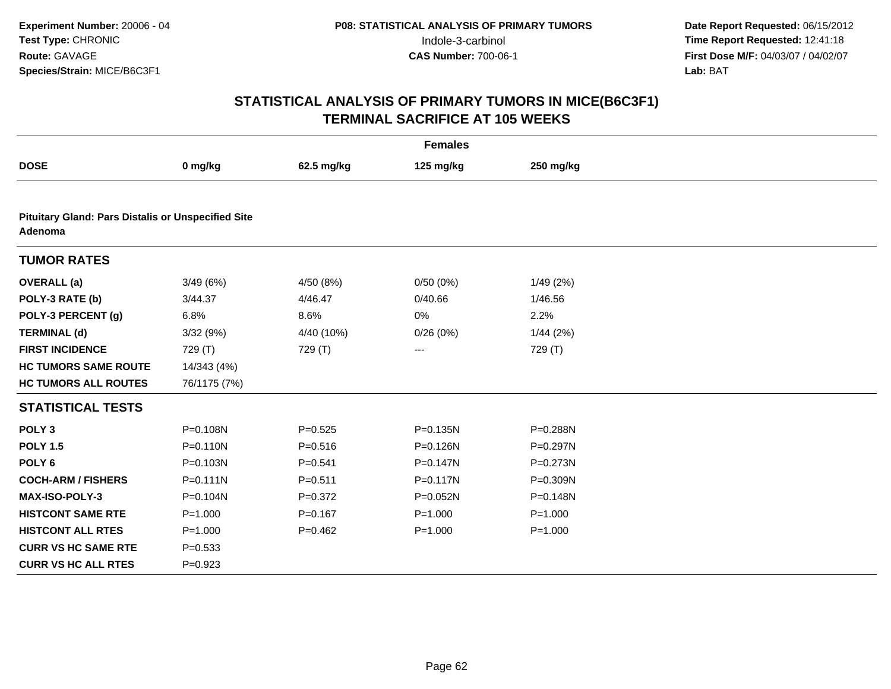| <b>Females</b>                                                       |              |             |              |              |  |
|----------------------------------------------------------------------|--------------|-------------|--------------|--------------|--|
| <b>DOSE</b>                                                          | 0 mg/kg      | 62.5 mg/kg  | 125 mg/kg    | 250 mg/kg    |  |
|                                                                      |              |             |              |              |  |
| <b>Pituitary Gland: Pars Distalis or Unspecified Site</b><br>Adenoma |              |             |              |              |  |
| <b>TUMOR RATES</b>                                                   |              |             |              |              |  |
| <b>OVERALL</b> (a)                                                   | 3/49(6%)     | 4/50 (8%)   | 0/50(0%)     | 1/49(2%)     |  |
| POLY-3 RATE (b)                                                      | 3/44.37      | 4/46.47     | 0/40.66      | 1/46.56      |  |
| POLY-3 PERCENT (g)                                                   | 6.8%         | 8.6%        | 0%           | 2.2%         |  |
| <b>TERMINAL (d)</b>                                                  | 3/32 (9%)    | 4/40 (10%)  | 0/26(0%)     | 1/44(2%)     |  |
| <b>FIRST INCIDENCE</b>                                               | 729 (T)      | 729 (T)     | ---          | 729 (T)      |  |
| <b>HC TUMORS SAME ROUTE</b>                                          | 14/343 (4%)  |             |              |              |  |
| <b>HC TUMORS ALL ROUTES</b>                                          | 76/1175 (7%) |             |              |              |  |
| <b>STATISTICAL TESTS</b>                                             |              |             |              |              |  |
| POLY <sub>3</sub>                                                    | P=0.108N     | $P = 0.525$ | P=0.135N     | P=0.288N     |  |
| <b>POLY 1.5</b>                                                      | $P = 0.110N$ | $P = 0.516$ | P=0.126N     | P=0.297N     |  |
| POLY <sub>6</sub>                                                    | P=0.103N     | $P = 0.541$ | $P = 0.147N$ | $P = 0.273N$ |  |
| <b>COCH-ARM / FISHERS</b>                                            | $P = 0.111N$ | $P = 0.511$ | $P = 0.117N$ | P=0.309N     |  |
| MAX-ISO-POLY-3                                                       | P=0.104N     | $P=0.372$   | P=0.052N     | P=0.148N     |  |
| <b>HISTCONT SAME RTE</b>                                             | $P = 1.000$  | $P = 0.167$ | $P = 1.000$  | $P = 1.000$  |  |
| <b>HISTCONT ALL RTES</b>                                             | $P = 1.000$  | $P=0.462$   | $P = 1.000$  | $P = 1.000$  |  |
| <b>CURR VS HC SAME RTE</b>                                           | $P = 0.533$  |             |              |              |  |
| <b>CURR VS HC ALL RTES</b>                                           | $P = 0.923$  |             |              |              |  |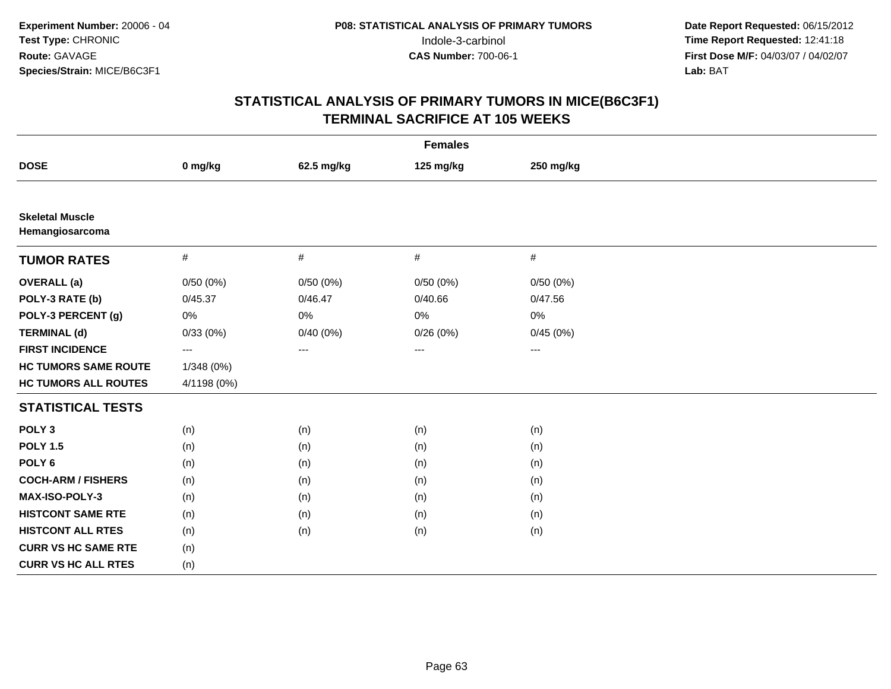| <b>Females</b>                            |             |             |                        |           |  |
|-------------------------------------------|-------------|-------------|------------------------|-----------|--|
| <b>DOSE</b>                               | 0 mg/kg     | 62.5 mg/kg  | 125 mg/kg              | 250 mg/kg |  |
|                                           |             |             |                        |           |  |
| <b>Skeletal Muscle</b><br>Hemangiosarcoma |             |             |                        |           |  |
| <b>TUMOR RATES</b>                        | $\#$        | $\#$        | $\#$                   | $\#$      |  |
| <b>OVERALL</b> (a)                        | 0/50(0%)    | 0/50(0%)    | 0/50(0%)               | 0/50(0%)  |  |
| POLY-3 RATE (b)                           | 0/45.37     | 0/46.47     | 0/40.66                | 0/47.56   |  |
| POLY-3 PERCENT (g)                        | 0%          | 0%          | 0%                     | 0%        |  |
| <b>TERMINAL (d)</b>                       | 0/33(0%)    | $0/40(0\%)$ | 0/26(0%)               | 0/45(0%)  |  |
| <b>FIRST INCIDENCE</b>                    | ---         | ---         | $\qquad \qquad \cdots$ | $--$      |  |
| <b>HC TUMORS SAME ROUTE</b>               | 1/348 (0%)  |             |                        |           |  |
| <b>HC TUMORS ALL ROUTES</b>               | 4/1198 (0%) |             |                        |           |  |
| <b>STATISTICAL TESTS</b>                  |             |             |                        |           |  |
| POLY <sub>3</sub>                         | (n)         | (n)         | (n)                    | (n)       |  |
| <b>POLY 1.5</b>                           | (n)         | (n)         | (n)                    | (n)       |  |
| POLY <sub>6</sub>                         | (n)         | (n)         | (n)                    | (n)       |  |
| <b>COCH-ARM / FISHERS</b>                 | (n)         | (n)         | (n)                    | (n)       |  |
| MAX-ISO-POLY-3                            | (n)         | (n)         | (n)                    | (n)       |  |
| <b>HISTCONT SAME RTE</b>                  | (n)         | (n)         | (n)                    | (n)       |  |
| <b>HISTCONT ALL RTES</b>                  | (n)         | (n)         | (n)                    | (n)       |  |
| <b>CURR VS HC SAME RTE</b>                | (n)         |             |                        |           |  |
| <b>CURR VS HC ALL RTES</b>                | (n)         |             |                        |           |  |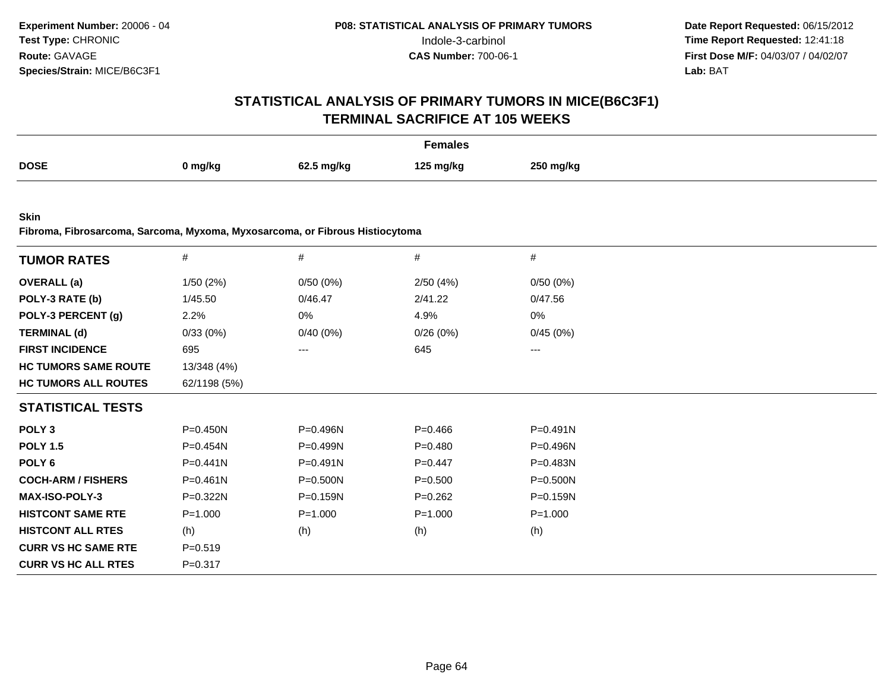# **STATISTICAL ANALYSIS OF PRIMARY TUMORS IN MICE(B6C3F1)TERMINAL SACRIFICE AT 105 WEEKS**

| Females     |         |            |           |           |  |
|-------------|---------|------------|-----------|-----------|--|
| <b>DOSE</b> | 0 mg/kg | 62.5 mg/kg | 125 mg/kg | 250 mg/kg |  |

**Skin**

**Fibroma, Fibrosarcoma, Sarcoma, Myxoma, Myxosarcoma, or Fibrous Histiocytoma**

| <b>TUMOR RATES</b>          | $\#$         | #            | #           | #            |  |
|-----------------------------|--------------|--------------|-------------|--------------|--|
| <b>OVERALL</b> (a)          | 1/50(2%)     | 0/50(0%)     | 2/50(4%)    | 0/50(0%)     |  |
| POLY-3 RATE (b)             | 1/45.50      | 0/46.47      | 2/41.22     | 0/47.56      |  |
| POLY-3 PERCENT (g)          | 2.2%         | 0%           | 4.9%        | 0%           |  |
| <b>TERMINAL (d)</b>         | 0/33(0%)     | 0/40(0%)     | 0/26(0%)    | 0/45(0%)     |  |
| <b>FIRST INCIDENCE</b>      | 695          | ---          | 645         | ---          |  |
| <b>HC TUMORS SAME ROUTE</b> | 13/348 (4%)  |              |             |              |  |
| <b>HC TUMORS ALL ROUTES</b> | 62/1198 (5%) |              |             |              |  |
| <b>STATISTICAL TESTS</b>    |              |              |             |              |  |
| POLY <sub>3</sub>           | P=0.450N     | P=0.496N     | $P=0.466$   | P=0.491N     |  |
| <b>POLY 1.5</b>             | $P = 0.454N$ | $P = 0.499N$ | $P=0.480$   | $P = 0.496N$ |  |
| POLY 6                      | P=0.441N     | P=0.491N     | $P=0.447$   | P=0.483N     |  |
| <b>COCH-ARM / FISHERS</b>   | $P = 0.461N$ | P=0.500N     | $P = 0.500$ | $P = 0.500N$ |  |
| <b>MAX-ISO-POLY-3</b>       | P=0.322N     | P=0.159N     | $P = 0.262$ | P=0.159N     |  |
| <b>HISTCONT SAME RTE</b>    | $P = 1.000$  | $P = 1.000$  | $P = 1.000$ | $P = 1.000$  |  |
| <b>HISTCONT ALL RTES</b>    | (h)          | (h)          | (h)         | (h)          |  |
| <b>CURR VS HC SAME RTE</b>  | $P = 0.519$  |              |             |              |  |
| <b>CURR VS HC ALL RTES</b>  | $P = 0.317$  |              |             |              |  |
|                             |              |              |             |              |  |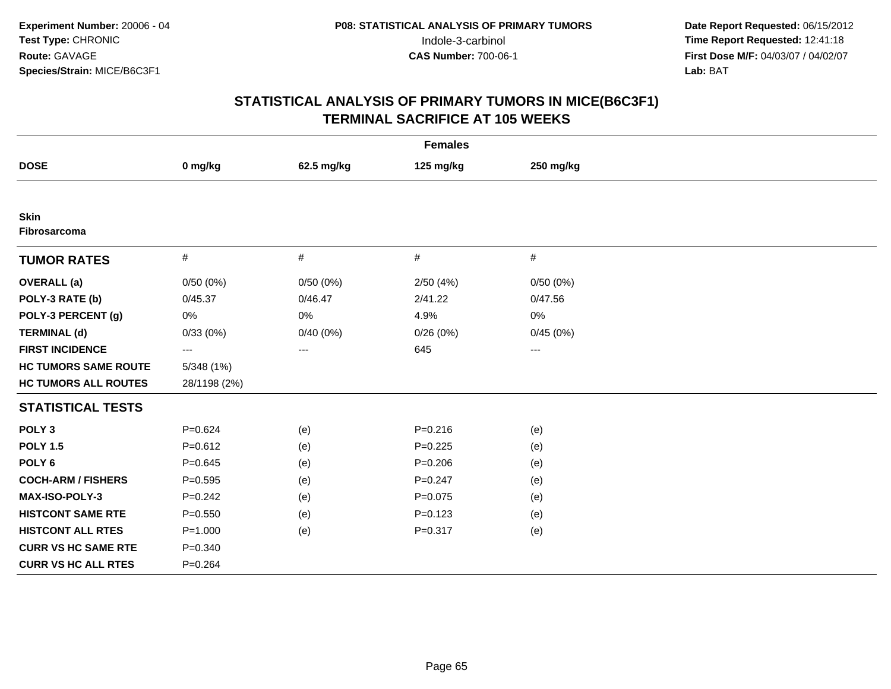| <b>Females</b>              |                   |                   |             |                     |  |
|-----------------------------|-------------------|-------------------|-------------|---------------------|--|
| <b>DOSE</b>                 | 0 mg/kg           | 62.5 mg/kg        | 125 mg/kg   | 250 mg/kg           |  |
|                             |                   |                   |             |                     |  |
| <b>Skin</b><br>Fibrosarcoma |                   |                   |             |                     |  |
| <b>TUMOR RATES</b>          | $\#$              | $\#$              | $\#$        | $\#$                |  |
| <b>OVERALL</b> (a)          | 0/50(0%)          | 0/50(0%)          | 2/50(4%)    | 0/50(0%)            |  |
| POLY-3 RATE (b)             | 0/45.37           | 0/46.47           | 2/41.22     | 0/47.56             |  |
| POLY-3 PERCENT (g)          | 0%                | $0\%$             | 4.9%        | 0%                  |  |
| <b>TERMINAL (d)</b>         | 0/33(0%)          | 0/40(0%)          | 0/26(0%)    | 0/45(0%)            |  |
| <b>FIRST INCIDENCE</b>      | $\qquad \qquad -$ | $\qquad \qquad -$ | 645         | $\qquad \qquad - -$ |  |
| <b>HC TUMORS SAME ROUTE</b> | 5/348(1%)         |                   |             |                     |  |
| <b>HC TUMORS ALL ROUTES</b> | 28/1198 (2%)      |                   |             |                     |  |
| <b>STATISTICAL TESTS</b>    |                   |                   |             |                     |  |
| POLY <sub>3</sub>           | $P=0.624$         | (e)               | $P = 0.216$ | (e)                 |  |
| <b>POLY 1.5</b>             | $P = 0.612$       | (e)               | $P=0.225$   | (e)                 |  |
| POLY <sub>6</sub>           | $P = 0.645$       | (e)               | $P = 0.206$ | (e)                 |  |
| <b>COCH-ARM / FISHERS</b>   | $P = 0.595$       | (e)               | $P = 0.247$ | (e)                 |  |
| MAX-ISO-POLY-3              | $P=0.242$         | (e)               | $P=0.075$   | (e)                 |  |
| <b>HISTCONT SAME RTE</b>    | $P = 0.550$       | (e)               | $P=0.123$   | (e)                 |  |
| <b>HISTCONT ALL RTES</b>    | $P = 1.000$       | (e)               | $P = 0.317$ | (e)                 |  |
| <b>CURR VS HC SAME RTE</b>  | $P = 0.340$       |                   |             |                     |  |
| <b>CURR VS HC ALL RTES</b>  | $P = 0.264$       |                   |             |                     |  |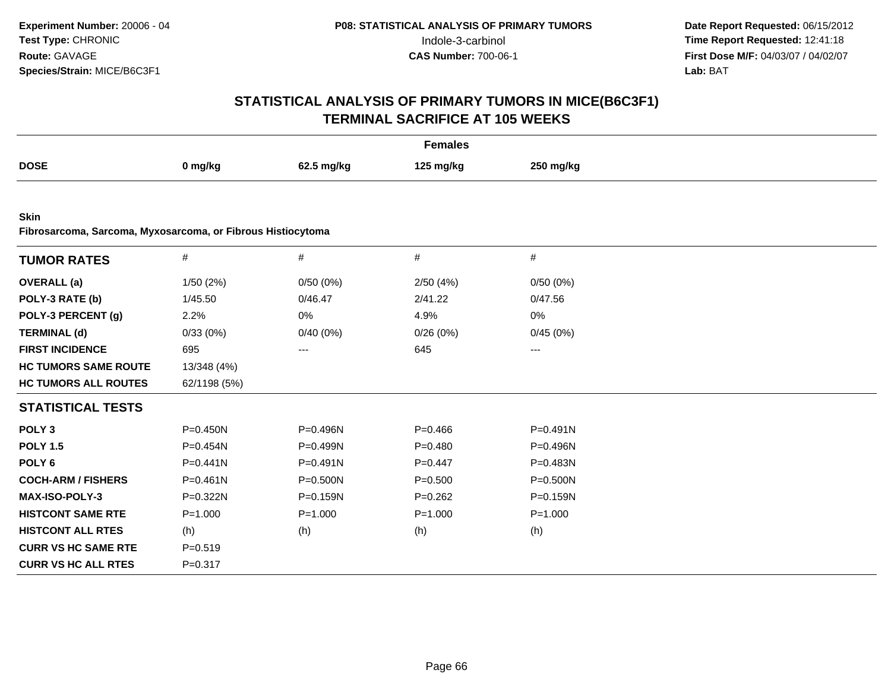| <b>Females</b>                                              |              |              |             |              |  |
|-------------------------------------------------------------|--------------|--------------|-------------|--------------|--|
| <b>DOSE</b>                                                 | 0 mg/kg      | 62.5 mg/kg   | 125 mg/kg   | 250 mg/kg    |  |
|                                                             |              |              |             |              |  |
| <b>Skin</b>                                                 |              |              |             |              |  |
| Fibrosarcoma, Sarcoma, Myxosarcoma, or Fibrous Histiocytoma |              |              |             |              |  |
| <b>TUMOR RATES</b>                                          | #            | $\#$         | #           | #            |  |
| <b>OVERALL</b> (a)                                          | 1/50(2%)     | 0/50(0%)     | 2/50(4%)    | 0/50(0%)     |  |
| POLY-3 RATE (b)                                             | 1/45.50      | 0/46.47      | 2/41.22     | 0/47.56      |  |
| POLY-3 PERCENT (g)                                          | 2.2%         | 0%           | 4.9%        | 0%           |  |
| <b>TERMINAL (d)</b>                                         | 0/33(0%)     | 0/40(0%)     | 0/26(0%)    | 0/45(0%)     |  |
| <b>FIRST INCIDENCE</b>                                      | 695          | ---          | 645         | ---          |  |
| <b>HC TUMORS SAME ROUTE</b>                                 | 13/348 (4%)  |              |             |              |  |
| <b>HC TUMORS ALL ROUTES</b>                                 | 62/1198 (5%) |              |             |              |  |
| <b>STATISTICAL TESTS</b>                                    |              |              |             |              |  |
| POLY <sub>3</sub>                                           | $P = 0.450N$ | P=0.496N     | $P = 0.466$ | $P = 0.491N$ |  |
| <b>POLY 1.5</b>                                             | $P = 0.454N$ | P=0.499N     | $P=0.480$   | P=0.496N     |  |
| POLY <sub>6</sub>                                           | $P = 0.441N$ | $P = 0.491N$ | $P=0.447$   | $P = 0.483N$ |  |
| <b>COCH-ARM / FISHERS</b>                                   | $P = 0.461N$ | P=0.500N     | $P = 0.500$ | $P = 0.500N$ |  |
| MAX-ISO-POLY-3                                              | P=0.322N     | P=0.159N     | $P=0.262$   | $P = 0.159N$ |  |
| <b>HISTCONT SAME RTE</b>                                    | $P = 1.000$  | $P = 1.000$  | $P = 1.000$ | $P = 1.000$  |  |
| <b>HISTCONT ALL RTES</b>                                    | (h)          | (h)          | (h)         | (h)          |  |
| <b>CURR VS HC SAME RTE</b>                                  | $P = 0.519$  |              |             |              |  |
| <b>CURR VS HC ALL RTES</b>                                  | $P = 0.317$  |              |             |              |  |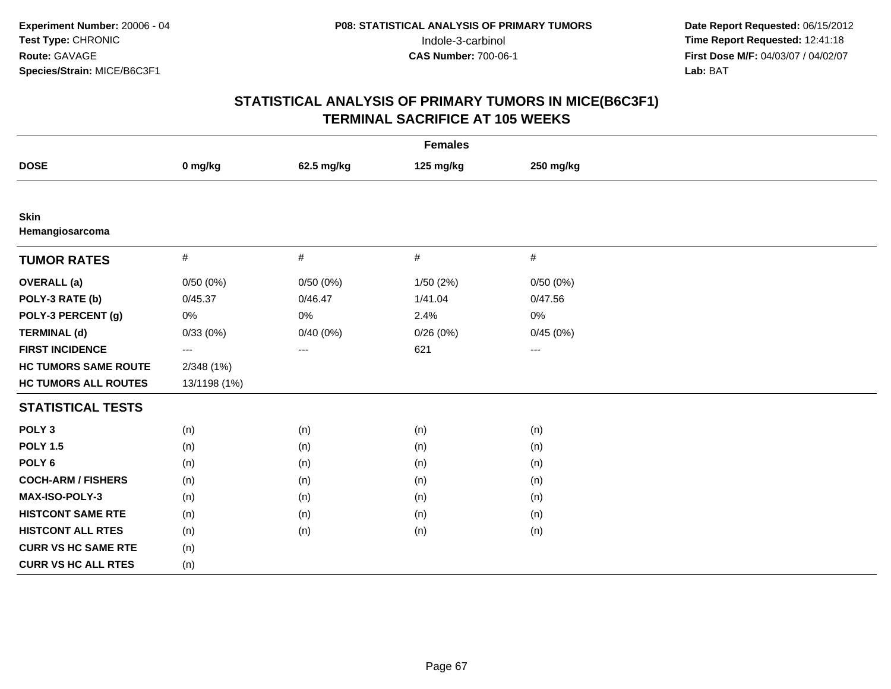| <b>Females</b>                 |              |            |           |           |  |
|--------------------------------|--------------|------------|-----------|-----------|--|
| <b>DOSE</b>                    | 0 mg/kg      | 62.5 mg/kg | 125 mg/kg | 250 mg/kg |  |
|                                |              |            |           |           |  |
| <b>Skin</b><br>Hemangiosarcoma |              |            |           |           |  |
| <b>TUMOR RATES</b>             | $\#$         | $\#$       | #         | $\#$      |  |
| <b>OVERALL</b> (a)             | 0/50(0%)     | 0/50(0%)   | 1/50(2%)  | 0/50(0%)  |  |
| POLY-3 RATE (b)                | 0/45.37      | 0/46.47    | 1/41.04   | 0/47.56   |  |
| POLY-3 PERCENT (g)             | $0\%$        | 0%         | 2.4%      | 0%        |  |
| <b>TERMINAL (d)</b>            | 0/33(0%)     | 0/40(0%)   | 0/26(0%)  | 0/45(0%)  |  |
| <b>FIRST INCIDENCE</b>         | ---          | ---        | 621       | $---$     |  |
| <b>HC TUMORS SAME ROUTE</b>    | 2/348(1%)    |            |           |           |  |
| <b>HC TUMORS ALL ROUTES</b>    | 13/1198 (1%) |            |           |           |  |
| <b>STATISTICAL TESTS</b>       |              |            |           |           |  |
| POLY <sub>3</sub>              | (n)          | (n)        | (n)       | (n)       |  |
| <b>POLY 1.5</b>                | (n)          | (n)        | (n)       | (n)       |  |
| POLY <sub>6</sub>              | (n)          | (n)        | (n)       | (n)       |  |
| <b>COCH-ARM / FISHERS</b>      | (n)          | (n)        | (n)       | (n)       |  |
| <b>MAX-ISO-POLY-3</b>          | (n)          | (n)        | (n)       | (n)       |  |
| <b>HISTCONT SAME RTE</b>       | (n)          | (n)        | (n)       | (n)       |  |
| <b>HISTCONT ALL RTES</b>       | (n)          | (n)        | (n)       | (n)       |  |
| <b>CURR VS HC SAME RTE</b>     | (n)          |            |           |           |  |
| <b>CURR VS HC ALL RTES</b>     | (n)          |            |           |           |  |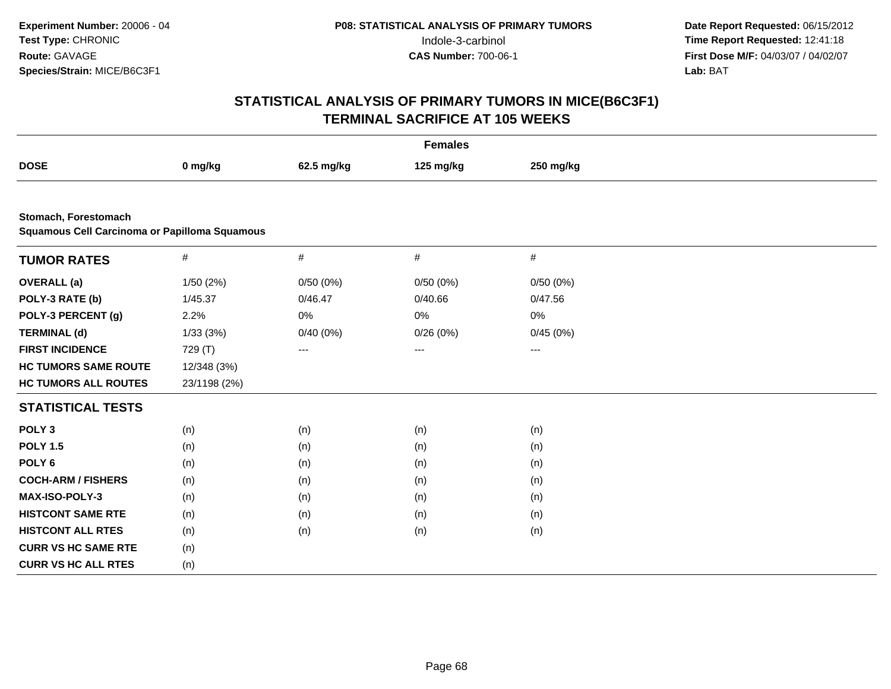| <b>Females</b>                                                        |              |            |           |           |  |
|-----------------------------------------------------------------------|--------------|------------|-----------|-----------|--|
| <b>DOSE</b>                                                           | 0 mg/kg      | 62.5 mg/kg | 125 mg/kg | 250 mg/kg |  |
|                                                                       |              |            |           |           |  |
| Stomach, Forestomach<br>Squamous Cell Carcinoma or Papilloma Squamous |              |            |           |           |  |
|                                                                       |              |            |           |           |  |
| <b>TUMOR RATES</b>                                                    | #            | #          | $\#$      | $\#$      |  |
| <b>OVERALL</b> (a)                                                    | 1/50 (2%)    | 0/50(0%)   | 0/50(0%)  | 0/50(0%)  |  |
| POLY-3 RATE (b)                                                       | 1/45.37      | 0/46.47    | 0/40.66   | 0/47.56   |  |
| POLY-3 PERCENT (g)                                                    | 2.2%         | 0%         | 0%        | 0%        |  |
| <b>TERMINAL (d)</b>                                                   | 1/33(3%)     | 0/40(0%)   | 0/26(0%)  | 0/45(0%)  |  |
| <b>FIRST INCIDENCE</b>                                                | 729 (T)      | ---        | $\cdots$  | ---       |  |
| <b>HC TUMORS SAME ROUTE</b>                                           | 12/348 (3%)  |            |           |           |  |
| <b>HC TUMORS ALL ROUTES</b>                                           | 23/1198 (2%) |            |           |           |  |
| <b>STATISTICAL TESTS</b>                                              |              |            |           |           |  |
| POLY <sub>3</sub>                                                     | (n)          | (n)        | (n)       | (n)       |  |
| <b>POLY 1.5</b>                                                       | (n)          | (n)        | (n)       | (n)       |  |
| POLY <sub>6</sub>                                                     | (n)          | (n)        | (n)       | (n)       |  |
| <b>COCH-ARM / FISHERS</b>                                             | (n)          | (n)        | (n)       | (n)       |  |
| <b>MAX-ISO-POLY-3</b>                                                 | (n)          | (n)        | (n)       | (n)       |  |
| <b>HISTCONT SAME RTE</b>                                              | (n)          | (n)        | (n)       | (n)       |  |
| <b>HISTCONT ALL RTES</b>                                              | (n)          | (n)        | (n)       | (n)       |  |
| <b>CURR VS HC SAME RTE</b>                                            | (n)          |            |           |           |  |
| <b>CURR VS HC ALL RTES</b>                                            | (n)          |            |           |           |  |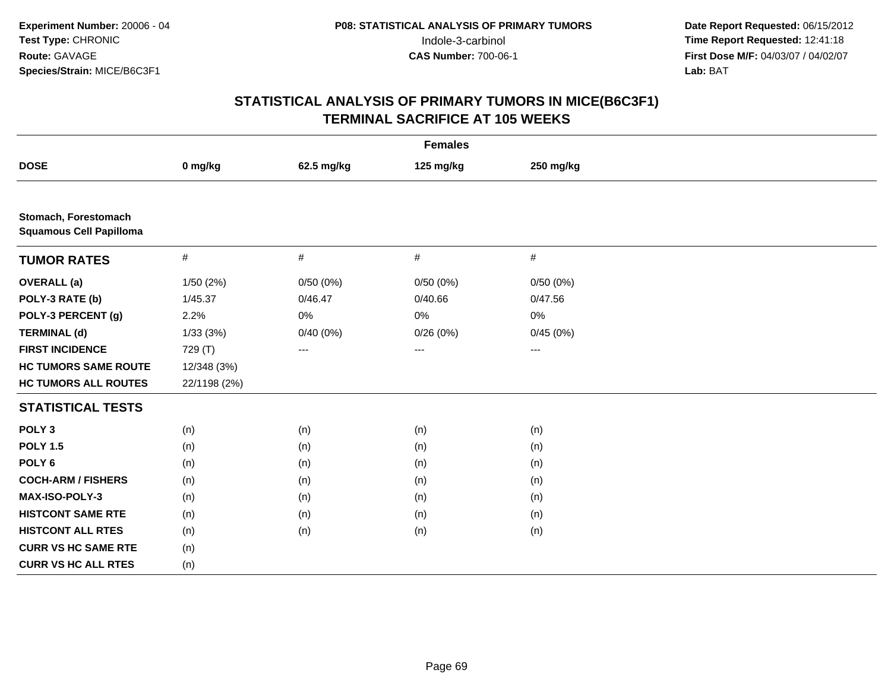| <b>Females</b>                                         |              |            |                   |           |  |
|--------------------------------------------------------|--------------|------------|-------------------|-----------|--|
| <b>DOSE</b>                                            | 0 mg/kg      | 62.5 mg/kg | 125 mg/kg         | 250 mg/kg |  |
|                                                        |              |            |                   |           |  |
| Stomach, Forestomach<br><b>Squamous Cell Papilloma</b> |              |            |                   |           |  |
| <b>TUMOR RATES</b>                                     | $\#$         | #          | $\#$              | #         |  |
| <b>OVERALL</b> (a)                                     | 1/50(2%)     | 0/50(0%)   | 0/50(0%)          | 0/50(0%)  |  |
| POLY-3 RATE (b)                                        | 1/45.37      | 0/46.47    | 0/40.66           | 0/47.56   |  |
| POLY-3 PERCENT (g)                                     | 2.2%         | 0%         | 0%                | 0%        |  |
| <b>TERMINAL (d)</b>                                    | 1/33(3%)     | 0/40(0%)   | 0/26(0%)          | 0/45(0%)  |  |
| <b>FIRST INCIDENCE</b>                                 | 729 (T)      | $---$      | $\qquad \qquad -$ | $---$     |  |
| <b>HC TUMORS SAME ROUTE</b>                            | 12/348 (3%)  |            |                   |           |  |
| <b>HC TUMORS ALL ROUTES</b>                            | 22/1198 (2%) |            |                   |           |  |
| <b>STATISTICAL TESTS</b>                               |              |            |                   |           |  |
| POLY <sub>3</sub>                                      | (n)          | (n)        | (n)               | (n)       |  |
| <b>POLY 1.5</b>                                        | (n)          | (n)        | (n)               | (n)       |  |
| POLY <sub>6</sub>                                      | (n)          | (n)        | (n)               | (n)       |  |
| <b>COCH-ARM / FISHERS</b>                              | (n)          | (n)        | (n)               | (n)       |  |
| MAX-ISO-POLY-3                                         | (n)          | (n)        | (n)               | (n)       |  |
| <b>HISTCONT SAME RTE</b>                               | (n)          | (n)        | (n)               | (n)       |  |
| <b>HISTCONT ALL RTES</b>                               | (n)          | (n)        | (n)               | (n)       |  |
| <b>CURR VS HC SAME RTE</b>                             | (n)          |            |                   |           |  |
| <b>CURR VS HC ALL RTES</b>                             | (n)          |            |                   |           |  |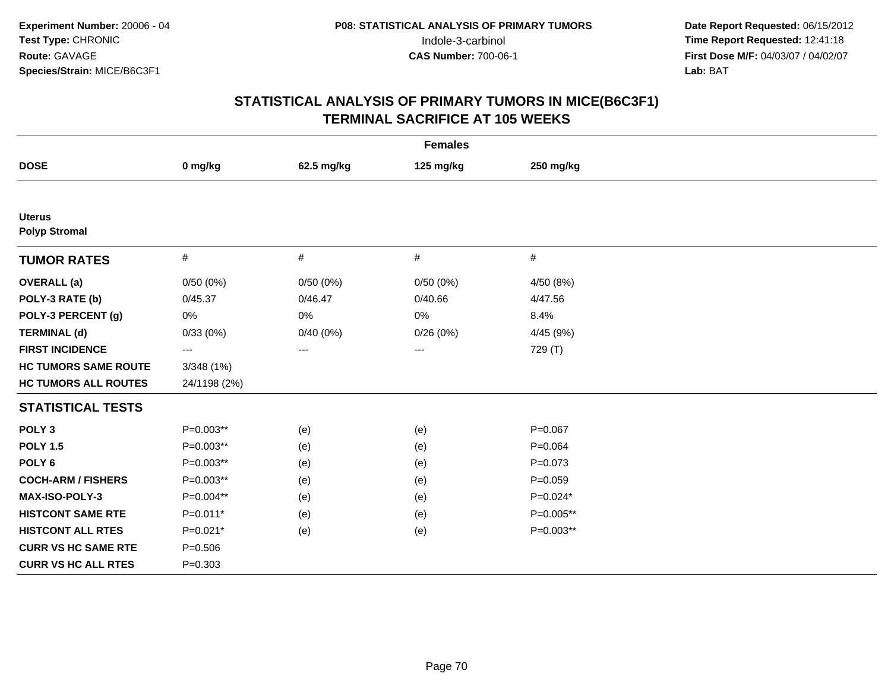| <b>Females</b>                        |                   |            |           |             |  |
|---------------------------------------|-------------------|------------|-----------|-------------|--|
| <b>DOSE</b>                           | 0 mg/kg           | 62.5 mg/kg | 125 mg/kg | 250 mg/kg   |  |
|                                       |                   |            |           |             |  |
| <b>Uterus</b><br><b>Polyp Stromal</b> |                   |            |           |             |  |
| <b>TUMOR RATES</b>                    | $\#$              | #          | $\#$      | $\#$        |  |
| <b>OVERALL</b> (a)                    | 0/50(0%)          | 0/50(0%)   | 0/50(0%)  | 4/50 (8%)   |  |
| POLY-3 RATE (b)                       | 0/45.37           | 0/46.47    | 0/40.66   | 4/47.56     |  |
| POLY-3 PERCENT (g)                    | $0\%$             | $0\%$      | 0%        | 8.4%        |  |
| <b>TERMINAL (d)</b>                   | 0/33(0%)          | 0/40(0%)   | 0/26(0%)  | 4/45 (9%)   |  |
| <b>FIRST INCIDENCE</b>                | $\qquad \qquad -$ | $---$      | $--$      | 729 (T)     |  |
| <b>HC TUMORS SAME ROUTE</b>           | 3/348(1%)         |            |           |             |  |
| <b>HC TUMORS ALL ROUTES</b>           | 24/1198 (2%)      |            |           |             |  |
| <b>STATISTICAL TESTS</b>              |                   |            |           |             |  |
| POLY <sub>3</sub>                     | P=0.003**         | (e)        | (e)       | $P = 0.067$ |  |
| <b>POLY 1.5</b>                       | P=0.003**         | (e)        | (e)       | $P = 0.064$ |  |
| POLY <sub>6</sub>                     | $P=0.003**$       | (e)        | (e)       | $P = 0.073$ |  |
| <b>COCH-ARM / FISHERS</b>             | P=0.003**         | (e)        | (e)       | $P = 0.059$ |  |
| MAX-ISO-POLY-3                        | P=0.004**         | (e)        | (e)       | $P=0.024*$  |  |
| <b>HISTCONT SAME RTE</b>              | $P=0.011*$        | (e)        | (e)       | P=0.005**   |  |
| <b>HISTCONT ALL RTES</b>              | $P=0.021*$        | (e)        | (e)       | P=0.003**   |  |
| <b>CURR VS HC SAME RTE</b>            | $P = 0.506$       |            |           |             |  |
| <b>CURR VS HC ALL RTES</b>            | $P = 0.303$       |            |           |             |  |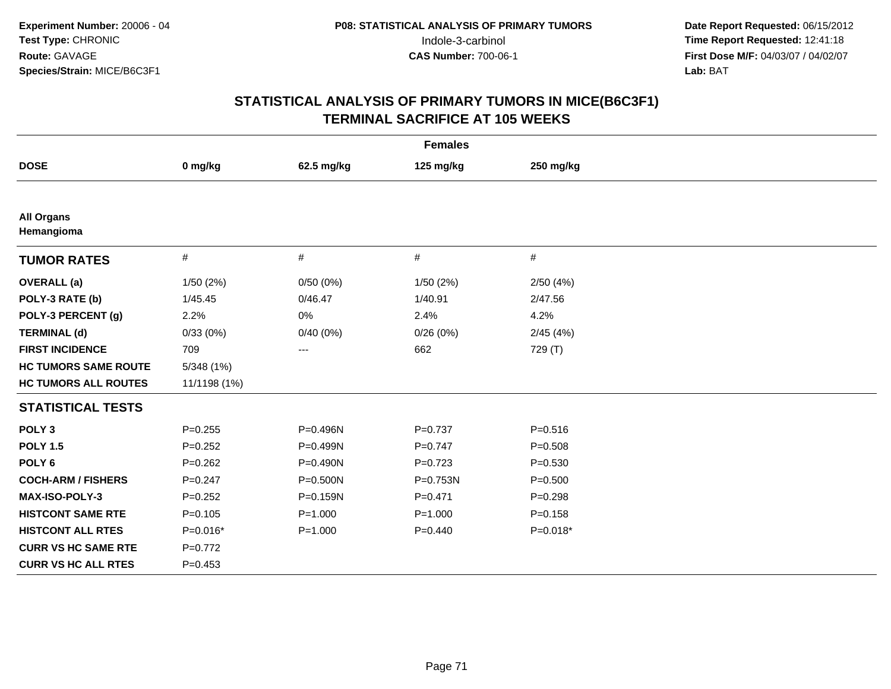| <b>Females</b>                  |              |             |             |             |  |  |
|---------------------------------|--------------|-------------|-------------|-------------|--|--|
| <b>DOSE</b>                     | 0 mg/kg      | 62.5 mg/kg  | 125 mg/kg   | 250 mg/kg   |  |  |
|                                 |              |             |             |             |  |  |
| <b>All Organs</b><br>Hemangioma |              |             |             |             |  |  |
| <b>TUMOR RATES</b>              | $\#$         | #           | #           | #           |  |  |
| <b>OVERALL</b> (a)              | 1/50(2%)     | 0/50(0%)    | 1/50 (2%)   | 2/50(4%)    |  |  |
| POLY-3 RATE (b)                 | 1/45.45      | 0/46.47     | 1/40.91     | 2/47.56     |  |  |
| POLY-3 PERCENT (g)              | 2.2%         | $0\%$       | 2.4%        | 4.2%        |  |  |
| <b>TERMINAL (d)</b>             | 0/33(0%)     | 0/40(0%)    | 0/26(0%)    | 2/45(4%)    |  |  |
| <b>FIRST INCIDENCE</b>          | 709          | ---         | 662         | 729 (T)     |  |  |
| <b>HC TUMORS SAME ROUTE</b>     | 5/348 (1%)   |             |             |             |  |  |
| <b>HC TUMORS ALL ROUTES</b>     | 11/1198 (1%) |             |             |             |  |  |
| <b>STATISTICAL TESTS</b>        |              |             |             |             |  |  |
| POLY <sub>3</sub>               | $P = 0.255$  | P=0.496N    | $P=0.737$   | $P = 0.516$ |  |  |
| <b>POLY 1.5</b>                 | $P=0.252$    | P=0.499N    | $P=0.747$   | $P = 0.508$ |  |  |
| POLY <sub>6</sub>               | $P = 0.262$  | P=0.490N    | $P=0.723$   | $P = 0.530$ |  |  |
| <b>COCH-ARM / FISHERS</b>       | $P = 0.247$  | P=0.500N    | P=0.753N    | $P = 0.500$ |  |  |
| <b>MAX-ISO-POLY-3</b>           | $P=0.252$    | P=0.159N    | $P = 0.471$ | $P=0.298$   |  |  |
| <b>HISTCONT SAME RTE</b>        | $P = 0.105$  | $P = 1.000$ | $P = 1.000$ | $P = 0.158$ |  |  |
| <b>HISTCONT ALL RTES</b>        | $P=0.016*$   | $P = 1.000$ | $P=0.440$   | $P=0.018*$  |  |  |
| <b>CURR VS HC SAME RTE</b>      | $P=0.772$    |             |             |             |  |  |
| <b>CURR VS HC ALL RTES</b>      | $P = 0.453$  |             |             |             |  |  |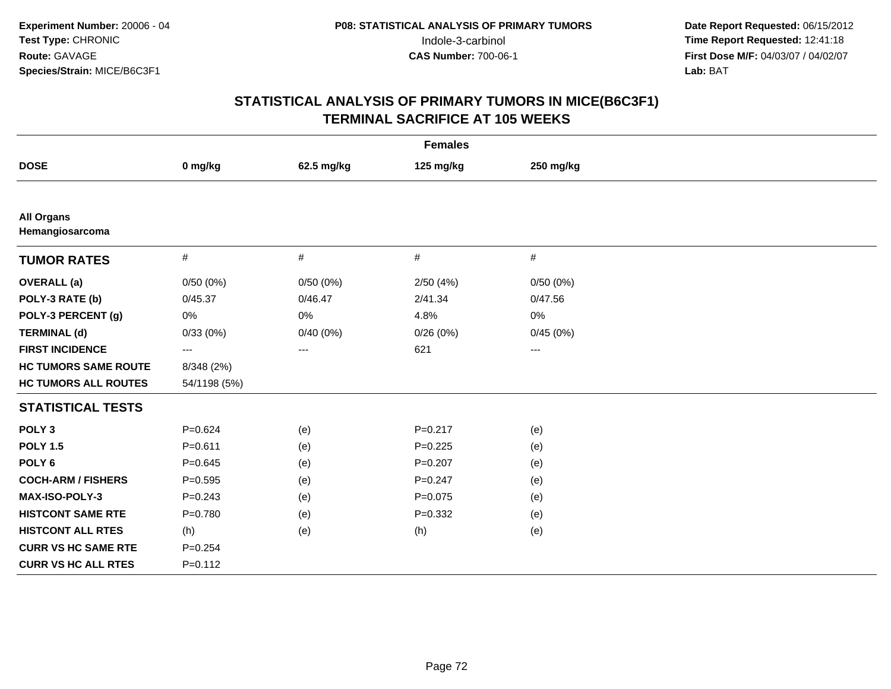| <b>Females</b>                       |                   |            |             |                         |  |  |
|--------------------------------------|-------------------|------------|-------------|-------------------------|--|--|
| <b>DOSE</b>                          | 0 mg/kg           | 62.5 mg/kg | 125 mg/kg   | 250 mg/kg               |  |  |
|                                      |                   |            |             |                         |  |  |
| <b>All Organs</b><br>Hemangiosarcoma |                   |            |             |                         |  |  |
| <b>TUMOR RATES</b>                   | $\#$              | $\#$       | $\#$        | $\#$                    |  |  |
| <b>OVERALL</b> (a)                   | 0/50(0%)          | 0/50(0%)   | 2/50(4%)    | 0/50(0%)                |  |  |
| POLY-3 RATE (b)                      | 0/45.37           | 0/46.47    | 2/41.34     | 0/47.56                 |  |  |
| POLY-3 PERCENT (g)                   | $0\%$             | 0%         | 4.8%        | 0%                      |  |  |
| <b>TERMINAL (d)</b>                  | 0/33(0%)          | 0/40(0%)   | 0/26(0%)    | 0/45(0%)                |  |  |
| <b>FIRST INCIDENCE</b>               | $\qquad \qquad -$ | ---        | 621         | $\qquad \qquad -\qquad$ |  |  |
| <b>HC TUMORS SAME ROUTE</b>          | 8/348 (2%)        |            |             |                         |  |  |
| <b>HC TUMORS ALL ROUTES</b>          | 54/1198 (5%)      |            |             |                         |  |  |
| <b>STATISTICAL TESTS</b>             |                   |            |             |                         |  |  |
| POLY <sub>3</sub>                    | $P = 0.624$       | (e)        | $P = 0.217$ | (e)                     |  |  |
| <b>POLY 1.5</b>                      | $P = 0.611$       | (e)        | $P=0.225$   | (e)                     |  |  |
| POLY <sub>6</sub>                    | $P = 0.645$       | (e)        | $P=0.207$   | (e)                     |  |  |
| <b>COCH-ARM / FISHERS</b>            | $P = 0.595$       | (e)        | $P = 0.247$ | (e)                     |  |  |
| MAX-ISO-POLY-3                       | $P = 0.243$       | (e)        | $P=0.075$   | (e)                     |  |  |
| <b>HISTCONT SAME RTE</b>             | $P = 0.780$       | (e)        | $P = 0.332$ | (e)                     |  |  |
| <b>HISTCONT ALL RTES</b>             | (h)               | (e)        | (h)         | (e)                     |  |  |
| <b>CURR VS HC SAME RTE</b>           | $P = 0.254$       |            |             |                         |  |  |
| <b>CURR VS HC ALL RTES</b>           | $P = 0.112$       |            |             |                         |  |  |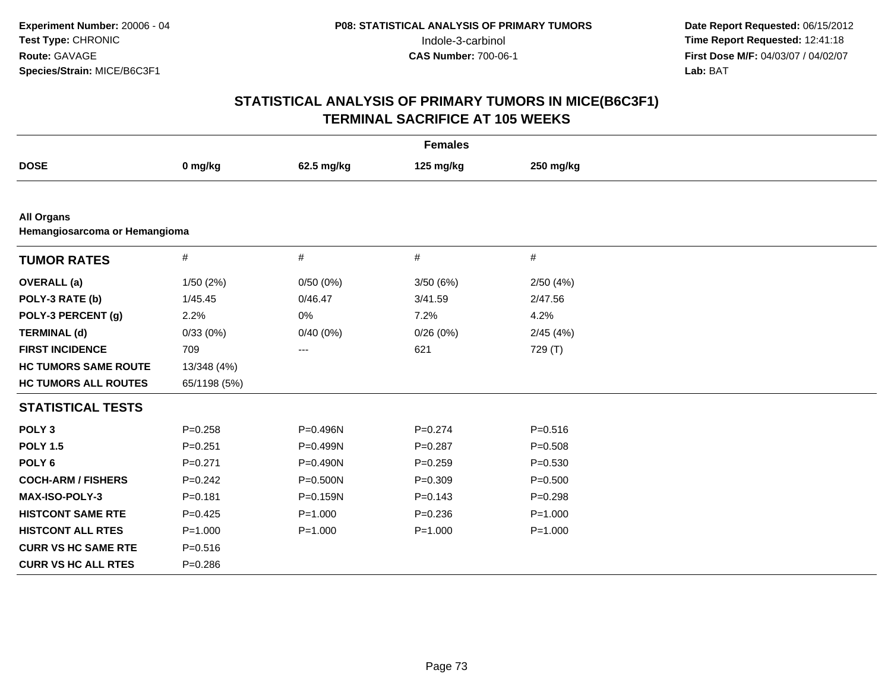| <b>Females</b>                                     |              |              |             |             |  |
|----------------------------------------------------|--------------|--------------|-------------|-------------|--|
| <b>DOSE</b>                                        | 0 mg/kg      | 62.5 mg/kg   | 125 mg/kg   | 250 mg/kg   |  |
|                                                    |              |              |             |             |  |
| <b>All Organs</b><br>Hemangiosarcoma or Hemangioma |              |              |             |             |  |
| <b>TUMOR RATES</b>                                 | $\#$         | #            | $\#$        | #           |  |
| <b>OVERALL</b> (a)                                 | 1/50(2%)     | 0/50(0%)     | 3/50(6%)    | 2/50(4%)    |  |
| POLY-3 RATE (b)                                    | 1/45.45      | 0/46.47      | 3/41.59     | 2/47.56     |  |
| POLY-3 PERCENT (g)                                 | 2.2%         | 0%           | 7.2%        | 4.2%        |  |
| <b>TERMINAL (d)</b>                                | 0/33(0%)     | 0/40(0%)     | 0/26(0%)    | 2/45(4%)    |  |
| <b>FIRST INCIDENCE</b>                             | 709          | $\cdots$     | 621         | 729 (T)     |  |
| <b>HC TUMORS SAME ROUTE</b>                        | 13/348 (4%)  |              |             |             |  |
| <b>HC TUMORS ALL ROUTES</b>                        | 65/1198 (5%) |              |             |             |  |
| <b>STATISTICAL TESTS</b>                           |              |              |             |             |  |
| POLY <sub>3</sub>                                  | $P = 0.258$  | P=0.496N     | $P = 0.274$ | $P = 0.516$ |  |
| <b>POLY 1.5</b>                                    | $P = 0.251$  | P=0.499N     | $P = 0.287$ | $P = 0.508$ |  |
| POLY <sub>6</sub>                                  | $P = 0.271$  | P=0.490N     | $P = 0.259$ | $P = 0.530$ |  |
| <b>COCH-ARM / FISHERS</b>                          | $P=0.242$    | $P = 0.500N$ | $P = 0.309$ | $P = 0.500$ |  |
| <b>MAX-ISO-POLY-3</b>                              | $P = 0.181$  | P=0.159N     | $P = 0.143$ | $P = 0.298$ |  |
| <b>HISTCONT SAME RTE</b>                           | $P=0.425$    | $P = 1.000$  | $P = 0.236$ | $P = 1.000$ |  |
| <b>HISTCONT ALL RTES</b>                           | $P = 1.000$  | $P = 1.000$  | $P = 1.000$ | $P = 1.000$ |  |
| <b>CURR VS HC SAME RTE</b>                         | $P = 0.516$  |              |             |             |  |
| <b>CURR VS HC ALL RTES</b>                         | $P = 0.286$  |              |             |             |  |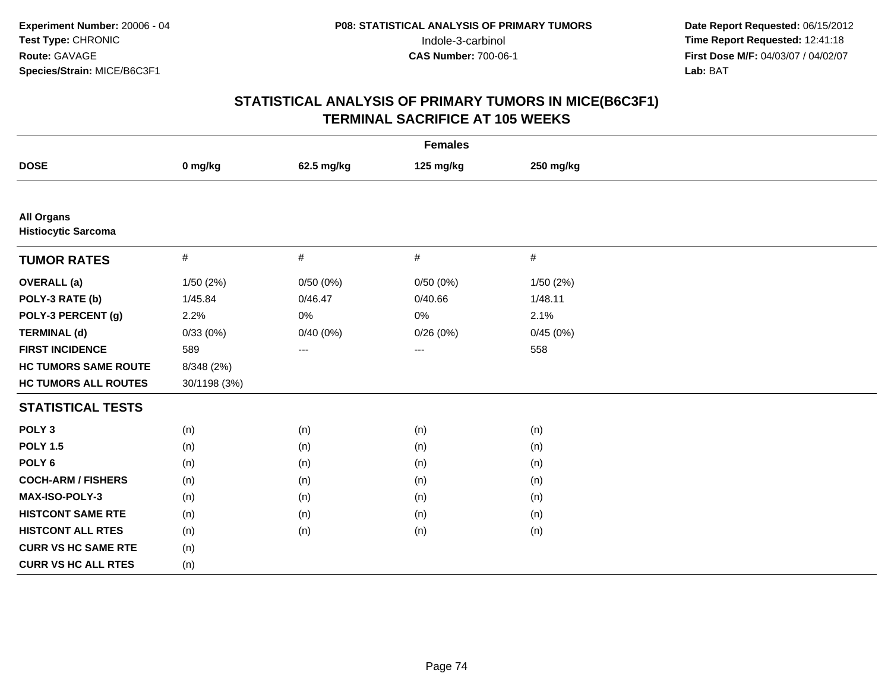| <b>Females</b>                                  |              |            |                        |           |  |
|-------------------------------------------------|--------------|------------|------------------------|-----------|--|
| <b>DOSE</b>                                     | 0 mg/kg      | 62.5 mg/kg | 125 mg/kg              | 250 mg/kg |  |
|                                                 |              |            |                        |           |  |
| <b>All Organs</b><br><b>Histiocytic Sarcoma</b> |              |            |                        |           |  |
| <b>TUMOR RATES</b>                              | $\#$         | $\#$       | #                      | $\#$      |  |
| <b>OVERALL</b> (a)                              | 1/50(2%)     | 0/50(0%)   | 0/50(0%)               | 1/50(2%)  |  |
| POLY-3 RATE (b)                                 | 1/45.84      | 0/46.47    | 0/40.66                | 1/48.11   |  |
| POLY-3 PERCENT (g)                              | 2.2%         | 0%         | 0%                     | 2.1%      |  |
| <b>TERMINAL (d)</b>                             | 0/33(0%)     | 0/40(0%)   | 0/26(0%)               | 0/45(0%)  |  |
| <b>FIRST INCIDENCE</b>                          | 589          | ---        | $\qquad \qquad \cdots$ | 558       |  |
| <b>HC TUMORS SAME ROUTE</b>                     | 8/348 (2%)   |            |                        |           |  |
| <b>HC TUMORS ALL ROUTES</b>                     | 30/1198 (3%) |            |                        |           |  |
| <b>STATISTICAL TESTS</b>                        |              |            |                        |           |  |
| POLY <sub>3</sub>                               | (n)          | (n)        | (n)                    | (n)       |  |
| <b>POLY 1.5</b>                                 | (n)          | (n)        | (n)                    | (n)       |  |
| POLY <sub>6</sub>                               | (n)          | (n)        | (n)                    | (n)       |  |
| <b>COCH-ARM / FISHERS</b>                       | (n)          | (n)        | (n)                    | (n)       |  |
| MAX-ISO-POLY-3                                  | (n)          | (n)        | (n)                    | (n)       |  |
| <b>HISTCONT SAME RTE</b>                        | (n)          | (n)        | (n)                    | (n)       |  |
| <b>HISTCONT ALL RTES</b>                        | (n)          | (n)        | (n)                    | (n)       |  |
| <b>CURR VS HC SAME RTE</b>                      | (n)          |            |                        |           |  |
| <b>CURR VS HC ALL RTES</b>                      | (n)          |            |                        |           |  |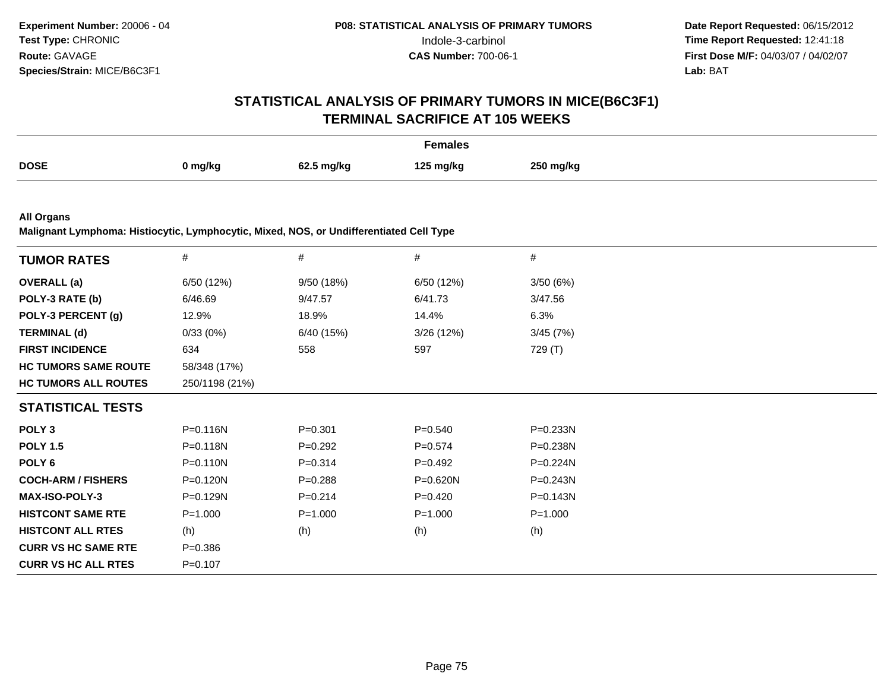# **STATISTICAL ANALYSIS OF PRIMARY TUMORS IN MICE(B6C3F1)TERMINAL SACRIFICE AT 105 WEEKS**

|             |         |           | Females   |           |
|-------------|---------|-----------|-----------|-----------|
| <b>DOSE</b> | 0 mg/kg | 625 malka | 125 ma/ka | 250 mg/kg |

**All Organs**

**Malignant Lymphoma: Histiocytic, Lymphocytic, Mixed, NOS, or Undifferentiated Cell Type**

| <b>TUMOR RATES</b>          | $\#$           | $\#$        | $\#$        | $\#$         |
|-----------------------------|----------------|-------------|-------------|--------------|
| <b>OVERALL</b> (a)          | 6/50 (12%)     | 9/50 (18%)  | 6/50 (12%)  | 3/50(6%)     |
| POLY-3 RATE (b)             | 6/46.69        | 9/47.57     | 6/41.73     | 3/47.56      |
| POLY-3 PERCENT (g)          | 12.9%          | 18.9%       | 14.4%       | 6.3%         |
| <b>TERMINAL (d)</b>         | 0/33(0%)       | 6/40 (15%)  | 3/26(12%)   | 3/45(7%)     |
| <b>FIRST INCIDENCE</b>      | 634            | 558         | 597         | 729 (T)      |
| <b>HC TUMORS SAME ROUTE</b> | 58/348 (17%)   |             |             |              |
| <b>HC TUMORS ALL ROUTES</b> | 250/1198 (21%) |             |             |              |
| <b>STATISTICAL TESTS</b>    |                |             |             |              |
| POLY <sub>3</sub>           | P=0.116N       | $P = 0.301$ | $P = 0.540$ | P=0.233N     |
| <b>POLY 1.5</b>             | P=0.118N       | $P=0.292$   | $P = 0.574$ | P=0.238N     |
| POLY 6                      | $P = 0.110N$   | $P = 0.314$ | $P=0.492$   | $P=0.224N$   |
| <b>COCH-ARM / FISHERS</b>   | P=0.120N       | $P = 0.288$ | P=0.620N    | P=0.243N     |
| <b>MAX-ISO-POLY-3</b>       | $P = 0.129N$   | $P=0.214$   | $P=0.420$   | $P = 0.143N$ |
| <b>HISTCONT SAME RTE</b>    | $P = 1.000$    | $P = 1.000$ | $P = 1.000$ | $P = 1.000$  |
| <b>HISTCONT ALL RTES</b>    | (h)            | (h)         | (h)         | (h)          |
| <b>CURR VS HC SAME RTE</b>  | $P = 0.386$    |             |             |              |
| <b>CURR VS HC ALL RTES</b>  | $P = 0.107$    |             |             |              |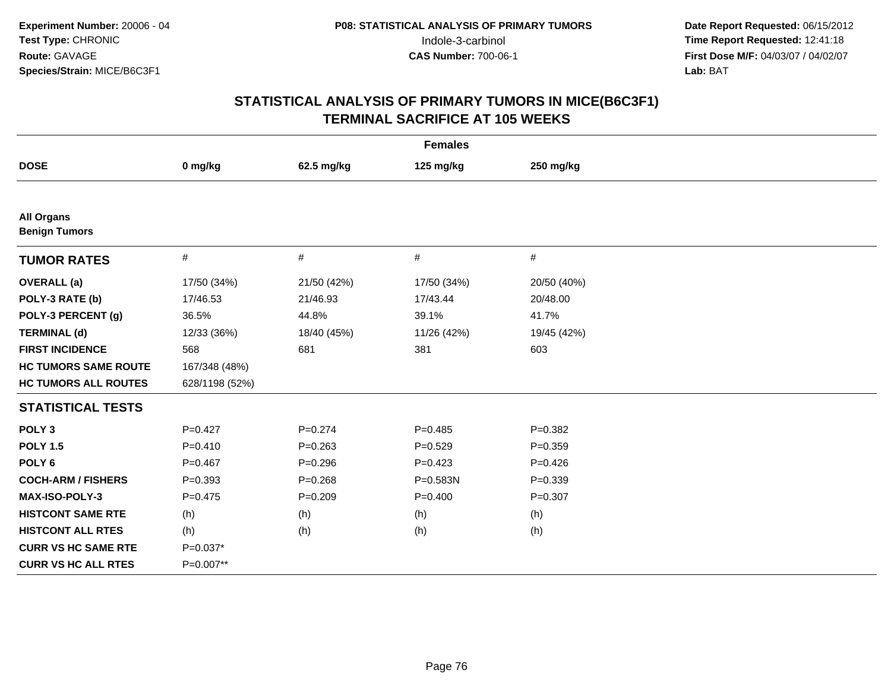| <b>Females</b>                            |                |             |              |             |  |
|-------------------------------------------|----------------|-------------|--------------|-------------|--|
| <b>DOSE</b>                               | 0 mg/kg        | 62.5 mg/kg  | 125 mg/kg    | 250 mg/kg   |  |
|                                           |                |             |              |             |  |
| <b>All Organs</b><br><b>Benign Tumors</b> |                |             |              |             |  |
| <b>TUMOR RATES</b>                        | $\#$           | #           | $\#$         | $\#$        |  |
| <b>OVERALL</b> (a)                        | 17/50 (34%)    | 21/50 (42%) | 17/50 (34%)  | 20/50 (40%) |  |
| POLY-3 RATE (b)                           | 17/46.53       | 21/46.93    | 17/43.44     | 20/48.00    |  |
| POLY-3 PERCENT (g)                        | 36.5%          | 44.8%       | 39.1%        | 41.7%       |  |
| <b>TERMINAL (d)</b>                       | 12/33 (36%)    | 18/40 (45%) | 11/26 (42%)  | 19/45 (42%) |  |
| <b>FIRST INCIDENCE</b>                    | 568            | 681         | 381          | 603         |  |
| <b>HC TUMORS SAME ROUTE</b>               | 167/348 (48%)  |             |              |             |  |
| <b>HC TUMORS ALL ROUTES</b>               | 628/1198 (52%) |             |              |             |  |
| <b>STATISTICAL TESTS</b>                  |                |             |              |             |  |
| POLY <sub>3</sub>                         | $P=0.427$      | $P = 0.274$ | $P=0.485$    | $P = 0.382$ |  |
| <b>POLY 1.5</b>                           | $P=0.410$      | $P = 0.263$ | $P=0.529$    | $P = 0.359$ |  |
| POLY <sub>6</sub>                         | $P=0.467$      | $P = 0.296$ | $P=0.423$    | $P=0.426$   |  |
| <b>COCH-ARM / FISHERS</b>                 | $P = 0.393$    | $P = 0.268$ | $P = 0.583N$ | $P = 0.339$ |  |
| <b>MAX-ISO-POLY-3</b>                     | $P=0.475$      | $P = 0.209$ | $P=0.400$    | $P = 0.307$ |  |
| <b>HISTCONT SAME RTE</b>                  | (h)            | (h)         | (h)          | (h)         |  |
| <b>HISTCONT ALL RTES</b>                  | (h)            | (h)         | (h)          | (h)         |  |
| <b>CURR VS HC SAME RTE</b>                | $P=0.037*$     |             |              |             |  |
| <b>CURR VS HC ALL RTES</b>                | P=0.007**      |             |              |             |  |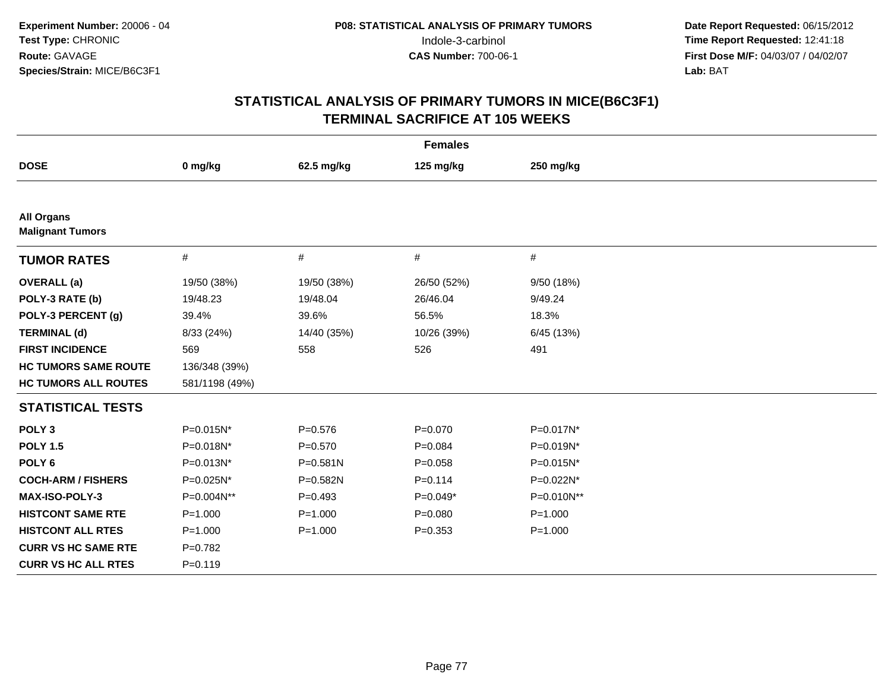| <b>Females</b>                               |                |              |             |             |
|----------------------------------------------|----------------|--------------|-------------|-------------|
| <b>DOSE</b>                                  | 0 mg/kg        | 62.5 mg/kg   | 125 mg/kg   | 250 mg/kg   |
|                                              |                |              |             |             |
| <b>All Organs</b><br><b>Malignant Tumors</b> |                |              |             |             |
| <b>TUMOR RATES</b>                           | $\#$           | $\#$         | $\#$        | $\#$        |
| <b>OVERALL</b> (a)                           | 19/50 (38%)    | 19/50 (38%)  | 26/50 (52%) | 9/50 (18%)  |
| POLY-3 RATE (b)                              | 19/48.23       | 19/48.04     | 26/46.04    | 9/49.24     |
| POLY-3 PERCENT (g)                           | 39.4%          | 39.6%        | 56.5%       | 18.3%       |
| <b>TERMINAL (d)</b>                          | 8/33 (24%)     | 14/40 (35%)  | 10/26 (39%) | 6/45 (13%)  |
| <b>FIRST INCIDENCE</b>                       | 569            | 558          | 526         | 491         |
| <b>HC TUMORS SAME ROUTE</b>                  | 136/348 (39%)  |              |             |             |
| <b>HC TUMORS ALL ROUTES</b>                  | 581/1198 (49%) |              |             |             |
| <b>STATISTICAL TESTS</b>                     |                |              |             |             |
| POLY <sub>3</sub>                            | $P=0.015N^*$   | $P = 0.576$  | $P = 0.070$ | P=0.017N*   |
| <b>POLY 1.5</b>                              | P=0.018N*      | $P = 0.570$  | $P = 0.084$ | P=0.019N*   |
| POLY <sub>6</sub>                            | P=0.013N*      | $P = 0.581N$ | $P = 0.058$ | P=0.015N*   |
| <b>COCH-ARM / FISHERS</b>                    | P=0.025N*      | P=0.582N     | $P = 0.114$ | P=0.022N*   |
| <b>MAX-ISO-POLY-3</b>                        | P=0.004N**     | $P=0.493$    | $P=0.049*$  | P=0.010N**  |
| <b>HISTCONT SAME RTE</b>                     | $P = 1.000$    | $P = 1.000$  | $P = 0.080$ | $P = 1.000$ |
| <b>HISTCONT ALL RTES</b>                     | $P = 1.000$    | $P = 1.000$  | $P = 0.353$ | $P = 1.000$ |
| <b>CURR VS HC SAME RTE</b>                   | $P=0.782$      |              |             |             |
| <b>CURR VS HC ALL RTES</b>                   | $P=0.119$      |              |             |             |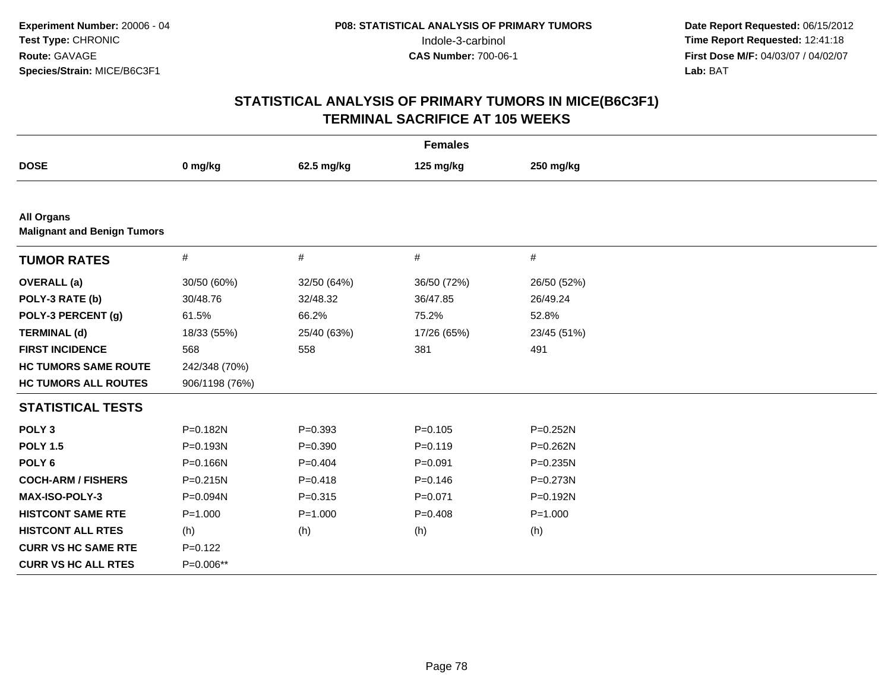| <b>Females</b>                                          |                |             |             |              |
|---------------------------------------------------------|----------------|-------------|-------------|--------------|
| <b>DOSE</b>                                             | 0 mg/kg        | 62.5 mg/kg  | 125 mg/kg   | 250 mg/kg    |
|                                                         |                |             |             |              |
| <b>All Organs</b><br><b>Malignant and Benign Tumors</b> |                |             |             |              |
| <b>TUMOR RATES</b>                                      | $\#$           | #           | $\#$        | $\#$         |
| <b>OVERALL</b> (a)                                      | 30/50 (60%)    | 32/50 (64%) | 36/50 (72%) | 26/50 (52%)  |
| POLY-3 RATE (b)                                         | 30/48.76       | 32/48.32    | 36/47.85    | 26/49.24     |
| POLY-3 PERCENT (g)                                      | 61.5%          | 66.2%       | 75.2%       | 52.8%        |
| <b>TERMINAL (d)</b>                                     | 18/33 (55%)    | 25/40 (63%) | 17/26 (65%) | 23/45 (51%)  |
| <b>FIRST INCIDENCE</b>                                  | 568            | 558         | 381         | 491          |
| <b>HC TUMORS SAME ROUTE</b>                             | 242/348 (70%)  |             |             |              |
| <b>HC TUMORS ALL ROUTES</b>                             | 906/1198 (76%) |             |             |              |
| <b>STATISTICAL TESTS</b>                                |                |             |             |              |
| POLY <sub>3</sub>                                       | P=0.182N       | $P = 0.393$ | $P = 0.105$ | $P = 0.252N$ |
| <b>POLY 1.5</b>                                         | P=0.193N       | $P = 0.390$ | $P = 0.119$ | $P = 0.262N$ |
| POLY <sub>6</sub>                                       | P=0.166N       | $P = 0.404$ | $P = 0.091$ | $P = 0.235N$ |
| <b>COCH-ARM / FISHERS</b>                               | $P = 0.215N$   | $P = 0.418$ | $P = 0.146$ | $P = 0.273N$ |
| MAX-ISO-POLY-3                                          | P=0.094N       | $P = 0.315$ | $P = 0.071$ | P=0.192N     |
| <b>HISTCONT SAME RTE</b>                                | $P = 1.000$    | $P = 1.000$ | $P=0.408$   | $P = 1.000$  |
| <b>HISTCONT ALL RTES</b>                                | (h)            | (h)         | (h)         | (h)          |
| <b>CURR VS HC SAME RTE</b>                              | $P=0.122$      |             |             |              |
| <b>CURR VS HC ALL RTES</b>                              | P=0.006**      |             |             |              |